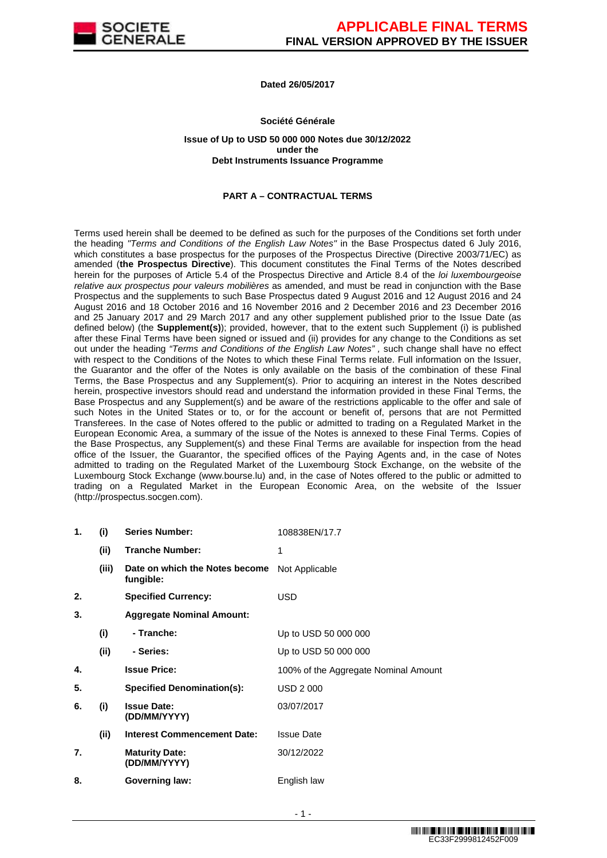

# **Dated 26/05/2017**

### **Société Générale**

#### **Issue of Up to USD 50 000 000 Notes due 30/12/2022 under the Debt Instruments Issuance Programme**

# **PART A – CONTRACTUAL TERMS**

Terms used herein shall be deemed to be defined as such for the purposes of the Conditions set forth under the heading "Terms and Conditions of the English Law Notes" in the Base Prospectus dated 6 July 2016, which constitutes a base prospectus for the purposes of the Prospectus Directive (Directive 2003/71/EC) as amended (**the Prospectus Directive**). This document constitutes the Final Terms of the Notes described herein for the purposes of Article 5.4 of the Prospectus Directive and Article 8.4 of the *loi luxembourgeoise* relative aux prospectus pour valeurs mobilières as amended, and must be read in conjunction with the Base Prospectus and the supplements to such Base Prospectus dated 9 August 2016 and 12 August 2016 and 24 August 2016 and 18 October 2016 and 16 November 2016 and 2 December 2016 and 23 December 2016 and 25 January 2017 and 29 March 2017 and any other supplement published prior to the Issue Date (as defined below) (the **Supplement(s)**); provided, however, that to the extent such Supplement (i) is published after these Final Terms have been signed or issued and (ii) provides for any change to the Conditions as set out under the heading "Terms and Conditions of the English Law Notes" , such change shall have no effect with respect to the Conditions of the Notes to which these Final Terms relate. Full information on the Issuer, the Guarantor and the offer of the Notes is only available on the basis of the combination of these Final Terms, the Base Prospectus and any Supplement(s). Prior to acquiring an interest in the Notes described herein, prospective investors should read and understand the information provided in these Final Terms, the Base Prospectus and any Supplement(s) and be aware of the restrictions applicable to the offer and sale of such Notes in the United States or to, or for the account or benefit of, persons that are not Permitted Transferees. In the case of Notes offered to the public or admitted to trading on a Regulated Market in the European Economic Area, a summary of the issue of the Notes is annexed to these Final Terms. Copies of the Base Prospectus, any Supplement(s) and these Final Terms are available for inspection from the head office of the Issuer, the Guarantor, the specified offices of the Paying Agents and, in the case of Notes admitted to trading on the Regulated Market of the Luxembourg Stock Exchange, on the website of the Luxembourg Stock Exchange (www.bourse.lu) and, in the case of Notes offered to the public or admitted to trading on a Regulated Market in the European Economic Area, on the website of the Issuer (http://prospectus.socgen.com).

| 1. | (i)   | <b>Series Number:</b>                       | 108838EN/17.7                        |
|----|-------|---------------------------------------------|--------------------------------------|
|    | (ii)  | <b>Tranche Number:</b>                      | 1                                    |
|    | (iii) | Date on which the Notes become<br>fungible: | Not Applicable                       |
| 2. |       | <b>Specified Currency:</b>                  | <b>USD</b>                           |
| 3. |       | <b>Aggregate Nominal Amount:</b>            |                                      |
|    | (i)   | - Tranche:                                  | Up to USD 50 000 000                 |
|    | (ii)  | - Series:                                   | Up to USD 50 000 000                 |
| 4. |       | <b>Issue Price:</b>                         | 100% of the Aggregate Nominal Amount |
| 5. |       | <b>Specified Denomination(s):</b>           | <b>USD 2000</b>                      |
| 6. | (i)   | <b>Issue Date:</b><br>(DD/MM/YYYY)          | 03/07/2017                           |
|    | (ii)  | <b>Interest Commencement Date:</b>          | <b>Issue Date</b>                    |
| 7. |       | <b>Maturity Date:</b><br>(DD/MM/YYYY)       | 30/12/2022                           |
| 8. |       | <b>Governing law:</b>                       | English law                          |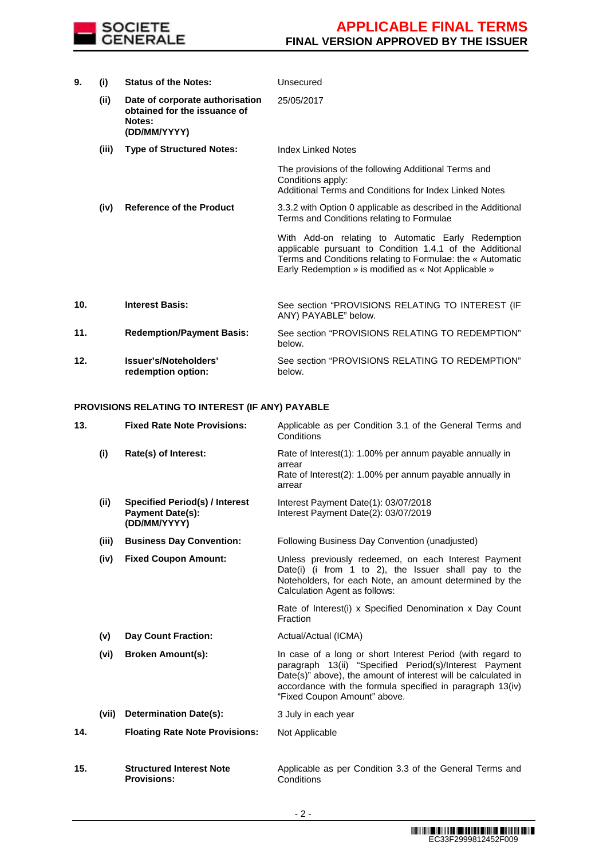

| 9.  | (i)   | <b>Status of the Notes:</b>                                                               | Unsecured                                                                                                                                                                                                                            |
|-----|-------|-------------------------------------------------------------------------------------------|--------------------------------------------------------------------------------------------------------------------------------------------------------------------------------------------------------------------------------------|
|     | (ii)  | Date of corporate authorisation<br>obtained for the issuance of<br>Notes:<br>(DD/MM/YYYY) | 25/05/2017                                                                                                                                                                                                                           |
|     | (iii) | <b>Type of Structured Notes:</b>                                                          | Index Linked Notes                                                                                                                                                                                                                   |
|     |       |                                                                                           | The provisions of the following Additional Terms and<br>Conditions apply:<br>Additional Terms and Conditions for Index Linked Notes                                                                                                  |
|     | (iv)  | <b>Reference of the Product</b>                                                           | 3.3.2 with Option 0 applicable as described in the Additional<br>Terms and Conditions relating to Formulae                                                                                                                           |
|     |       |                                                                                           | With Add-on relating to Automatic Early Redemption<br>applicable pursuant to Condition 1.4.1 of the Additional<br>Terms and Conditions relating to Formulae: the « Automatic<br>Early Redemption » is modified as « Not Applicable » |
| 10. |       | <b>Interest Basis:</b>                                                                    | See section "PROVISIONS RELATING TO INTEREST (IF<br>ANY) PAYABLE" below.                                                                                                                                                             |
| 11. |       | <b>Redemption/Payment Basis:</b>                                                          | See section "PROVISIONS RELATING TO REDEMPTION"<br>below.                                                                                                                                                                            |
| 12. |       | Issuer's/Noteholders'<br>redemption option:                                               | See section "PROVISIONS RELATING TO REDEMPTION"<br>below.                                                                                                                                                                            |

### **PROVISIONS RELATING TO INTEREST (IF ANY) PAYABLE**

| 13. |       | <b>Fixed Rate Note Provisions:</b>                                               | Applicable as per Condition 3.1 of the General Terms and<br>Conditions                                                                                                                                                                                                             |
|-----|-------|----------------------------------------------------------------------------------|------------------------------------------------------------------------------------------------------------------------------------------------------------------------------------------------------------------------------------------------------------------------------------|
|     | (i)   | Rate(s) of Interest:                                                             | Rate of Interest(1): 1.00% per annum payable annually in<br>arrear<br>Rate of Interest(2): 1.00% per annum payable annually in<br>arrear                                                                                                                                           |
|     | (ii)  | <b>Specified Period(s) / Interest</b><br><b>Payment Date(s):</b><br>(DD/MM/YYYY) | Interest Payment Date(1): 03/07/2018<br>Interest Payment Date(2): 03/07/2019                                                                                                                                                                                                       |
|     | (iii) | <b>Business Day Convention:</b>                                                  | Following Business Day Convention (unadjusted)                                                                                                                                                                                                                                     |
|     | (iv)  | <b>Fixed Coupon Amount:</b>                                                      | Unless previously redeemed, on each Interest Payment<br>Date(i) (i from 1 to 2), the Issuer shall pay to the<br>Noteholders, for each Note, an amount determined by the<br>Calculation Agent as follows:                                                                           |
|     |       |                                                                                  | Rate of Interest(i) x Specified Denomination x Day Count<br>Fraction                                                                                                                                                                                                               |
|     | (v)   | <b>Day Count Fraction:</b>                                                       | Actual/Actual (ICMA)                                                                                                                                                                                                                                                               |
|     | (vi)  | <b>Broken Amount(s):</b>                                                         | In case of a long or short Interest Period (with regard to<br>paragraph 13(ii) "Specified Period(s)/Interest Payment<br>Date(s)" above), the amount of interest will be calculated in<br>accordance with the formula specified in paragraph 13(iv)<br>"Fixed Coupon Amount" above. |
|     | (vii) | <b>Determination Date(s):</b>                                                    | 3 July in each year                                                                                                                                                                                                                                                                |
| 14. |       | <b>Floating Rate Note Provisions:</b>                                            | Not Applicable                                                                                                                                                                                                                                                                     |
| 15. |       | <b>Structured Interest Note</b><br><b>Provisions:</b>                            | Applicable as per Condition 3.3 of the General Terms and<br>Conditions                                                                                                                                                                                                             |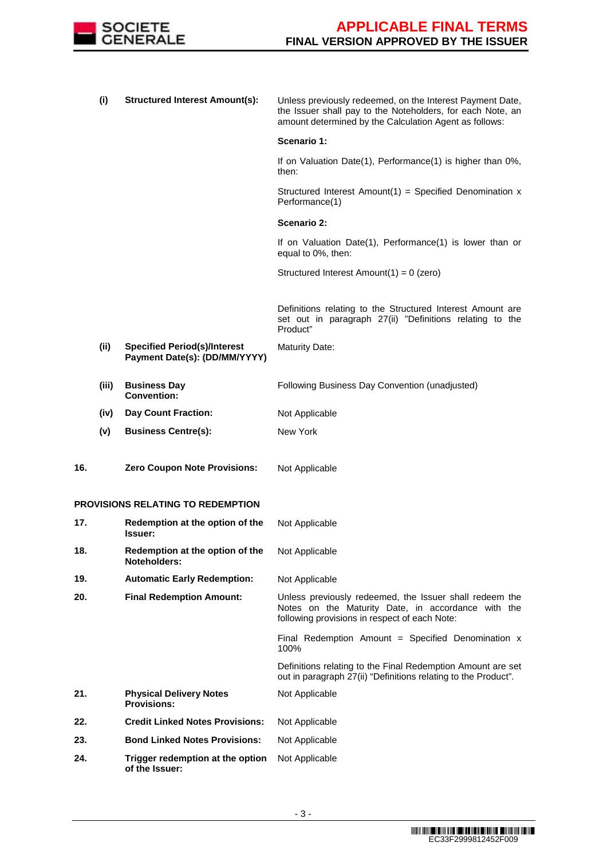

|     | (i)   | <b>Structured Interest Amount(s):</b>                                | Unless previously redeemed, on the Interest Payment Date,<br>the Issuer shall pay to the Noteholders, for each Note, an<br>amount determined by the Calculation Agent as follows: |
|-----|-------|----------------------------------------------------------------------|-----------------------------------------------------------------------------------------------------------------------------------------------------------------------------------|
|     |       |                                                                      | Scenario 1:                                                                                                                                                                       |
|     |       |                                                                      | If on Valuation Date(1), Performance(1) is higher than 0%,<br>then:                                                                                                               |
|     |       |                                                                      | Structured Interest Amount(1) = Specified Denomination $x$<br>Performance(1)                                                                                                      |
|     |       |                                                                      | Scenario 2:                                                                                                                                                                       |
|     |       |                                                                      | If on Valuation Date(1), Performance(1) is lower than or<br>equal to 0%, then:                                                                                                    |
|     |       |                                                                      | Structured Interest Amount $(1) = 0$ (zero)                                                                                                                                       |
|     |       |                                                                      | Definitions relating to the Structured Interest Amount are<br>set out in paragraph 27(ii) "Definitions relating to the<br>Product"                                                |
|     | (ii)  | <b>Specified Period(s)/Interest</b><br>Payment Date(s): (DD/MM/YYYY) | <b>Maturity Date:</b>                                                                                                                                                             |
|     | (iii) | <b>Business Day</b><br><b>Convention:</b>                            | Following Business Day Convention (unadjusted)                                                                                                                                    |
|     | (iv)  | <b>Day Count Fraction:</b>                                           | Not Applicable                                                                                                                                                                    |
|     | (v)   | <b>Business Centre(s):</b>                                           | New York                                                                                                                                                                          |
| 16. |       | <b>Zero Coupon Note Provisions:</b>                                  | Not Applicable                                                                                                                                                                    |
|     |       | <b>PROVISIONS RELATING TO REDEMPTION</b>                             |                                                                                                                                                                                   |
| 17. |       | Redemption at the option of the<br><b>Issuer:</b>                    | Not Applicable                                                                                                                                                                    |
| 18. |       | Redemption at the option of the<br>Noteholders:                      | Not Applicable                                                                                                                                                                    |
| 19. |       | <b>Automatic Early Redemption:</b>                                   | Not Applicable                                                                                                                                                                    |
| 20. |       | <b>Final Redemption Amount:</b>                                      | Unless previously redeemed, the Issuer shall redeem the<br>Notes on the Maturity Date, in accordance with the<br>following provisions in respect of each Note:                    |
|     |       |                                                                      | Final Redemption Amount = Specified Denomination x<br>100%                                                                                                                        |
|     |       |                                                                      | Definitions relating to the Final Redemption Amount are set<br>out in paragraph 27(ii) "Definitions relating to the Product".                                                     |
| 21. |       | <b>Physical Delivery Notes</b><br><b>Provisions:</b>                 | Not Applicable                                                                                                                                                                    |
| 22. |       | <b>Credit Linked Notes Provisions:</b>                               | Not Applicable                                                                                                                                                                    |
| 23. |       | <b>Bond Linked Notes Provisions:</b>                                 | Not Applicable                                                                                                                                                                    |
| 24. |       | Trigger redemption at the option<br>of the Issuer:                   | Not Applicable                                                                                                                                                                    |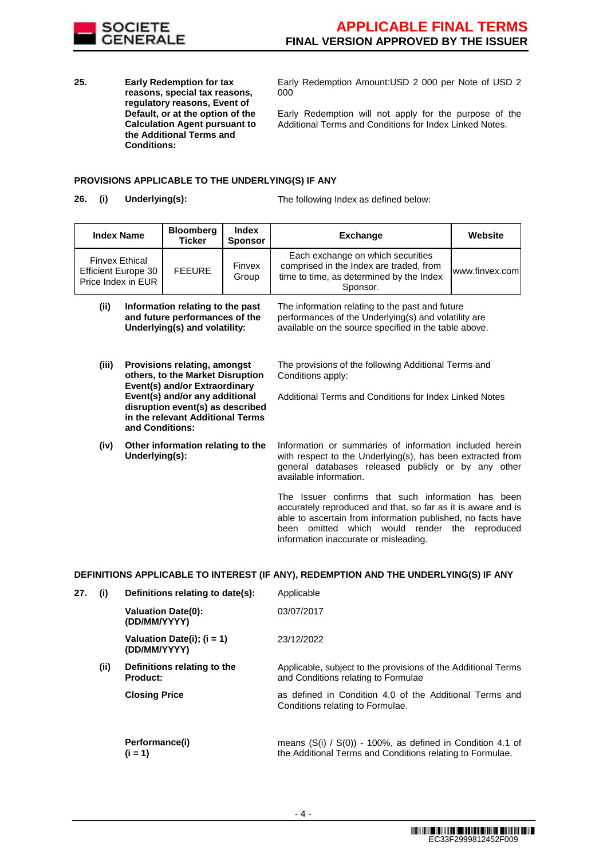

**25. Early Redemption for tax reasons, special tax reasons, regulatory reasons, Event of Default, or at the option of the Calculation Agent pursuant to the Additional Terms and Conditions:**

Early Redemption Amount:USD 2 000 per Note of USD 2 000

Early Redemption will not apply for the purpose of the Additional Terms and Conditions for Index Linked Notes.

### **PROVISIONS APPLICABLE TO THE UNDERLYING(S) IF ANY**

**26. (i) Underlying(s):** The following Index as defined below:

| <b>Index Name</b>                                                         | <b>Bloomberg</b><br><b>Ticker</b> | <b>Index</b><br><b>Sponsor</b> | <b>Exchange</b>                                                                                                                      | Website<br>www.finvex.com |  |  |
|---------------------------------------------------------------------------|-----------------------------------|--------------------------------|--------------------------------------------------------------------------------------------------------------------------------------|---------------------------|--|--|
| <b>Finvex Ethical</b><br><b>Efficient Europe 30</b><br>Price Index in EUR | <b>FEEURE</b>                     | Finvex<br>Group                | Each exchange on which securities<br>comprised in the Index are traded, from<br>time to time, as determined by the Index<br>Sponsor. |                           |  |  |

| (ii) | Information relating to the past | The i  |
|------|----------------------------------|--------|
|      | and future performances of the   | perfo  |
|      | Underlying(s) and volatility:    | availa |
|      |                                  |        |

- **(iii) Provisions relating, amongst others, to the Market Disruption Event(s) and/or Extraordinary Event(s) and/or any additional disruption event(s) as described in the relevant Additional Terms and Conditions:**
- **(iv) Other information relating to the Underlying(s):**

information relating to the past and future rmances of the Underlying(s) and volatility are able on the source specified in the table above.

The provisions of the following Additional Terms and Conditions apply:

Additional Terms and Conditions for Index Linked Notes

Information or summaries of information included herein with respect to the Underlying(s), has been extracted from general databases released publicly or by any other available information.

The Issuer confirms that such information has been accurately reproduced and that, so far as it is aware and is able to ascertain from information published, no facts have been omitted which would render the reproduced information inaccurate or misleading.

### **DEFINITIONS APPLICABLE TO INTEREST (IF ANY), REDEMPTION AND THE UNDERLYING(S) IF ANY**

| 27. | (i)  | Definitions relating to date(s):             | Applicable                                                                                                                  |
|-----|------|----------------------------------------------|-----------------------------------------------------------------------------------------------------------------------------|
|     |      | <b>Valuation Date(0):</b><br>(DD/MM/YYYY)    | 03/07/2017                                                                                                                  |
|     |      | Valuation Date(i); $(i = 1)$<br>(DD/MM/YYYY) | 23/12/2022                                                                                                                  |
|     | (ii) | Definitions relating to the<br>Product:      | Applicable, subject to the provisions of the Additional Terms<br>and Conditions relating to Formulae                        |
|     |      | <b>Closing Price</b>                         | as defined in Condition 4.0 of the Additional Terms and<br>Conditions relating to Formulae.                                 |
|     |      | Performance(i)<br>$(i = 1)$                  | means $(S(i) / S(0)) - 100\%$ , as defined in Condition 4.1 of<br>the Additional Terms and Conditions relating to Formulae. |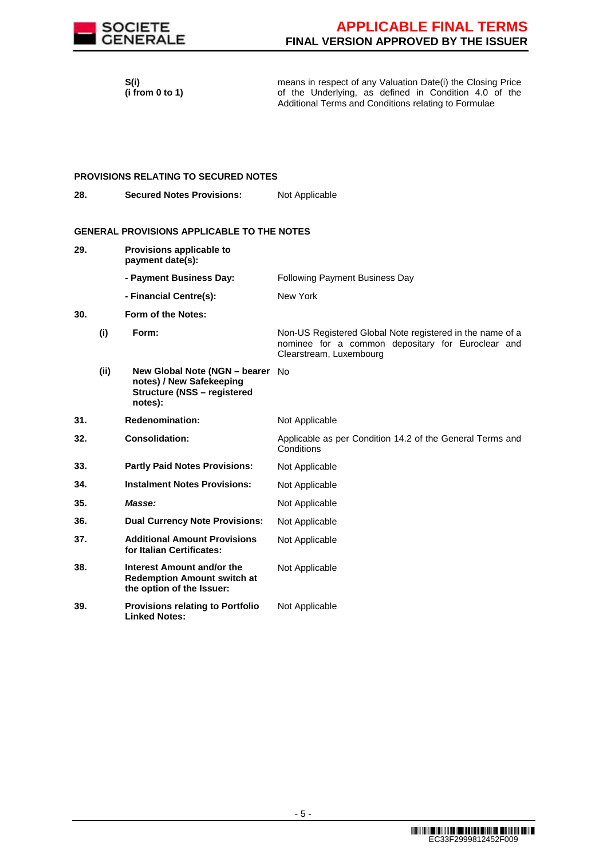

 **S(i) (i from 0 to 1)**  means in respect of any Valuation Date(i) the Closing Price of the Underlying, as defined in Condition 4.0 of the Additional Terms and Conditions relating to Formulae

#### **PROVISIONS RELATING TO SECURED NOTES**

**28. Secured Notes Provisions:** Not Applicable

### **GENERAL PROVISIONS APPLICABLE TO THE NOTES**

**29. Provisions applicable to payment date(s): - Payment Business Day:** Following Payment Business Day **- Financial Centre(s):** New York **30. Form of the Notes: (i) Form:** Non-US Registered Global Note registered in the name of a nominee for a common depositary for Euroclear and Clearstream, Luxembourg **(ii) New Global Note (NGN – bearer**  No **notes) / New Safekeeping Structure (NSS – registered notes): 31. Redenomination:** Not Applicable **32. Consolidation:** Applicable as per Condition 14.2 of the General Terms and **Conditions 33. Partly Paid Notes Provisions:** Not Applicable **34. Instalment Notes Provisions:** Not Applicable **35. Masse: Masse:** Not Applicable **36. Dual Currency Note Provisions:** Not Applicable **37. Additional Amount Provisions for Italian Certificates:** Not Applicable **38. Interest Amount and/or the Redemption Amount switch at the option of the Issuer:** Not Applicable **39. Provisions relating to Portfolio Linked Notes:** Not Applicable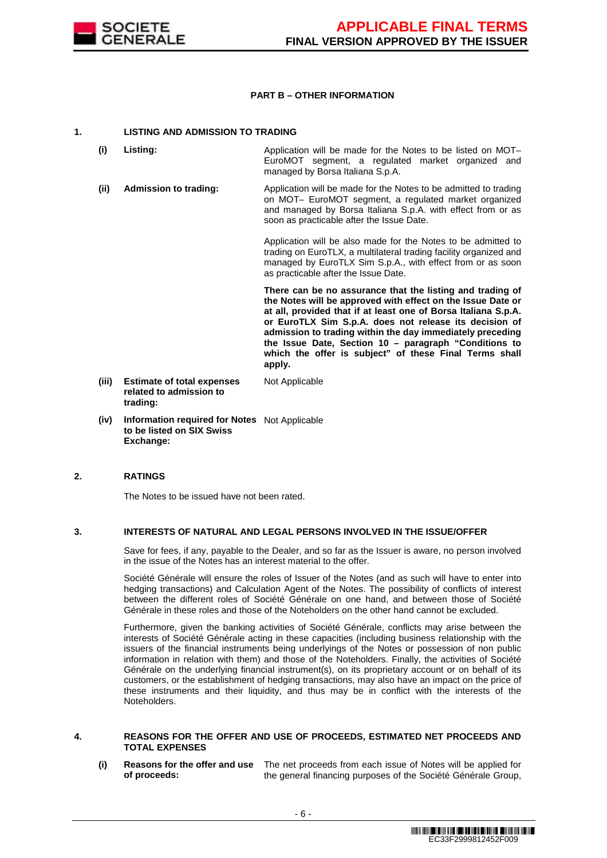

### **PART B – OTHER INFORMATION**

### **1. LISTING AND ADMISSION TO TRADING**

- **(i) Listing:** Application will be made for the Notes to be listed on MOT– EuroMOT segment, a regulated market organized and managed by Borsa Italiana S.p.A.
- **(ii) Admission to trading:** Application will be made for the Notes to be admitted to trading on MOT– EuroMOT segment, a regulated market organized and managed by Borsa Italiana S.p.A. with effect from or as soon as practicable after the Issue Date.

Application will be also made for the Notes to be admitted to trading on EuroTLX, a multilateral trading facility organized and managed by EuroTLX Sim S.p.A., with effect from or as soon as practicable after the Issue Date.

 **There can be no assurance that the listing and trading of the Notes will be approved with effect on the Issue Date or at all, provided that if at least one of Borsa Italiana S.p.A. or EuroTLX Sim S.p.A. does not release its decision of admission to trading within the day immediately preceding the Issue Date, Section 10 – paragraph "Conditions to which the offer is subject" of these Final Terms shall apply.**

- **(iii) Estimate of total expenses related to admission to trading:** Not Applicable
- **(iv) Information required for Notes**  Not Applicable **to be listed on SIX Swiss Exchange:**

## **2. RATINGS**

The Notes to be issued have not been rated.

### **3. INTERESTS OF NATURAL AND LEGAL PERSONS INVOLVED IN THE ISSUE/OFFER**

 Save for fees, if any, payable to the Dealer, and so far as the Issuer is aware, no person involved in the issue of the Notes has an interest material to the offer.

 Société Générale will ensure the roles of Issuer of the Notes (and as such will have to enter into hedging transactions) and Calculation Agent of the Notes. The possibility of conflicts of interest between the different roles of Société Générale on one hand, and between those of Société Générale in these roles and those of the Noteholders on the other hand cannot be excluded.

 Furthermore, given the banking activities of Société Générale, conflicts may arise between the interests of Société Générale acting in these capacities (including business relationship with the issuers of the financial instruments being underlyings of the Notes or possession of non public information in relation with them) and those of the Noteholders. Finally, the activities of Société Générale on the underlying financial instrument(s), on its proprietary account or on behalf of its customers, or the establishment of hedging transactions, may also have an impact on the price of these instruments and their liquidity, and thus may be in conflict with the interests of the Noteholders.

### **4. REASONS FOR THE OFFER AND USE OF PROCEEDS, ESTIMATED NET PROCEEDS AND TOTAL EXPENSES**

**(i) Reasons for the offer and use**  The net proceeds from each issue of Notes will be applied for **of proceeds:** the general financing purposes of the Société Générale Group,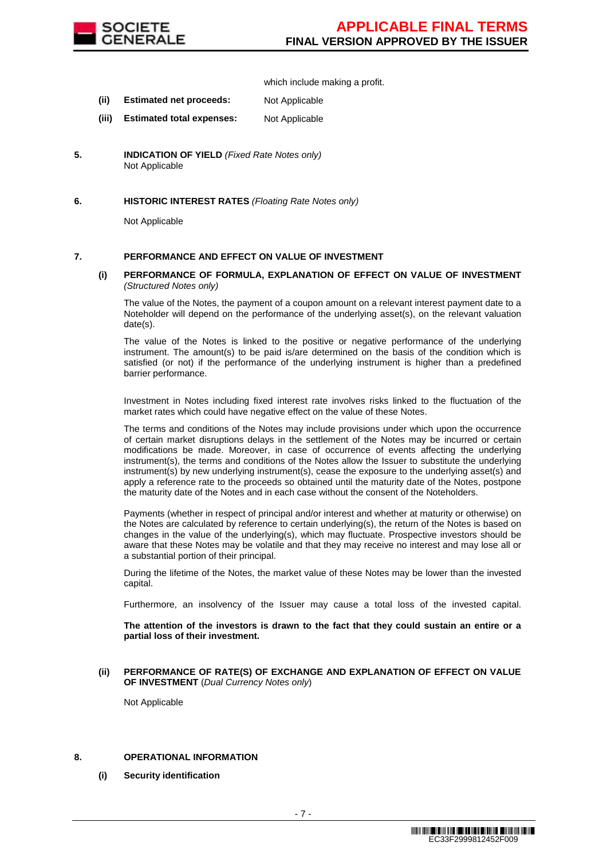

which include making a profit.

- **(ii) Estimated net proceeds:** Not Applicable
- **(iii) Estimated total expenses:** Not Applicable
- **5. INDICATION OF YIELD** (Fixed Rate Notes only) Not Applicable

### **6. HISTORIC INTEREST RATES** (Floating Rate Notes only)

Not Applicable

### **7. PERFORMANCE AND EFFECT ON VALUE OF INVESTMENT**

**(i) PERFORMANCE OF FORMULA, EXPLANATION OF EFFECT ON VALUE OF INVESTMENT** (Structured Notes only)

 The value of the Notes, the payment of a coupon amount on a relevant interest payment date to a Noteholder will depend on the performance of the underlying asset(s), on the relevant valuation date(s).

 The value of the Notes is linked to the positive or negative performance of the underlying instrument. The amount(s) to be paid is/are determined on the basis of the condition which is satisfied (or not) if the performance of the underlying instrument is higher than a predefined barrier performance.

 Investment in Notes including fixed interest rate involves risks linked to the fluctuation of the market rates which could have negative effect on the value of these Notes.

 The terms and conditions of the Notes may include provisions under which upon the occurrence of certain market disruptions delays in the settlement of the Notes may be incurred or certain modifications be made. Moreover, in case of occurrence of events affecting the underlying instrument(s), the terms and conditions of the Notes allow the Issuer to substitute the underlying instrument(s) by new underlying instrument(s), cease the exposure to the underlying asset(s) and apply a reference rate to the proceeds so obtained until the maturity date of the Notes, postpone the maturity date of the Notes and in each case without the consent of the Noteholders.

Payments (whether in respect of principal and/or interest and whether at maturity or otherwise) on the Notes are calculated by reference to certain underlying(s), the return of the Notes is based on changes in the value of the underlying(s), which may fluctuate. Prospective investors should be aware that these Notes may be volatile and that they may receive no interest and may lose all or a substantial portion of their principal.

 During the lifetime of the Notes, the market value of these Notes may be lower than the invested capital.

Furthermore, an insolvency of the Issuer may cause a total loss of the invested capital.

**The attention of the investors is drawn to the fact that they could sustain an entire or a partial loss of their investment.**

#### **(ii) PERFORMANCE OF RATE(S) OF EXCHANGE AND EXPLANATION OF EFFECT ON VALUE OF INVESTMENT** (Dual Currency Notes only)

Not Applicable

## **8. OPERATIONAL INFORMATION**

**(i) Security identification**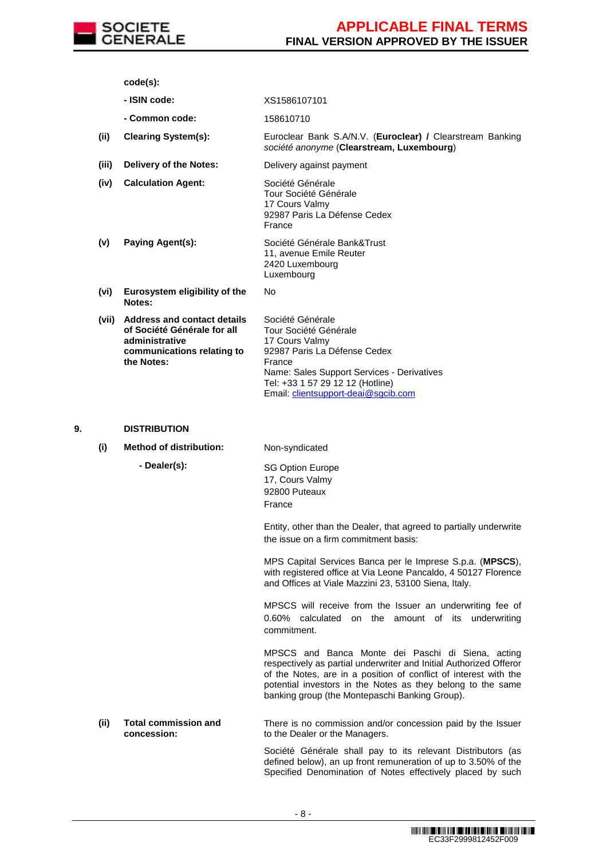

**code(s):**

- **- ISIN code:** XS1586107101
- **- Common code:** 158610710

**(ii) Clearing System(s):** Euroclear Bank S.A/N.V. (**Euroclear) /** Clearstream Banking société anonyme (**Clearstream, Luxembourg**)

**(iii) Delivery of the Notes:** Delivery against payment

**(iv) Calculation Agent:** Société Générale Tour Société Générale 17 Cours Valmy 92987 Paris La Défense Cedex France

**(v) Paying Agent(s):** Société Générale Bank&Trust 11, avenue Emile Reuter 2420 Luxembourg Luxembourg

No

- **(vi) Eurosystem eligibility of the Notes:**
- **(vii) Address and contact details of Société Générale for all administrative communications relating to the Notes:**

Société Générale Tour Société Générale 17 Cours Valmy 92987 Paris La Défense Cedex France Name: Sales Support Services - Derivatives Tel: +33 1 57 29 12 12 (Hotline) Email: clientsupport-deai@sgcib.com

### **9. DISTRIBUTION**

**(i) Method of distribution:** Non-syndicated

 **- Dealer(s):** SG Option Europe 17, Cours Valmy 92800 Puteaux France

> Entity, other than the Dealer, that agreed to partially underwrite the issue on a firm commitment basis:

> MPS Capital Services Banca per le Imprese S.p.a. (**MPSCS**), with registered office at Via Leone Pancaldo, 4 50127 Florence and Offices at Viale Mazzini 23, 53100 Siena, Italy.

> MPSCS will receive from the Issuer an underwriting fee of 0.60% calculated on the amount of its underwriting commitment.

> MPSCS and Banca Monte dei Paschi di Siena, acting respectively as partial underwriter and Initial Authorized Offeror of the Notes, are in a position of conflict of interest with the potential investors in the Notes as they belong to the same banking group (the Montepaschi Banking Group).

**(ii) Total commission and concession:** There is no commission and/or concession paid by the Issuer to the Dealer or the Managers.

> Société Générale shall pay to its relevant Distributors (as defined below), an up front remuneration of up to 3.50% of the Specified Denomination of Notes effectively placed by such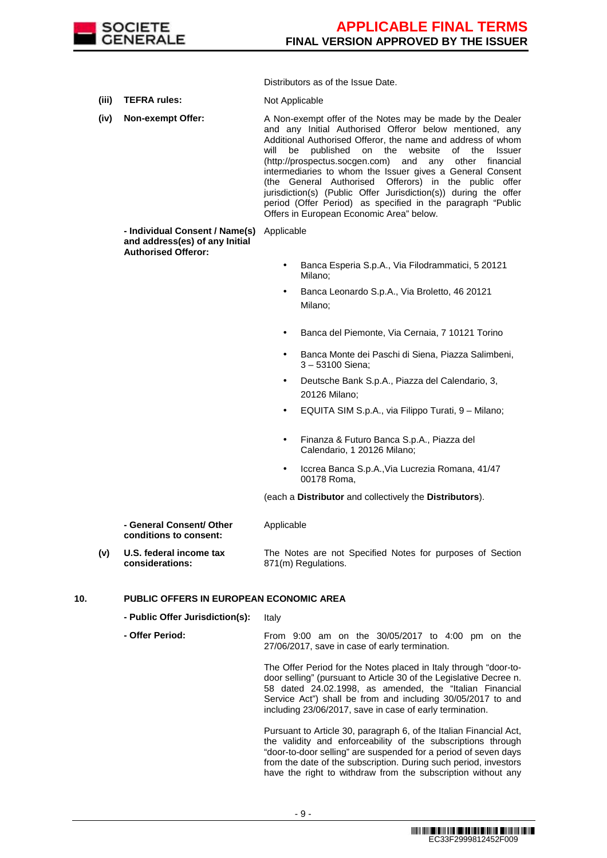

Distributors as of the Issue Date.

**(iii) TEFRA rules:** Not Applicable

**(iv) Non-exempt Offer:** A Non-exempt offer of the Notes may be made by the Dealer and any Initial Authorised Offeror below mentioned, any Additional Authorised Offeror, the name and address of whom will be published on the website of the Issuer (http://prospectus.socgen.com) and any other financial intermediaries to whom the Issuer gives a General Consent (the General Authorised Offerors) in the public offer jurisdiction(s) (Public Offer Jurisdiction(s)) during the offer period (Offer Period) as specified in the paragraph "Public Offers in European Economic Area" below.

 **- Individual Consent / Name(s)**  Applicable **and address(es) of any Initial Authorised Offeror:**

- Banca Esperia S.p.A., Via Filodrammatici, 5 20121 Milano;
- Banca Leonardo S.p.A., Via Broletto, 46 20121 Milano;
- Banca del Piemonte, Via Cernaia, 7 10121 Torino
- Banca Monte dei Paschi di Siena, Piazza Salimbeni, 3 – 53100 Siena;
- Deutsche Bank S.p.A., Piazza del Calendario, 3, 20126 Milano;
- EQUITA SIM S.p.A., via Filippo Turati, 9 Milano;
- Finanza & Futuro Banca S.p.A., Piazza del Calendario, 1 20126 Milano;
- Iccrea Banca S.p.A.,Via Lucrezia Romana, 41/47 00178 Roma,

(each a **Distributor** and collectively the **Distributors**).

| - General Consent/ Other | Applicable |  |
|--------------------------|------------|--|
| conditions to consent:   |            |  |
|                          |            |  |

**(v) U.S. federal income tax considerations:** The Notes are not Specified Notes for purposes of Section 871(m) Regulations.

### **10. PUBLIC OFFERS IN EUROPEAN ECONOMIC AREA**

**- Public Offer Jurisdiction(s):** Italy

 **- Offer Period:** From 9:00 am on the 30/05/2017 to 4:00 pm on the 27/06/2017, save in case of early termination.

> The Offer Period for the Notes placed in Italy through "door-todoor selling" (pursuant to Article 30 of the Legislative Decree n. 58 dated 24.02.1998, as amended, the "Italian Financial Service Act") shall be from and including 30/05/2017 to and including 23/06/2017, save in case of early termination.

> Pursuant to Article 30, paragraph 6, of the Italian Financial Act, the validity and enforceability of the subscriptions through "door-to-door selling" are suspended for a period of seven days from the date of the subscription. During such period, investors have the right to withdraw from the subscription without any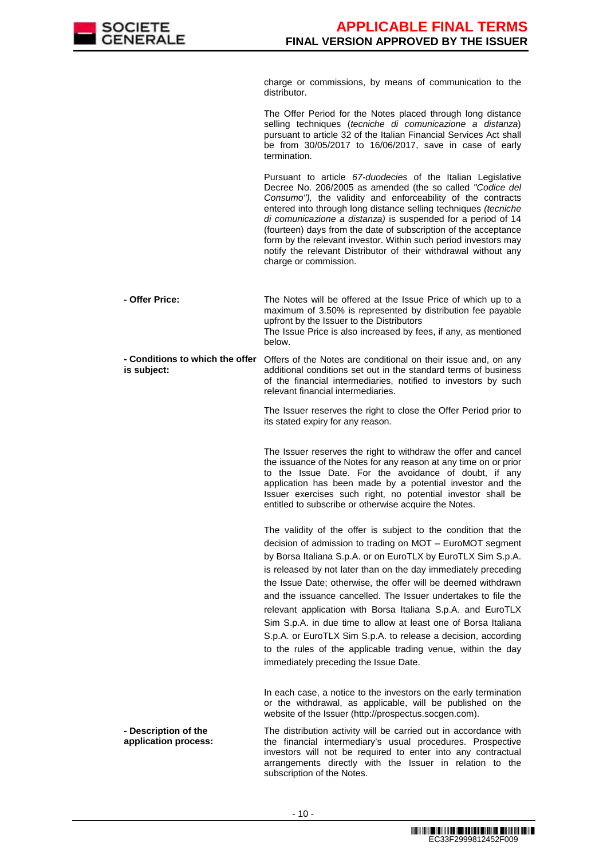

charge or commissions, by means of communication to the distributor.

The Offer Period for the Notes placed through long distance selling techniques (tecniche di comunicazione a distanza) pursuant to article 32 of the Italian Financial Services Act shall be from 30/05/2017 to 16/06/2017, save in case of early termination.

Pursuant to article 67-duodecies of the Italian Legislative Decree No. 206/2005 as amended (the so called "Codice del Consumo"), the validity and enforceability of the contracts entered into through long distance selling techniques (tecniche di comunicazione a distanza) is suspended for a period of 14 (fourteen) days from the date of subscription of the acceptance form by the relevant investor. Within such period investors may notify the relevant Distributor of their withdrawal without any charge or commission.

 **- Offer Price:** The Notes will be offered at the Issue Price of which up to a maximum of 3.50% is represented by distribution fee payable upfront by the Issuer to the Distributors The Issue Price is also increased by fees, if any, as mentioned below.

 **- Conditions to which the offer is subject:** Offers of the Notes are conditional on their issue and, on any additional conditions set out in the standard terms of business of the financial intermediaries, notified to investors by such relevant financial intermediaries.

> The Issuer reserves the right to close the Offer Period prior to its stated expiry for any reason.

> The Issuer reserves the right to withdraw the offer and cancel the issuance of the Notes for any reason at any time on or prior to the Issue Date. For the avoidance of doubt, if any application has been made by a potential investor and the Issuer exercises such right, no potential investor shall be entitled to subscribe or otherwise acquire the Notes.

> The validity of the offer is subject to the condition that the decision of admission to trading on MOT – EuroMOT segment by Borsa Italiana S.p.A. or on EuroTLX by EuroTLX Sim S.p.A. is released by not later than on the day immediately preceding the Issue Date; otherwise, the offer will be deemed withdrawn and the issuance cancelled. The Issuer undertakes to file the relevant application with Borsa Italiana S.p.A. and EuroTLX Sim S.p.A. in due time to allow at least one of Borsa Italiana S.p.A. or EuroTLX Sim S.p.A. to release a decision, according to the rules of the applicable trading venue, within the day immediately preceding the Issue Date.

In each case, a notice to the investors on the early termination or the withdrawal, as applicable, will be published on the website of the Issuer (http://prospectus.socgen.com).

 **- Description of the application process:** The distribution activity will be carried out in accordance with the financial intermediary's usual procedures. Prospective investors will not be required to enter into any contractual arrangements directly with the Issuer in relation to the subscription of the Notes.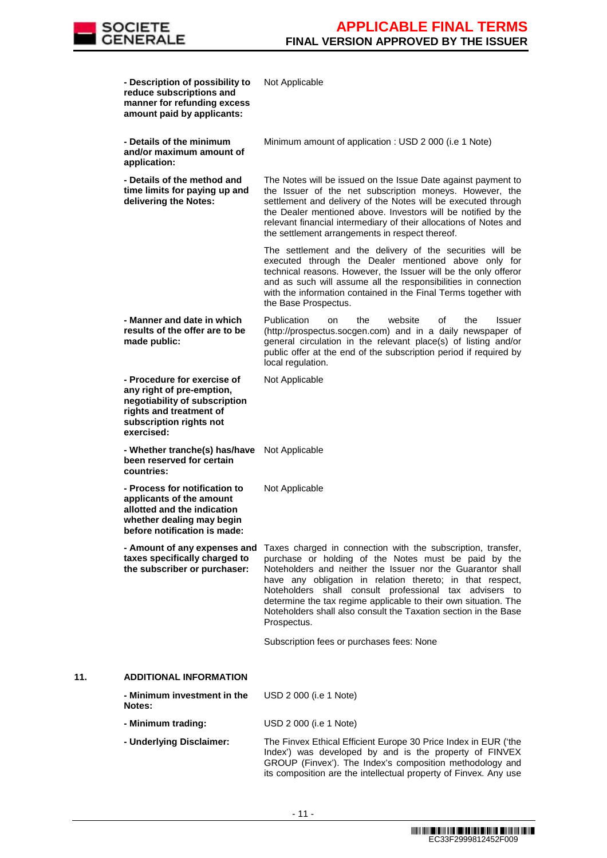

|     | - Description of possibility to<br>reduce subscriptions and<br>manner for refunding excess<br>amount paid by applicants:                                      | Not Applicable                                                                                                                                                                                                                                                                                                                                                                                                                                                 |
|-----|---------------------------------------------------------------------------------------------------------------------------------------------------------------|----------------------------------------------------------------------------------------------------------------------------------------------------------------------------------------------------------------------------------------------------------------------------------------------------------------------------------------------------------------------------------------------------------------------------------------------------------------|
|     | - Details of the minimum<br>and/or maximum amount of<br>application:                                                                                          | Minimum amount of application : USD 2 000 (i.e 1 Note)                                                                                                                                                                                                                                                                                                                                                                                                         |
|     | - Details of the method and<br>time limits for paying up and<br>delivering the Notes:                                                                         | The Notes will be issued on the Issue Date against payment to<br>the Issuer of the net subscription moneys. However, the<br>settlement and delivery of the Notes will be executed through<br>the Dealer mentioned above. Investors will be notified by the<br>relevant financial intermediary of their allocations of Notes and<br>the settlement arrangements in respect thereof.                                                                             |
|     |                                                                                                                                                               | The settlement and the delivery of the securities will be<br>executed through the Dealer mentioned above only for<br>technical reasons. However, the Issuer will be the only offeror<br>and as such will assume all the responsibilities in connection<br>with the information contained in the Final Terms together with<br>the Base Prospectus.                                                                                                              |
|     | - Manner and date in which<br>results of the offer are to be<br>made public:                                                                                  | Publication<br>of<br>the<br>website<br>the<br><b>Issuer</b><br>on<br>(http://prospectus.socgen.com) and in a daily newspaper of<br>general circulation in the relevant place(s) of listing and/or<br>public offer at the end of the subscription period if required by<br>local regulation.                                                                                                                                                                    |
|     | - Procedure for exercise of<br>any right of pre-emption,<br>negotiability of subscription<br>rights and treatment of<br>subscription rights not<br>exercised: | Not Applicable                                                                                                                                                                                                                                                                                                                                                                                                                                                 |
|     | - Whether tranche(s) has/have<br>been reserved for certain<br>countries:                                                                                      | Not Applicable                                                                                                                                                                                                                                                                                                                                                                                                                                                 |
|     | - Process for notification to<br>applicants of the amount<br>allotted and the indication<br>whether dealing may begin<br>before notification is made:         | Not Applicable                                                                                                                                                                                                                                                                                                                                                                                                                                                 |
|     | - Amount of any expenses and<br>taxes specifically charged to<br>the subscriber or purchaser:                                                                 | Taxes charged in connection with the subscription, transfer,<br>purchase or holding of the Notes must be paid by the<br>Noteholders and neither the Issuer nor the Guarantor shall<br>have any obligation in relation thereto; in that respect,<br>Noteholders shall consult professional tax advisers to<br>determine the tax regime applicable to their own situation. The<br>Noteholders shall also consult the Taxation section in the Base<br>Prospectus. |
|     |                                                                                                                                                               | Subscription fees or purchases fees: None                                                                                                                                                                                                                                                                                                                                                                                                                      |
| 11. | <b>ADDITIONAL INFORMATION</b>                                                                                                                                 |                                                                                                                                                                                                                                                                                                                                                                                                                                                                |
|     | - Minimum investment in the<br>Notes:                                                                                                                         | USD 2 000 (i.e 1 Note)                                                                                                                                                                                                                                                                                                                                                                                                                                         |
|     | - Minimum trading:                                                                                                                                            | USD 2 000 (i.e 1 Note)                                                                                                                                                                                                                                                                                                                                                                                                                                         |
|     | - Underlying Disclaimer:                                                                                                                                      | The Finvex Ethical Efficient Europe 30 Price Index in EUR ('the<br>Index') was developed by and is the property of FINVEX<br>GROUP (Finvex'). The Index's composition methodology and<br>its composition are the intellectual property of Finvex. Any use                                                                                                                                                                                                      |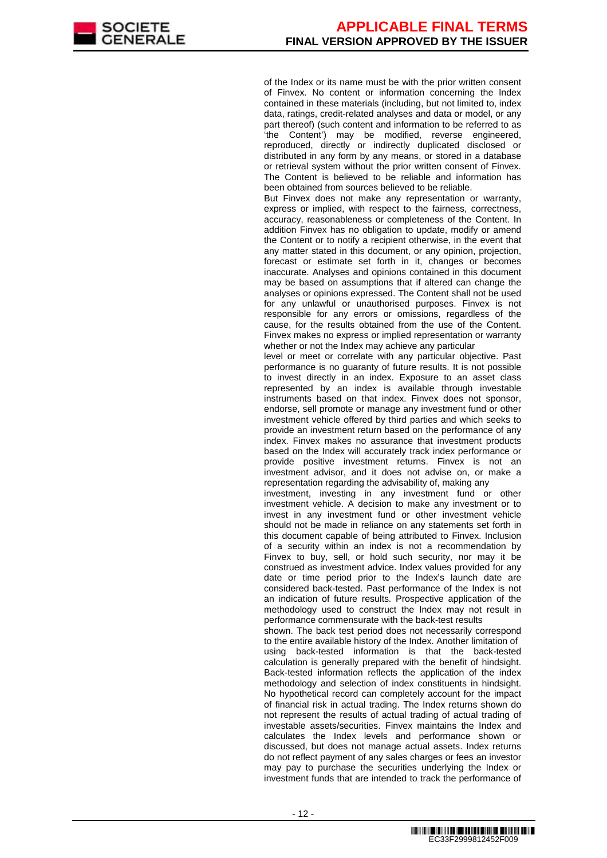of the Index or its name must be with the prior written consent of Finvex. No content or information concerning the Index contained in these materials (including, but not limited to, index data, ratings, credit-related analyses and data or model, or any part thereof) (such content and information to be referred to as 'the Content') may be modified, reverse engineered, reproduced, directly or indirectly duplicated disclosed or distributed in any form by any means, or stored in a database or retrieval system without the prior written consent of Finvex. The Content is believed to be reliable and information has been obtained from sources believed to be reliable.

But Finvex does not make any representation or warranty, express or implied, with respect to the fairness, correctness, accuracy, reasonableness or completeness of the Content. In addition Finvex has no obligation to update, modify or amend the Content or to notify a recipient otherwise, in the event that any matter stated in this document, or any opinion, projection, forecast or estimate set forth in it, changes or becomes inaccurate. Analyses and opinions contained in this document may be based on assumptions that if altered can change the analyses or opinions expressed. The Content shall not be used for any unlawful or unauthorised purposes. Finvex is not responsible for any errors or omissions, regardless of the cause, for the results obtained from the use of the Content. Finvex makes no express or implied representation or warranty whether or not the Index may achieve any particular

level or meet or correlate with any particular objective. Past performance is no guaranty of future results. It is not possible to invest directly in an index. Exposure to an asset class represented by an index is available through investable instruments based on that index. Finvex does not sponsor, endorse, sell promote or manage any investment fund or other investment vehicle offered by third parties and which seeks to provide an investment return based on the performance of any index. Finvex makes no assurance that investment products based on the Index will accurately track index performance or provide positive investment returns. Finvex is not an investment advisor, and it does not advise on, or make a representation regarding the advisability of, making any

investment, investing in any investment fund or other investment vehicle. A decision to make any investment or to invest in any investment fund or other investment vehicle should not be made in reliance on any statements set forth in this document capable of being attributed to Finvex. Inclusion of a security within an index is not a recommendation by Finvex to buy, sell, or hold such security, nor may it be construed as investment advice. Index values provided for any date or time period prior to the Index's launch date are considered back-tested. Past performance of the Index is not an indication of future results. Prospective application of the methodology used to construct the Index may not result in performance commensurate with the back-test results

shown. The back test period does not necessarily correspond to the entire available history of the Index. Another limitation of using back-tested information is that the back-tested calculation is generally prepared with the benefit of hindsight. Back-tested information reflects the application of the index methodology and selection of index constituents in hindsight. No hypothetical record can completely account for the impact of financial risk in actual trading. The Index returns shown do not represent the results of actual trading of actual trading of investable assets/securities. Finvex maintains the Index and calculates the Index levels and performance shown or discussed, but does not manage actual assets. Index returns do not reflect payment of any sales charges or fees an investor may pay to purchase the securities underlying the Index or investment funds that are intended to track the performance of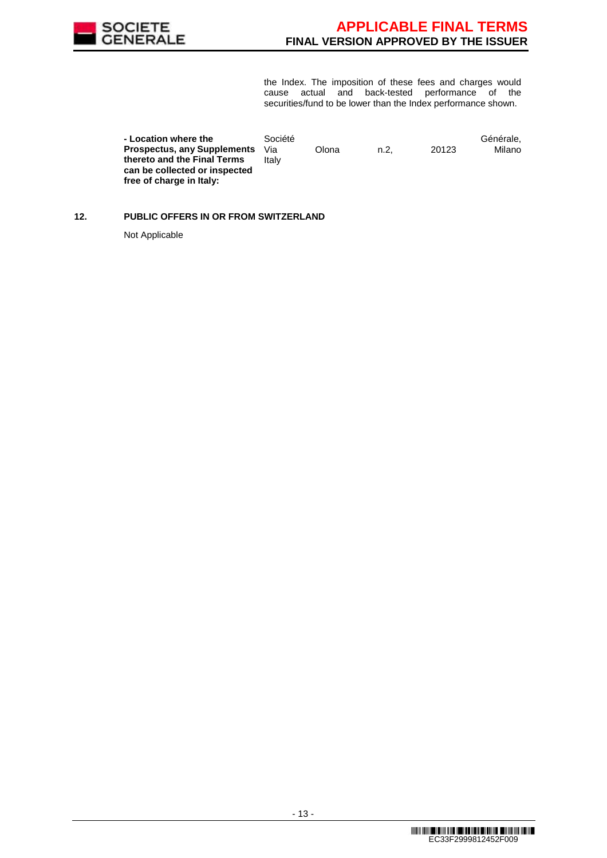

the Index. The imposition of these fees and charges would cause actual and back-tested performance of the securities/fund to be lower than the Index performance shown.

| - Location where the               | Société |       |      |       | Générale, |
|------------------------------------|---------|-------|------|-------|-----------|
| <b>Prospectus, any Supplements</b> | Via     | Olona | n.2. | 20123 | Milano    |
| thereto and the Final Terms        | Italv   |       |      |       |           |
| can be collected or inspected      |         |       |      |       |           |
| free of charge in Italy:           |         |       |      |       |           |

# **12. PUBLIC OFFERS IN OR FROM SWITZERLAND**

Not Applicable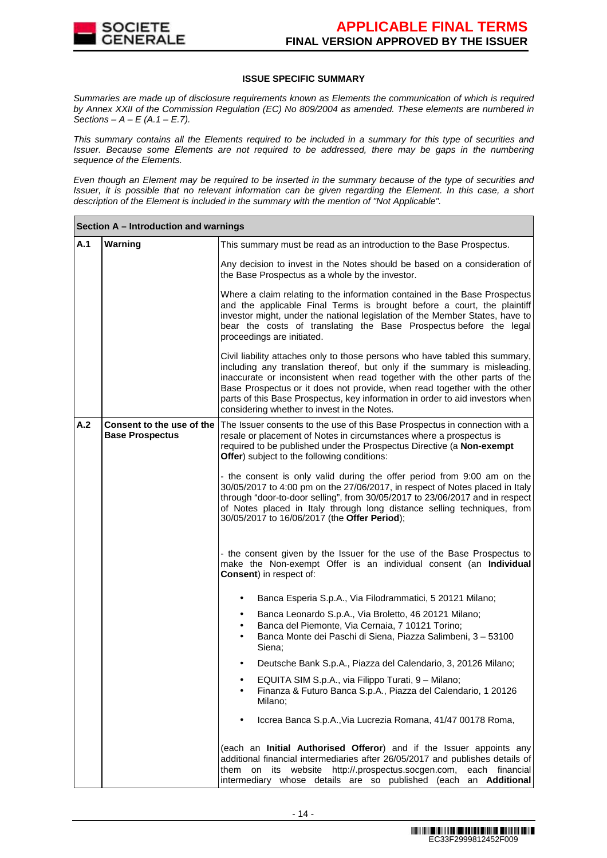

### **ISSUE SPECIFIC SUMMARY**

Summaries are made up of disclosure requirements known as Elements the communication of which is required by Annex XXII of the Commission Regulation (EC) No 809/2004 as amended. These elements are numbered in Sections –  $A - E(A.1 - E.7)$ .

This summary contains all the Elements required to be included in a summary for this type of securities and Issuer. Because some Elements are not required to be addressed, there may be gaps in the numbering sequence of the Elements.

Even though an Element may be required to be inserted in the summary because of the type of securities and Issuer, it is possible that no relevant information can be given regarding the Element. In this case, a short description of the Element is included in the summary with the mention of "Not Applicable".

|     | Section A - Introduction and warnings               |                                                                                                                                                                                                                                                                                                                                                                                                                                                     |
|-----|-----------------------------------------------------|-----------------------------------------------------------------------------------------------------------------------------------------------------------------------------------------------------------------------------------------------------------------------------------------------------------------------------------------------------------------------------------------------------------------------------------------------------|
| A.1 | Warning                                             | This summary must be read as an introduction to the Base Prospectus.                                                                                                                                                                                                                                                                                                                                                                                |
|     |                                                     | Any decision to invest in the Notes should be based on a consideration of<br>the Base Prospectus as a whole by the investor.                                                                                                                                                                                                                                                                                                                        |
|     |                                                     | Where a claim relating to the information contained in the Base Prospectus<br>and the applicable Final Terms is brought before a court, the plaintiff<br>investor might, under the national legislation of the Member States, have to<br>bear the costs of translating the Base Prospectus before the legal<br>proceedings are initiated.                                                                                                           |
|     |                                                     | Civil liability attaches only to those persons who have tabled this summary,<br>including any translation thereof, but only if the summary is misleading,<br>inaccurate or inconsistent when read together with the other parts of the<br>Base Prospectus or it does not provide, when read together with the other<br>parts of this Base Prospectus, key information in order to aid investors when<br>considering whether to invest in the Notes. |
| A.2 | Consent to the use of the<br><b>Base Prospectus</b> | The Issuer consents to the use of this Base Prospectus in connection with a<br>resale or placement of Notes in circumstances where a prospectus is<br>required to be published under the Prospectus Directive (a Non-exempt<br>Offer) subject to the following conditions:                                                                                                                                                                          |
|     |                                                     | - the consent is only valid during the offer period from 9:00 am on the<br>30/05/2017 to 4:00 pm on the 27/06/2017, in respect of Notes placed in Italy<br>through "door-to-door selling", from 30/05/2017 to 23/06/2017 and in respect<br>of Notes placed in Italy through long distance selling techniques, from<br>30/05/2017 to 16/06/2017 (the Offer Period);                                                                                  |
|     |                                                     | - the consent given by the Issuer for the use of the Base Prospectus to<br>make the Non-exempt Offer is an individual consent (an Individual<br>Consent) in respect of:                                                                                                                                                                                                                                                                             |
|     |                                                     | Banca Esperia S.p.A., Via Filodrammatici, 5 20121 Milano;                                                                                                                                                                                                                                                                                                                                                                                           |
|     |                                                     | Banca Leonardo S.p.A., Via Broletto, 46 20121 Milano;<br>$\bullet$<br>Banca del Piemonte, Via Cernaia, 7 10121 Torino;<br>$\bullet$<br>Banca Monte dei Paschi di Siena, Piazza Salimbeni, 3 - 53100<br>$\bullet$<br>Siena;                                                                                                                                                                                                                          |
|     |                                                     | Deutsche Bank S.p.A., Piazza del Calendario, 3, 20126 Milano;                                                                                                                                                                                                                                                                                                                                                                                       |
|     |                                                     | EQUITA SIM S.p.A., via Filippo Turati, 9 – Milano;<br>Finanza & Futuro Banca S.p.A., Piazza del Calendario, 1 20126<br>Milano;                                                                                                                                                                                                                                                                                                                      |
|     |                                                     | Iccrea Banca S.p.A., Via Lucrezia Romana, 41/47 00178 Roma,                                                                                                                                                                                                                                                                                                                                                                                         |
|     |                                                     | (each an Initial Authorised Offeror) and if the Issuer appoints any<br>additional financial intermediaries after 26/05/2017 and publishes details of<br>them on its website http://.prospectus.socgen.com,<br>each financial<br>intermediary whose details are so published (each an Additional                                                                                                                                                     |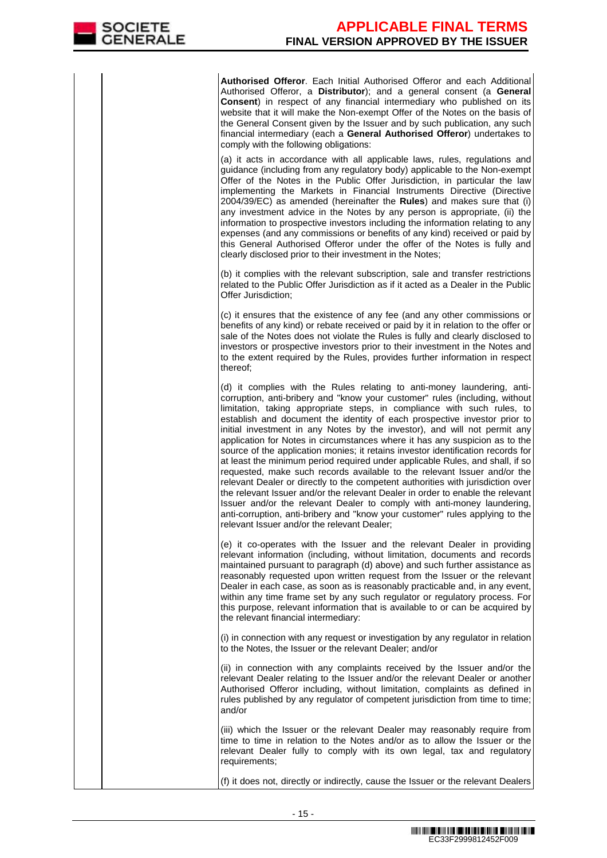**Authorised Offeror**. Each Initial Authorised Offeror and each Additional Authorised Offeror, a **Distributor**); and a general consent (a **General Consent**) in respect of any financial intermediary who published on its website that it will make the Non-exempt Offer of the Notes on the basis of the General Consent given by the Issuer and by such publication, any such financial intermediary (each a **General Authorised Offeror**) undertakes to comply with the following obligations:

 (a) it acts in accordance with all applicable laws, rules, regulations and guidance (including from any regulatory body) applicable to the Non-exempt Offer of the Notes in the Public Offer Jurisdiction, in particular the law implementing the Markets in Financial Instruments Directive (Directive 2004/39/EC) as amended (hereinafter the **Rules**) and makes sure that (i) any investment advice in the Notes by any person is appropriate, (ii) the information to prospective investors including the information relating to any expenses (and any commissions or benefits of any kind) received or paid by this General Authorised Offeror under the offer of the Notes is fully and clearly disclosed prior to their investment in the Notes;

(b) it complies with the relevant subscription, sale and transfer restrictions related to the Public Offer Jurisdiction as if it acted as a Dealer in the Public Offer Jurisdiction;

(c) it ensures that the existence of any fee (and any other commissions or benefits of any kind) or rebate received or paid by it in relation to the offer or sale of the Notes does not violate the Rules is fully and clearly disclosed to investors or prospective investors prior to their investment in the Notes and to the extent required by the Rules, provides further information in respect thereof;

(d) it complies with the Rules relating to anti-money laundering, anticorruption, anti-bribery and "know your customer" rules (including, without limitation, taking appropriate steps, in compliance with such rules, to establish and document the identity of each prospective investor prior to initial investment in any Notes by the investor), and will not permit any application for Notes in circumstances where it has any suspicion as to the source of the application monies; it retains investor identification records for at least the minimum period required under applicable Rules, and shall, if so requested, make such records available to the relevant Issuer and/or the relevant Dealer or directly to the competent authorities with jurisdiction over the relevant Issuer and/or the relevant Dealer in order to enable the relevant Issuer and/or the relevant Dealer to comply with anti-money laundering, anti-corruption, anti-bribery and "know your customer" rules applying to the relevant Issuer and/or the relevant Dealer;

(e) it co-operates with the Issuer and the relevant Dealer in providing relevant information (including, without limitation, documents and records maintained pursuant to paragraph (d) above) and such further assistance as reasonably requested upon written request from the Issuer or the relevant Dealer in each case, as soon as is reasonably practicable and, in any event, within any time frame set by any such regulator or regulatory process. For this purpose, relevant information that is available to or can be acquired by the relevant financial intermediary:

(i) in connection with any request or investigation by any regulator in relation to the Notes, the Issuer or the relevant Dealer; and/or

(ii) in connection with any complaints received by the Issuer and/or the relevant Dealer relating to the Issuer and/or the relevant Dealer or another Authorised Offeror including, without limitation, complaints as defined in rules published by any regulator of competent jurisdiction from time to time; and/or

(iii) which the Issuer or the relevant Dealer may reasonably require from time to time in relation to the Notes and/or as to allow the Issuer or the relevant Dealer fully to comply with its own legal, tax and regulatory requirements;

(f) it does not, directly or indirectly, cause the Issuer or the relevant Dealers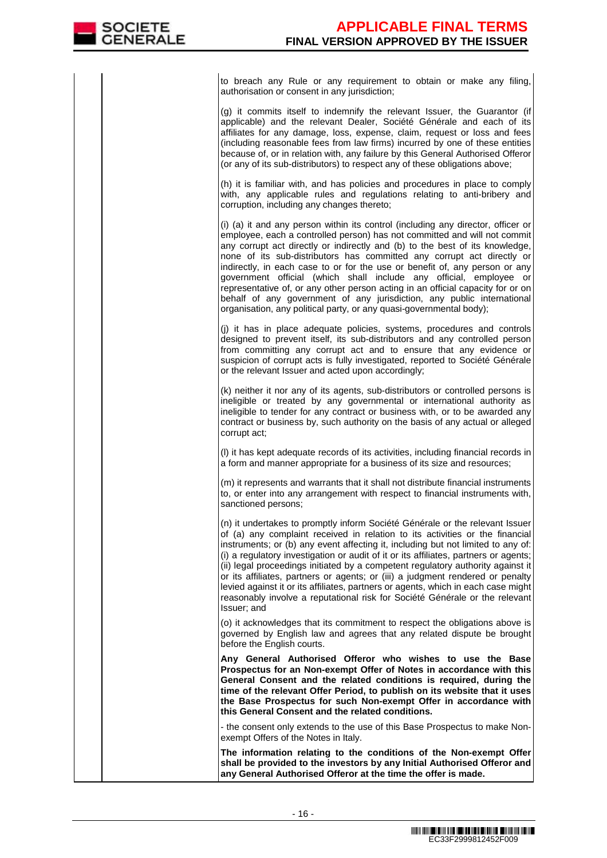to breach any Rule or any requirement to obtain or make any filing, authorisation or consent in any jurisdiction;

(g) it commits itself to indemnify the relevant Issuer, the Guarantor (if applicable) and the relevant Dealer, Société Générale and each of its affiliates for any damage, loss, expense, claim, request or loss and fees (including reasonable fees from law firms) incurred by one of these entities because of, or in relation with, any failure by this General Authorised Offeror (or any of its sub-distributors) to respect any of these obligations above;

(h) it is familiar with, and has policies and procedures in place to comply with, any applicable rules and regulations relating to anti-bribery and corruption, including any changes thereto;

(i) (a) it and any person within its control (including any director, officer or employee, each a controlled person) has not committed and will not commit any corrupt act directly or indirectly and (b) to the best of its knowledge, none of its sub-distributors has committed any corrupt act directly or indirectly, in each case to or for the use or benefit of, any person or any government official (which shall include any official, employee or representative of, or any other person acting in an official capacity for or on behalf of any government of any jurisdiction, any public international organisation, any political party, or any quasi-governmental body);

(j) it has in place adequate policies, systems, procedures and controls designed to prevent itself, its sub-distributors and any controlled person from committing any corrupt act and to ensure that any evidence or suspicion of corrupt acts is fully investigated, reported to Société Générale or the relevant Issuer and acted upon accordingly;

(k) neither it nor any of its agents, sub-distributors or controlled persons is ineligible or treated by any governmental or international authority as ineligible to tender for any contract or business with, or to be awarded any contract or business by, such authority on the basis of any actual or alleged corrupt act;

(l) it has kept adequate records of its activities, including financial records in a form and manner appropriate for a business of its size and resources;

(m) it represents and warrants that it shall not distribute financial instruments to, or enter into any arrangement with respect to financial instruments with, sanctioned persons;

(n) it undertakes to promptly inform Société Générale or the relevant Issuer of (a) any complaint received in relation to its activities or the financial instruments; or (b) any event affecting it, including but not limited to any of: (i) a regulatory investigation or audit of it or its affiliates, partners or agents; (ii) legal proceedings initiated by a competent regulatory authority against it or its affiliates, partners or agents; or (iii) a judgment rendered or penalty levied against it or its affiliates, partners or agents, which in each case might reasonably involve a reputational risk for Société Générale or the relevant Issuer; and

 (o) it acknowledges that its commitment to respect the obligations above is governed by English law and agrees that any related dispute be brought before the English courts.

 **Any General Authorised Offeror who wishes to use the Base Prospectus for an Non-exempt Offer of Notes in accordance with this General Consent and the related conditions is required, during the time of the relevant Offer Period, to publish on its website that it uses the Base Prospectus for such Non-exempt Offer in accordance with this General Consent and the related conditions.**

 - the consent only extends to the use of this Base Prospectus to make Nonexempt Offers of the Notes in Italy.

 **The information relating to the conditions of the Non-exempt Offer shall be provided to the investors by any Initial Authorised Offeror and any General Authorised Offeror at the time the offer is made.**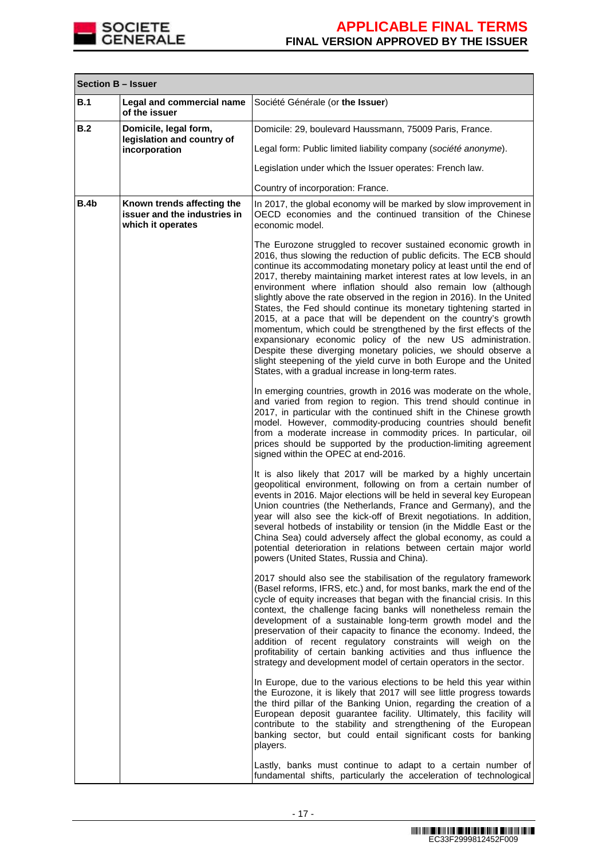

| <b>Section B - Issuer</b> |                                                                                 |                                                                                                                                                                                                                                                                                                                                                                                                                                                                                                                                                                                                                                                                                                                                                                                                                                                                                                                                                                                                                                                                                                                        |  |
|---------------------------|---------------------------------------------------------------------------------|------------------------------------------------------------------------------------------------------------------------------------------------------------------------------------------------------------------------------------------------------------------------------------------------------------------------------------------------------------------------------------------------------------------------------------------------------------------------------------------------------------------------------------------------------------------------------------------------------------------------------------------------------------------------------------------------------------------------------------------------------------------------------------------------------------------------------------------------------------------------------------------------------------------------------------------------------------------------------------------------------------------------------------------------------------------------------------------------------------------------|--|
| B.1                       | Legal and commercial name<br>of the issuer                                      | Société Générale (or the Issuer)                                                                                                                                                                                                                                                                                                                                                                                                                                                                                                                                                                                                                                                                                                                                                                                                                                                                                                                                                                                                                                                                                       |  |
| B.2                       | Domicile, legal form,<br>legislation and country of                             | Domicile: 29, boulevard Haussmann, 75009 Paris, France.                                                                                                                                                                                                                                                                                                                                                                                                                                                                                                                                                                                                                                                                                                                                                                                                                                                                                                                                                                                                                                                                |  |
|                           | incorporation                                                                   | Legal form: Public limited liability company (société anonyme).                                                                                                                                                                                                                                                                                                                                                                                                                                                                                                                                                                                                                                                                                                                                                                                                                                                                                                                                                                                                                                                        |  |
|                           |                                                                                 | Legislation under which the Issuer operates: French law.                                                                                                                                                                                                                                                                                                                                                                                                                                                                                                                                                                                                                                                                                                                                                                                                                                                                                                                                                                                                                                                               |  |
|                           |                                                                                 | Country of incorporation: France.                                                                                                                                                                                                                                                                                                                                                                                                                                                                                                                                                                                                                                                                                                                                                                                                                                                                                                                                                                                                                                                                                      |  |
| B.4b                      | Known trends affecting the<br>issuer and the industries in<br>which it operates | In 2017, the global economy will be marked by slow improvement in<br>OECD economies and the continued transition of the Chinese<br>economic model.                                                                                                                                                                                                                                                                                                                                                                                                                                                                                                                                                                                                                                                                                                                                                                                                                                                                                                                                                                     |  |
|                           |                                                                                 | The Eurozone struggled to recover sustained economic growth in<br>2016, thus slowing the reduction of public deficits. The ECB should<br>continue its accommodating monetary policy at least until the end of<br>2017, thereby maintaining market interest rates at low levels, in an<br>environment where inflation should also remain low (although<br>slightly above the rate observed in the region in 2016). In the United<br>States, the Fed should continue its monetary tightening started in<br>2015, at a pace that will be dependent on the country's growth<br>momentum, which could be strengthened by the first effects of the<br>expansionary economic policy of the new US administration.<br>Despite these diverging monetary policies, we should observe a<br>slight steepening of the yield curve in both Europe and the United<br>States, with a gradual increase in long-term rates.<br>In emerging countries, growth in 2016 was moderate on the whole,<br>and varied from region to region. This trend should continue in<br>2017, in particular with the continued shift in the Chinese growth |  |
|                           |                                                                                 | model. However, commodity-producing countries should benefit<br>from a moderate increase in commodity prices. In particular, oil<br>prices should be supported by the production-limiting agreement<br>signed within the OPEC at end-2016.                                                                                                                                                                                                                                                                                                                                                                                                                                                                                                                                                                                                                                                                                                                                                                                                                                                                             |  |
|                           |                                                                                 | It is also likely that 2017 will be marked by a highly uncertain<br>geopolitical environment, following on from a certain number of<br>events in 2016. Major elections will be held in several key European<br>Union countries (the Netherlands, France and Germany), and the<br>year will also see the kick-off of Brexit negotiations. In addition,<br>several hotbeds of instability or tension (in the Middle East or the<br>China Sea) could adversely affect the global economy, as could a<br>potential deterioration in relations between certain major world<br>powers (United States, Russia and China).                                                                                                                                                                                                                                                                                                                                                                                                                                                                                                     |  |
|                           |                                                                                 | 2017 should also see the stabilisation of the regulatory framework<br>(Basel reforms, IFRS, etc.) and, for most banks, mark the end of the<br>cycle of equity increases that began with the financial crisis. In this<br>context, the challenge facing banks will nonetheless remain the<br>development of a sustainable long-term growth model and the<br>preservation of their capacity to finance the economy. Indeed, the<br>addition of recent regulatory constraints will weigh on the<br>profitability of certain banking activities and thus influence the<br>strategy and development model of certain operators in the sector.                                                                                                                                                                                                                                                                                                                                                                                                                                                                               |  |
|                           |                                                                                 | In Europe, due to the various elections to be held this year within<br>the Eurozone, it is likely that 2017 will see little progress towards<br>the third pillar of the Banking Union, regarding the creation of a<br>European deposit guarantee facility. Ultimately, this facility will<br>contribute to the stability and strengthening of the European<br>banking sector, but could entail significant costs for banking<br>players.                                                                                                                                                                                                                                                                                                                                                                                                                                                                                                                                                                                                                                                                               |  |
|                           |                                                                                 | Lastly, banks must continue to adapt to a certain number of<br>fundamental shifts, particularly the acceleration of technological                                                                                                                                                                                                                                                                                                                                                                                                                                                                                                                                                                                                                                                                                                                                                                                                                                                                                                                                                                                      |  |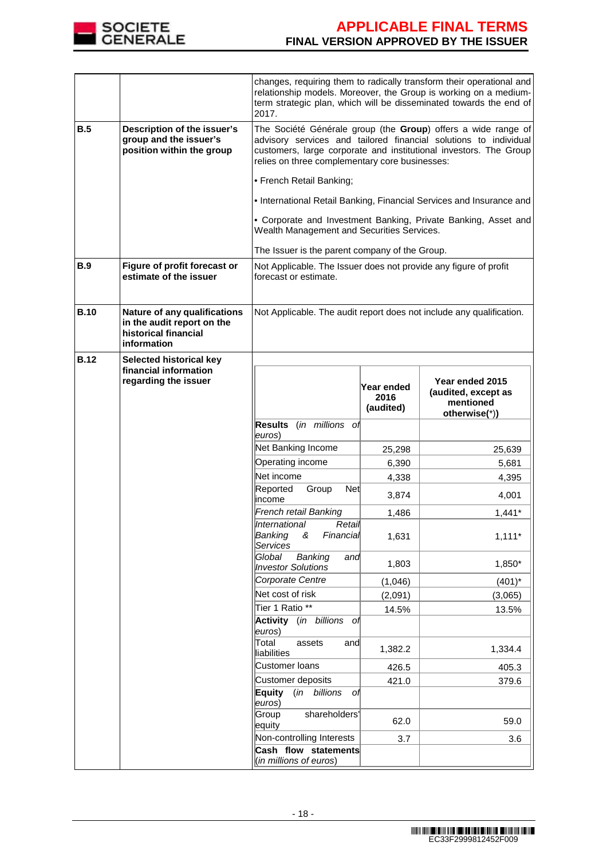

|             |                                                                                                   | 2017.                                                                                                                                                                                                                                                    |                                 | changes, requiring them to radically transform their operational and<br>relationship models. Moreover, the Group is working on a medium-<br>term strategic plan, which will be disseminated towards the end of |  |
|-------------|---------------------------------------------------------------------------------------------------|----------------------------------------------------------------------------------------------------------------------------------------------------------------------------------------------------------------------------------------------------------|---------------------------------|----------------------------------------------------------------------------------------------------------------------------------------------------------------------------------------------------------------|--|
| B.5         | Description of the issuer's<br>group and the issuer's<br>position within the group                | The Société Générale group (the Group) offers a wide range of<br>advisory services and tailored financial solutions to individual<br>customers, large corporate and institutional investors. The Group<br>relies on three complementary core businesses: |                                 |                                                                                                                                                                                                                |  |
|             |                                                                                                   | • French Retail Banking;                                                                                                                                                                                                                                 |                                 |                                                                                                                                                                                                                |  |
|             |                                                                                                   |                                                                                                                                                                                                                                                          |                                 | . International Retail Banking, Financial Services and Insurance and                                                                                                                                           |  |
|             |                                                                                                   | Wealth Management and Securities Services.                                                                                                                                                                                                               |                                 | • Corporate and Investment Banking, Private Banking, Asset and                                                                                                                                                 |  |
|             |                                                                                                   | The Issuer is the parent company of the Group.                                                                                                                                                                                                           |                                 |                                                                                                                                                                                                                |  |
| B.9         | Figure of profit forecast or<br>estimate of the issuer                                            | Not Applicable. The Issuer does not provide any figure of profit<br>forecast or estimate.                                                                                                                                                                |                                 |                                                                                                                                                                                                                |  |
| <b>B.10</b> | Nature of any qualifications<br>in the audit report on the<br>historical financial<br>information | Not Applicable. The audit report does not include any qualification.                                                                                                                                                                                     |                                 |                                                                                                                                                                                                                |  |
| <b>B.12</b> | Selected historical key                                                                           |                                                                                                                                                                                                                                                          |                                 |                                                                                                                                                                                                                |  |
|             | financial information<br>regarding the issuer                                                     |                                                                                                                                                                                                                                                          | Year ended<br>2016<br>(audited) | Year ended 2015<br>(audited, except as<br>mentioned<br>otherwise(*))                                                                                                                                           |  |
|             |                                                                                                   | Results (in millions of<br>euros)                                                                                                                                                                                                                        |                                 |                                                                                                                                                                                                                |  |
|             |                                                                                                   | Net Banking Income                                                                                                                                                                                                                                       | 25,298                          | 25,639                                                                                                                                                                                                         |  |
|             |                                                                                                   | Operating income                                                                                                                                                                                                                                         | 6,390                           | 5,681                                                                                                                                                                                                          |  |
|             |                                                                                                   | Net income<br>Net                                                                                                                                                                                                                                        | 4,338                           | 4,395                                                                                                                                                                                                          |  |
|             |                                                                                                   | Reported<br>Group<br>income                                                                                                                                                                                                                              | 3,874                           | 4,001                                                                                                                                                                                                          |  |
|             |                                                                                                   | French retail Banking                                                                                                                                                                                                                                    | 1,486                           | $1,441*$                                                                                                                                                                                                       |  |
|             |                                                                                                   | International<br>Retail<br>Banking<br>&<br>Financial<br>Services                                                                                                                                                                                         | 1,631                           | $1,111*$                                                                                                                                                                                                       |  |
|             |                                                                                                   | Global<br>Banking<br>and<br><b>Investor Solutions</b>                                                                                                                                                                                                    | 1,803                           | 1,850*                                                                                                                                                                                                         |  |
|             |                                                                                                   | Corporate Centre                                                                                                                                                                                                                                         | (1,046)                         | $(401)^*$                                                                                                                                                                                                      |  |
|             |                                                                                                   | Net cost of risk                                                                                                                                                                                                                                         | (2,091)                         | (3,065)                                                                                                                                                                                                        |  |
|             |                                                                                                   | Tier 1 Ratio **<br>Activity (in billions of                                                                                                                                                                                                              | 14.5%                           | 13.5%                                                                                                                                                                                                          |  |
|             |                                                                                                   | euros)                                                                                                                                                                                                                                                   |                                 |                                                                                                                                                                                                                |  |
|             |                                                                                                   | Total<br>assets<br>and<br>liabilities                                                                                                                                                                                                                    | 1,382.2                         | 1,334.4                                                                                                                                                                                                        |  |
|             |                                                                                                   | Customer loans                                                                                                                                                                                                                                           | 426.5                           | 405.3                                                                                                                                                                                                          |  |
|             |                                                                                                   | Customer deposits<br>Equity<br>(in<br>billions<br>оf                                                                                                                                                                                                     | 421.0                           | 379.6                                                                                                                                                                                                          |  |
|             |                                                                                                   | euros)                                                                                                                                                                                                                                                   |                                 |                                                                                                                                                                                                                |  |
|             |                                                                                                   | Group<br>shareholders'<br>equity                                                                                                                                                                                                                         | 62.0                            | 59.0                                                                                                                                                                                                           |  |
|             |                                                                                                   | Non-controlling Interests                                                                                                                                                                                                                                | 3.7                             | 3.6                                                                                                                                                                                                            |  |
|             |                                                                                                   | Cash flow statements<br>(in millions of euros)                                                                                                                                                                                                           |                                 |                                                                                                                                                                                                                |  |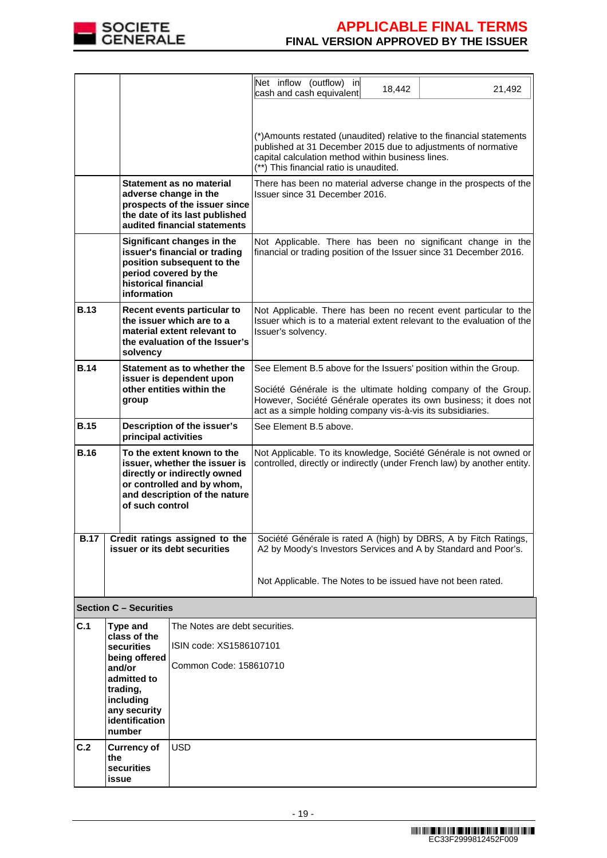

|                                                                                                                                                                                              |                                                                                                                                                                                                         |                                                                                                                                                      | Net inflow (outflow) in<br>cash and cash equivalent                                                                                                                                                                                                                    | 18,442                                                                                                                                         | 21,492                                                                                                                            |  |  |
|----------------------------------------------------------------------------------------------------------------------------------------------------------------------------------------------|---------------------------------------------------------------------------------------------------------------------------------------------------------------------------------------------------------|------------------------------------------------------------------------------------------------------------------------------------------------------|------------------------------------------------------------------------------------------------------------------------------------------------------------------------------------------------------------------------------------------------------------------------|------------------------------------------------------------------------------------------------------------------------------------------------|-----------------------------------------------------------------------------------------------------------------------------------|--|--|
|                                                                                                                                                                                              |                                                                                                                                                                                                         |                                                                                                                                                      |                                                                                                                                                                                                                                                                        |                                                                                                                                                |                                                                                                                                   |  |  |
|                                                                                                                                                                                              |                                                                                                                                                                                                         |                                                                                                                                                      | (*) Amounts restated (unaudited) relative to the financial statements<br>published at 31 December 2015 due to adjustments of normative<br>capital calculation method within business lines.<br>(**) This financial ratio is unaudited.                                 |                                                                                                                                                |                                                                                                                                   |  |  |
|                                                                                                                                                                                              |                                                                                                                                                                                                         | Statement as no material<br>adverse change in the<br>prospects of the issuer since<br>the date of its last published<br>audited financial statements | Issuer since 31 December 2016.                                                                                                                                                                                                                                         |                                                                                                                                                | There has been no material adverse change in the prospects of the                                                                 |  |  |
|                                                                                                                                                                                              | historical financial<br>information                                                                                                                                                                     | Significant changes in the<br>issuer's financial or trading<br>position subsequent to the<br>period covered by the                                   | financial or trading position of the Issuer since 31 December 2016.                                                                                                                                                                                                    |                                                                                                                                                | Not Applicable. There has been no significant change in the                                                                       |  |  |
| <b>B.13</b>                                                                                                                                                                                  | Recent events particular to<br>the issuer which are to a<br>material extent relevant to<br>the evaluation of the Issuer's<br>solvency                                                                   |                                                                                                                                                      | Issuer's solvency.                                                                                                                                                                                                                                                     | Not Applicable. There has been no recent event particular to the<br>Issuer which is to a material extent relevant to the evaluation of the     |                                                                                                                                   |  |  |
| <b>B.14</b>                                                                                                                                                                                  | Statement as to whether the<br>issuer is dependent upon<br>other entities within the<br>group                                                                                                           |                                                                                                                                                      | See Element B.5 above for the Issuers' position within the Group.<br>Société Générale is the ultimate holding company of the Group.<br>However, Société Générale operates its own business; it does not<br>act as a simple holding company vis-à-vis its subsidiaries. |                                                                                                                                                |                                                                                                                                   |  |  |
| <b>B.15</b>                                                                                                                                                                                  | principal activities                                                                                                                                                                                    | Description of the issuer's                                                                                                                          | See Element B.5 above.                                                                                                                                                                                                                                                 |                                                                                                                                                |                                                                                                                                   |  |  |
| <b>B.16</b><br>To the extent known to the<br>issuer, whether the issuer is<br>directly or indirectly owned<br>or controlled and by whom,<br>and description of the nature<br>of such control |                                                                                                                                                                                                         |                                                                                                                                                      |                                                                                                                                                                                                                                                                        | Not Applicable. To its knowledge, Société Générale is not owned or<br>controlled, directly or indirectly (under French law) by another entity. |                                                                                                                                   |  |  |
| <b>B.17</b>                                                                                                                                                                                  |                                                                                                                                                                                                         | Credit ratings assigned to the<br>issuer or its debt securities                                                                                      |                                                                                                                                                                                                                                                                        |                                                                                                                                                | Société Générale is rated A (high) by DBRS, A by Fitch Ratings,<br>A2 by Moody's Investors Services and A by Standard and Poor's. |  |  |
|                                                                                                                                                                                              |                                                                                                                                                                                                         |                                                                                                                                                      | Not Applicable. The Notes to be issued have not been rated.                                                                                                                                                                                                            |                                                                                                                                                |                                                                                                                                   |  |  |
|                                                                                                                                                                                              | <b>Section C - Securities</b>                                                                                                                                                                           |                                                                                                                                                      |                                                                                                                                                                                                                                                                        |                                                                                                                                                |                                                                                                                                   |  |  |
| C.1                                                                                                                                                                                          | Type and<br>The Notes are debt securities.<br>class of the<br>ISIN code: XS1586107101<br><b>securities</b><br>being offered<br>Common Code: 158610710<br>and/or<br>admitted to<br>trading,<br>including |                                                                                                                                                      |                                                                                                                                                                                                                                                                        |                                                                                                                                                |                                                                                                                                   |  |  |
|                                                                                                                                                                                              | any security<br>identification<br>number                                                                                                                                                                |                                                                                                                                                      |                                                                                                                                                                                                                                                                        |                                                                                                                                                |                                                                                                                                   |  |  |
| C.2                                                                                                                                                                                          | <b>Currency of</b><br>the<br>securities<br>issue                                                                                                                                                        | <b>USD</b>                                                                                                                                           |                                                                                                                                                                                                                                                                        |                                                                                                                                                |                                                                                                                                   |  |  |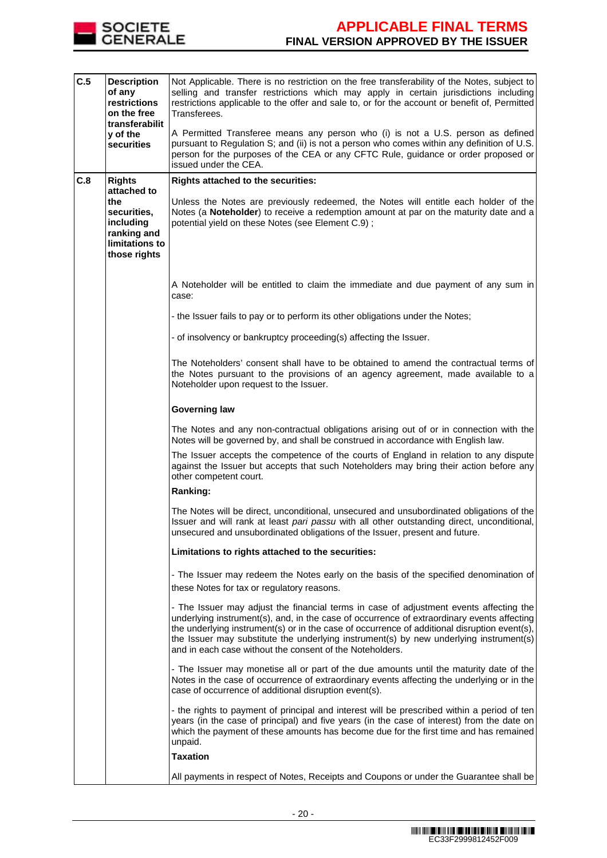

| C.5 | <b>Description</b><br>of any<br>restrictions<br>on the free<br>transferabilit<br>y of the<br><b>securities</b> | Not Applicable. There is no restriction on the free transferability of the Notes, subject to<br>selling and transfer restrictions which may apply in certain jurisdictions including<br>restrictions applicable to the offer and sale to, or for the account or benefit of, Permitted<br>Transferees.<br>A Permitted Transferee means any person who (i) is not a U.S. person as defined<br>pursuant to Regulation S; and (ii) is not a person who comes within any definition of U.S.<br>person for the purposes of the CEA or any CFTC Rule, guidance or order proposed or<br>issued under the CEA. |
|-----|----------------------------------------------------------------------------------------------------------------|-------------------------------------------------------------------------------------------------------------------------------------------------------------------------------------------------------------------------------------------------------------------------------------------------------------------------------------------------------------------------------------------------------------------------------------------------------------------------------------------------------------------------------------------------------------------------------------------------------|
| C.8 | <b>Rights</b>                                                                                                  | <b>Rights attached to the securities:</b>                                                                                                                                                                                                                                                                                                                                                                                                                                                                                                                                                             |
|     | attached to<br>the                                                                                             | Unless the Notes are previously redeemed, the Notes will entitle each holder of the                                                                                                                                                                                                                                                                                                                                                                                                                                                                                                                   |
|     | securities,<br>including<br>ranking and<br>limitations to<br>those rights                                      | Notes (a Noteholder) to receive a redemption amount at par on the maturity date and a<br>potential yield on these Notes (see Element C.9);                                                                                                                                                                                                                                                                                                                                                                                                                                                            |
|     |                                                                                                                |                                                                                                                                                                                                                                                                                                                                                                                                                                                                                                                                                                                                       |
|     |                                                                                                                | A Noteholder will be entitled to claim the immediate and due payment of any sum in<br>case:                                                                                                                                                                                                                                                                                                                                                                                                                                                                                                           |
|     |                                                                                                                | - the Issuer fails to pay or to perform its other obligations under the Notes;                                                                                                                                                                                                                                                                                                                                                                                                                                                                                                                        |
|     |                                                                                                                | - of insolvency or bankruptcy proceeding(s) affecting the Issuer.                                                                                                                                                                                                                                                                                                                                                                                                                                                                                                                                     |
|     |                                                                                                                | The Noteholders' consent shall have to be obtained to amend the contractual terms of<br>the Notes pursuant to the provisions of an agency agreement, made available to a<br>Noteholder upon request to the Issuer.                                                                                                                                                                                                                                                                                                                                                                                    |
|     |                                                                                                                | <b>Governing law</b>                                                                                                                                                                                                                                                                                                                                                                                                                                                                                                                                                                                  |
|     |                                                                                                                | The Notes and any non-contractual obligations arising out of or in connection with the<br>Notes will be governed by, and shall be construed in accordance with English law.                                                                                                                                                                                                                                                                                                                                                                                                                           |
|     |                                                                                                                | The Issuer accepts the competence of the courts of England in relation to any dispute<br>against the Issuer but accepts that such Noteholders may bring their action before any<br>other competent court.                                                                                                                                                                                                                                                                                                                                                                                             |
|     |                                                                                                                | Ranking:                                                                                                                                                                                                                                                                                                                                                                                                                                                                                                                                                                                              |
|     |                                                                                                                | The Notes will be direct, unconditional, unsecured and unsubordinated obligations of the<br>Issuer and will rank at least pari passu with all other outstanding direct, unconditional,<br>unsecured and unsubordinated obligations of the Issuer, present and future.                                                                                                                                                                                                                                                                                                                                 |
|     |                                                                                                                | Limitations to rights attached to the securities:                                                                                                                                                                                                                                                                                                                                                                                                                                                                                                                                                     |
|     |                                                                                                                | - The Issuer may redeem the Notes early on the basis of the specified denomination of<br>these Notes for tax or regulatory reasons.                                                                                                                                                                                                                                                                                                                                                                                                                                                                   |
|     |                                                                                                                | - The Issuer may adjust the financial terms in case of adjustment events affecting the<br>underlying instrument(s), and, in the case of occurrence of extraordinary events affecting<br>the underlying instrument(s) or in the case of occurrence of additional disruption event(s),<br>the Issuer may substitute the underlying instrument(s) by new underlying instrument(s)<br>and in each case without the consent of the Noteholders.                                                                                                                                                            |
|     |                                                                                                                | - The Issuer may monetise all or part of the due amounts until the maturity date of the<br>Notes in the case of occurrence of extraordinary events affecting the underlying or in the<br>case of occurrence of additional disruption event(s).                                                                                                                                                                                                                                                                                                                                                        |
|     |                                                                                                                | - the rights to payment of principal and interest will be prescribed within a period of ten<br>years (in the case of principal) and five years (in the case of interest) from the date on<br>which the payment of these amounts has become due for the first time and has remained<br>unpaid.                                                                                                                                                                                                                                                                                                         |
|     |                                                                                                                | <b>Taxation</b>                                                                                                                                                                                                                                                                                                                                                                                                                                                                                                                                                                                       |
|     |                                                                                                                | All payments in respect of Notes, Receipts and Coupons or under the Guarantee shall be                                                                                                                                                                                                                                                                                                                                                                                                                                                                                                                |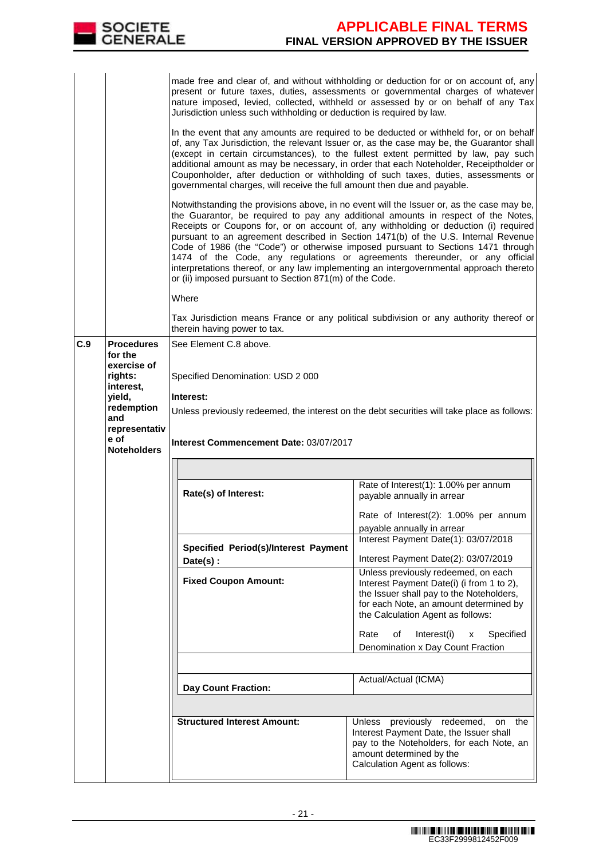|     | <b>SOCIETE</b><br><b>GENERALE</b>                                                                                                                 |                                                                                                                                                                                                                                                       | <b>APPLICABLE FINAL TERMS</b><br><b>FINAL VERSION APPROVED BY THE ISSUER</b>                                                                                                                                                                                                                                                                                                                                                                                                                                                                                                                                                                                                                                                                                                                                                                                                                                                                                                                                                                                                                                                                                                                                                                                                                                                                                                                                                                           |
|-----|---------------------------------------------------------------------------------------------------------------------------------------------------|-------------------------------------------------------------------------------------------------------------------------------------------------------------------------------------------------------------------------------------------------------|--------------------------------------------------------------------------------------------------------------------------------------------------------------------------------------------------------------------------------------------------------------------------------------------------------------------------------------------------------------------------------------------------------------------------------------------------------------------------------------------------------------------------------------------------------------------------------------------------------------------------------------------------------------------------------------------------------------------------------------------------------------------------------------------------------------------------------------------------------------------------------------------------------------------------------------------------------------------------------------------------------------------------------------------------------------------------------------------------------------------------------------------------------------------------------------------------------------------------------------------------------------------------------------------------------------------------------------------------------------------------------------------------------------------------------------------------------|
|     |                                                                                                                                                   | Jurisdiction unless such withholding or deduction is required by law.<br>governmental charges, will receive the full amount then due and payable.<br>or (ii) imposed pursuant to Section 871(m) of the Code.<br>Where<br>therein having power to tax. | made free and clear of, and without withholding or deduction for or on account of, any<br>present or future taxes, duties, assessments or governmental charges of whatever<br>nature imposed, levied, collected, withheld or assessed by or on behalf of any Tax<br>In the event that any amounts are required to be deducted or withheld for, or on behalf<br>of, any Tax Jurisdiction, the relevant Issuer or, as the case may be, the Guarantor shall<br>(except in certain circumstances), to the fullest extent permitted by law, pay such<br>additional amount as may be necessary, in order that each Noteholder, Receiptholder or<br>Couponholder, after deduction or withholding of such taxes, duties, assessments or<br>Notwithstanding the provisions above, in no event will the Issuer or, as the case may be,<br>the Guarantor, be required to pay any additional amounts in respect of the Notes,<br>Receipts or Coupons for, or on account of, any withholding or deduction (i) required<br>pursuant to an agreement described in Section 1471(b) of the U.S. Internal Revenue<br>Code of 1986 (the "Code") or otherwise imposed pursuant to Sections 1471 through<br>1474 of the Code, any regulations or agreements thereunder, or any official<br>interpretations thereof, or any law implementing an intergovernmental approach thereto<br>Tax Jurisdiction means France or any political subdivision or any authority thereof or |
| C.9 | <b>Procedures</b><br>for the<br>exercise of<br>rights:<br>interest,<br>yield,<br>redemption<br>and<br>representativ<br>e of<br><b>Noteholders</b> | See Element C.8 above.<br>Specified Denomination: USD 2 000<br>Interest:<br>Interest Commencement Date: 03/07/2017                                                                                                                                    | Unless previously redeemed, the interest on the debt securities will take place as follows:                                                                                                                                                                                                                                                                                                                                                                                                                                                                                                                                                                                                                                                                                                                                                                                                                                                                                                                                                                                                                                                                                                                                                                                                                                                                                                                                                            |
|     |                                                                                                                                                   | Rate(s) of Interest:<br>Specified Period(s)/Interest Payment<br>Date(s) :<br><b>Fixed Coupon Amount:</b>                                                                                                                                              | Rate of Interest(1): 1.00% per annum<br>payable annually in arrear<br>Rate of Interest(2): 1.00% per annum<br>payable annually in arrear<br>Interest Payment Date(1): 03/07/2018<br>Interest Payment Date(2): 03/07/2019<br>Unless previously redeemed, on each<br>Interest Payment Date(i) (i from 1 to 2),<br>the Issuer shall pay to the Noteholders,<br>for each Note, an amount determined by<br>the Calculation Agent as follows:<br>Rate<br>of<br>Interest(i)<br>Specified<br>x<br>Denomination x Day Count Fraction<br>Actual/Actual (ICMA)                                                                                                                                                                                                                                                                                                                                                                                                                                                                                                                                                                                                                                                                                                                                                                                                                                                                                                    |
|     |                                                                                                                                                   | <b>Day Count Fraction:</b><br><b>Structured Interest Amount:</b>                                                                                                                                                                                      | Unless previously redeemed,<br>on the<br>Interest Payment Date, the Issuer shall<br>pay to the Noteholders, for each Note, an<br>amount determined by the<br>Calculation Agent as follows:                                                                                                                                                                                                                                                                                                                                                                                                                                                                                                                                                                                                                                                                                                                                                                                                                                                                                                                                                                                                                                                                                                                                                                                                                                                             |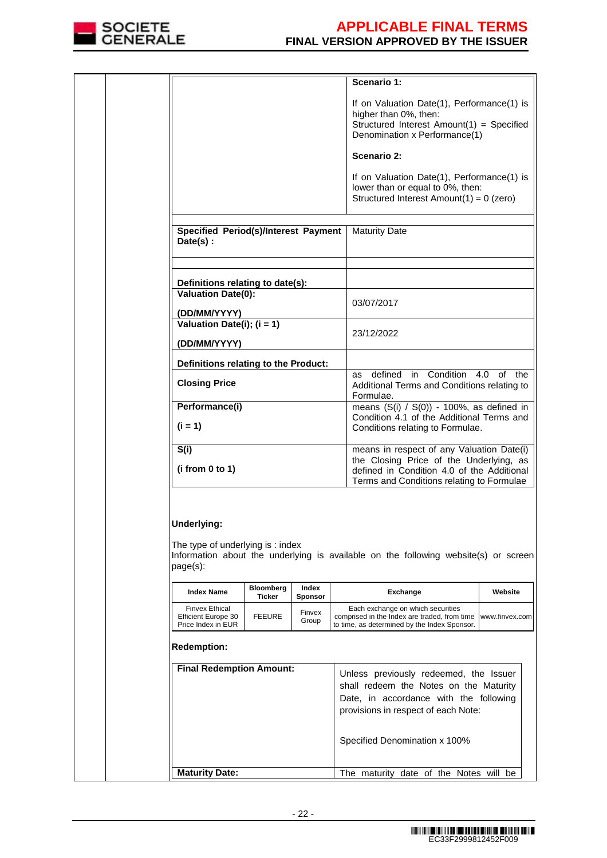

|                                                                                   |                  |                 | Scenario 1:                                                                                                                                                                     |                |
|-----------------------------------------------------------------------------------|------------------|-----------------|---------------------------------------------------------------------------------------------------------------------------------------------------------------------------------|----------------|
|                                                                                   |                  |                 | If on Valuation Date(1), Performance(1) is<br>higher than 0%, then:<br>Structured Interest Amount(1) = Specified<br>Denomination x Performance(1)                               |                |
|                                                                                   |                  |                 | Scenario 2:                                                                                                                                                                     |                |
|                                                                                   |                  |                 | If on Valuation Date(1), Performance(1) is<br>lower than or equal to 0%, then:<br>Structured Interest Amount(1) = $0$ (zero)                                                    |                |
|                                                                                   |                  |                 |                                                                                                                                                                                 |                |
| <b>Specified Period(s)/Interest Payment</b><br>Date(s):                           |                  |                 | <b>Maturity Date</b>                                                                                                                                                            |                |
|                                                                                   |                  |                 |                                                                                                                                                                                 |                |
| Definitions relating to date(s):                                                  |                  |                 |                                                                                                                                                                                 |                |
| Valuation Date(0):<br>(DD/MM/YYYY)                                                |                  |                 | 03/07/2017                                                                                                                                                                      |                |
| Valuation Date(i); (i = 1)                                                        |                  |                 |                                                                                                                                                                                 |                |
| (DD/MM/YYYY)                                                                      |                  |                 | 23/12/2022                                                                                                                                                                      |                |
| Definitions relating to the Product:                                              |                  |                 |                                                                                                                                                                                 |                |
| <b>Closing Price</b>                                                              |                  |                 | defined in Condition 4.0 of the<br>as<br>Additional Terms and Conditions relating to<br>Formulae.                                                                               |                |
| Performance(i)<br>$(i = 1)$                                                       |                  |                 | means $(S(i) / S(0)) - 100\%$ , as defined in<br>Condition 4.1 of the Additional Terms and<br>Conditions relating to Formulae.                                                  |                |
| S(i)<br>(i from 0 to 1)                                                           |                  |                 | means in respect of any Valuation Date(i)<br>the Closing Price of the Underlying, as<br>defined in Condition 4.0 of the Additional<br>Terms and Conditions relating to Formulae |                |
|                                                                                   |                  |                 |                                                                                                                                                                                 |                |
|                                                                                   | <b>Bloomberg</b> | Index           | Information about the underlying is available on the following website(s) or screen                                                                                             |                |
| <b>Index Name</b>                                                                 | Ticker           | Sponsor         | Exchange                                                                                                                                                                        | Website        |
| <b>Finvex Ethical</b><br><b>Efficient Europe 30</b><br>Price Index in EUR         | <b>FEEURE</b>    | Finvex<br>Group | Each exchange on which securities<br>comprised in the Index are traded, from time<br>to time, as determined by the Index Sponsor.                                               | www.finvex.com |
| Underlying:<br>The type of underlying is: index<br>page(s):<br><b>Redemption:</b> |                  |                 |                                                                                                                                                                                 |                |
|                                                                                   |                  |                 |                                                                                                                                                                                 |                |
| <b>Final Redemption Amount:</b>                                                   |                  |                 | Unless previously redeemed, the Issuer                                                                                                                                          |                |
|                                                                                   |                  |                 | shall redeem the Notes on the Maturity                                                                                                                                          |                |
|                                                                                   |                  |                 | Date, in accordance with the following<br>provisions in respect of each Note:                                                                                                   |                |
|                                                                                   |                  |                 | Specified Denomination x 100%                                                                                                                                                   |                |
| <b>Maturity Date:</b>                                                             |                  |                 | The maturity date of the Notes will                                                                                                                                             | be             |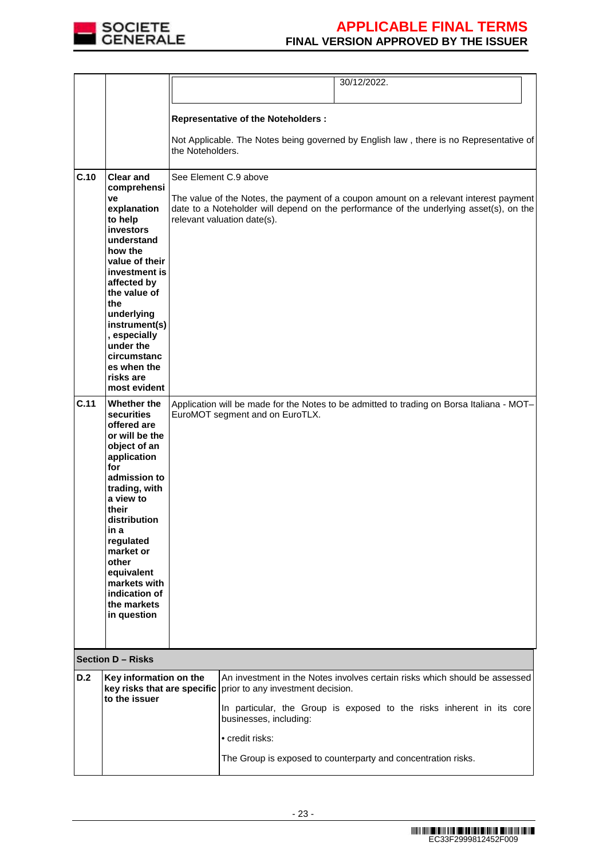

|      |                                                                                                                                                                                                                                                                                                 |                  | 30/12/2022.                                                                                                                                                                                                                             |  |
|------|-------------------------------------------------------------------------------------------------------------------------------------------------------------------------------------------------------------------------------------------------------------------------------------------------|------------------|-----------------------------------------------------------------------------------------------------------------------------------------------------------------------------------------------------------------------------------------|--|
|      |                                                                                                                                                                                                                                                                                                 |                  |                                                                                                                                                                                                                                         |  |
|      |                                                                                                                                                                                                                                                                                                 |                  | <b>Representative of the Noteholders:</b>                                                                                                                                                                                               |  |
|      |                                                                                                                                                                                                                                                                                                 | the Noteholders. | Not Applicable. The Notes being governed by English law, there is no Representative of                                                                                                                                                  |  |
| C.10 | <b>Clear and</b><br>comprehensi<br>ve<br>explanation<br>to help<br>investors<br>understand<br>how the<br>value of their<br>investment is<br>affected by                                                                                                                                         |                  | See Element C.9 above<br>The value of the Notes, the payment of a coupon amount on a relevant interest payment<br>date to a Noteholder will depend on the performance of the underlying asset(s), on the<br>relevant valuation date(s). |  |
|      | the value of<br>the<br>underlying<br>instrument(s)<br>, especially<br>under the<br>circumstanc<br>es when the<br>risks are<br>most evident                                                                                                                                                      |                  |                                                                                                                                                                                                                                         |  |
| C.11 | Whether the<br>securities<br>offered are<br>or will be the<br>object of an<br>application<br>for<br>admission to<br>trading, with<br>a view to<br>their<br>distribution<br>in a<br>regulated<br>market or<br>other<br>equivalent<br>markets with<br>indication of<br>the markets<br>in question |                  | Application will be made for the Notes to be admitted to trading on Borsa Italiana - MOT-<br>EuroMOT segment and on EuroTLX.                                                                                                            |  |
|      | <b>Section D - Risks</b>                                                                                                                                                                                                                                                                        |                  |                                                                                                                                                                                                                                         |  |
| D.2  | Key information on the<br>key risks that are specific                                                                                                                                                                                                                                           |                  | An investment in the Notes involves certain risks which should be assessed<br>prior to any investment decision.                                                                                                                         |  |
|      | to the issuer                                                                                                                                                                                                                                                                                   |                  | In particular, the Group is exposed to the risks inherent in its core<br>businesses, including:                                                                                                                                         |  |
|      |                                                                                                                                                                                                                                                                                                 |                  | • credit risks:                                                                                                                                                                                                                         |  |
|      |                                                                                                                                                                                                                                                                                                 |                  | The Group is exposed to counterparty and concentration risks.                                                                                                                                                                           |  |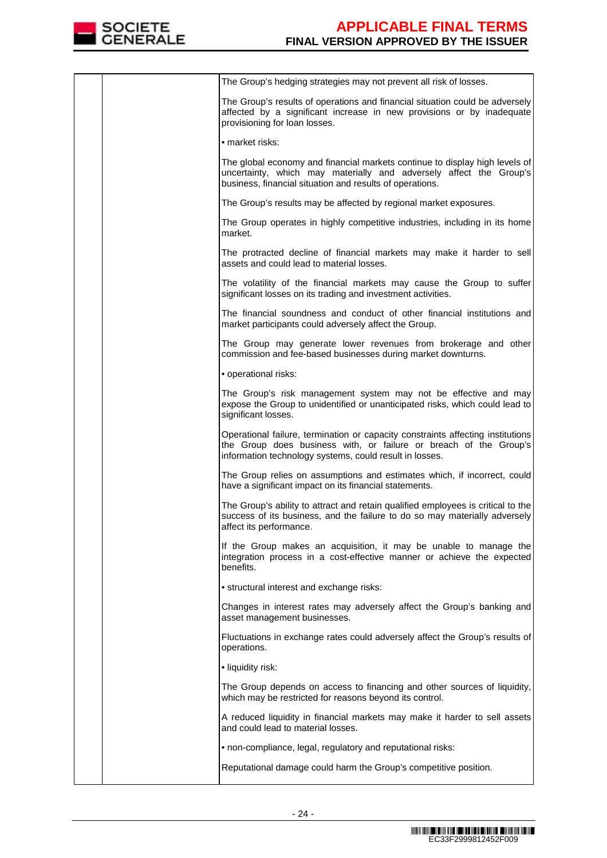

|  | The Group's hedging strategies may not prevent all risk of losses.                                                                                                                                              |
|--|-----------------------------------------------------------------------------------------------------------------------------------------------------------------------------------------------------------------|
|  | The Group's results of operations and financial situation could be adversely<br>affected by a significant increase in new provisions or by inadequate<br>provisioning for loan losses.                          |
|  | • market risks:                                                                                                                                                                                                 |
|  | The global economy and financial markets continue to display high levels of<br>uncertainty, which may materially and adversely affect the Group's<br>business, financial situation and results of operations.   |
|  | The Group's results may be affected by regional market exposures.                                                                                                                                               |
|  | The Group operates in highly competitive industries, including in its home<br>market.                                                                                                                           |
|  | The protracted decline of financial markets may make it harder to sell<br>assets and could lead to material losses.                                                                                             |
|  | The volatility of the financial markets may cause the Group to suffer<br>significant losses on its trading and investment activities.                                                                           |
|  | The financial soundness and conduct of other financial institutions and<br>market participants could adversely affect the Group.                                                                                |
|  | The Group may generate lower revenues from brokerage and other<br>commission and fee-based businesses during market downturns.                                                                                  |
|  | · operational risks:                                                                                                                                                                                            |
|  | The Group's risk management system may not be effective and may<br>expose the Group to unidentified or unanticipated risks, which could lead to<br>significant losses.                                          |
|  | Operational failure, termination or capacity constraints affecting institutions<br>the Group does business with, or failure or breach of the Group's<br>information technology systems, could result in losses. |
|  | The Group relies on assumptions and estimates which, if incorrect, could<br>have a significant impact on its financial statements.                                                                              |
|  | The Group's ability to attract and retain qualified employees is critical to the<br>success of its business, and the failure to do so may materially adversely<br>affect its performance.                       |
|  | If the Group makes an acquisition, it may be unable to manage the<br>integration process in a cost-effective manner or achieve the expected<br>benefits.                                                        |
|  | • structural interest and exchange risks:                                                                                                                                                                       |
|  | Changes in interest rates may adversely affect the Group's banking and<br>asset management businesses.                                                                                                          |
|  | Fluctuations in exchange rates could adversely affect the Group's results of<br>operations.                                                                                                                     |
|  | • liquidity risk:                                                                                                                                                                                               |
|  | The Group depends on access to financing and other sources of liquidity,<br>which may be restricted for reasons beyond its control.                                                                             |
|  | A reduced liquidity in financial markets may make it harder to sell assets<br>and could lead to material losses.                                                                                                |
|  | • non-compliance, legal, regulatory and reputational risks:                                                                                                                                                     |
|  | Reputational damage could harm the Group's competitive position.                                                                                                                                                |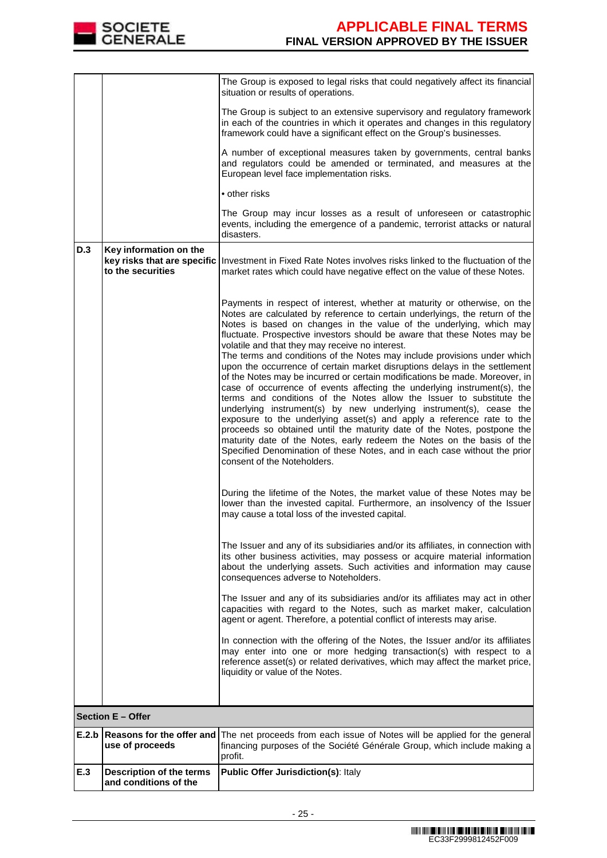

|       |                                                          | The Group is exposed to legal risks that could negatively affect its financial<br>situation or results of operations.                                                                                                                                                                                                                                                                                                                                                                                                                                                                                                                                                                                                                                                                                                                                                                                                                                                                                                                                                                                                                                                        |
|-------|----------------------------------------------------------|------------------------------------------------------------------------------------------------------------------------------------------------------------------------------------------------------------------------------------------------------------------------------------------------------------------------------------------------------------------------------------------------------------------------------------------------------------------------------------------------------------------------------------------------------------------------------------------------------------------------------------------------------------------------------------------------------------------------------------------------------------------------------------------------------------------------------------------------------------------------------------------------------------------------------------------------------------------------------------------------------------------------------------------------------------------------------------------------------------------------------------------------------------------------------|
|       |                                                          | The Group is subject to an extensive supervisory and regulatory framework<br>in each of the countries in which it operates and changes in this regulatory<br>framework could have a significant effect on the Group's businesses.                                                                                                                                                                                                                                                                                                                                                                                                                                                                                                                                                                                                                                                                                                                                                                                                                                                                                                                                            |
|       |                                                          | A number of exceptional measures taken by governments, central banks<br>and regulators could be amended or terminated, and measures at the<br>European level face implementation risks.                                                                                                                                                                                                                                                                                                                                                                                                                                                                                                                                                                                                                                                                                                                                                                                                                                                                                                                                                                                      |
|       |                                                          | • other risks                                                                                                                                                                                                                                                                                                                                                                                                                                                                                                                                                                                                                                                                                                                                                                                                                                                                                                                                                                                                                                                                                                                                                                |
|       |                                                          | The Group may incur losses as a result of unforeseen or catastrophic<br>events, including the emergence of a pandemic, terrorist attacks or natural<br>disasters.                                                                                                                                                                                                                                                                                                                                                                                                                                                                                                                                                                                                                                                                                                                                                                                                                                                                                                                                                                                                            |
| D.3   | Key information on the<br>to the securities              | key risks that are specific   Investment in Fixed Rate Notes involves risks linked to the fluctuation of the<br>market rates which could have negative effect on the value of these Notes.                                                                                                                                                                                                                                                                                                                                                                                                                                                                                                                                                                                                                                                                                                                                                                                                                                                                                                                                                                                   |
|       |                                                          | Payments in respect of interest, whether at maturity or otherwise, on the<br>Notes are calculated by reference to certain underlyings, the return of the<br>Notes is based on changes in the value of the underlying, which may<br>fluctuate. Prospective investors should be aware that these Notes may be<br>volatile and that they may receive no interest.<br>The terms and conditions of the Notes may include provisions under which<br>upon the occurrence of certain market disruptions delays in the settlement<br>of the Notes may be incurred or certain modifications be made. Moreover, in<br>case of occurrence of events affecting the underlying instrument(s), the<br>terms and conditions of the Notes allow the Issuer to substitute the<br>underlying instrument(s) by new underlying instrument(s), cease the<br>exposure to the underlying asset(s) and apply a reference rate to the<br>proceeds so obtained until the maturity date of the Notes, postpone the<br>maturity date of the Notes, early redeem the Notes on the basis of the<br>Specified Denomination of these Notes, and in each case without the prior<br>consent of the Noteholders. |
|       |                                                          | During the lifetime of the Notes, the market value of these Notes may be<br>lower than the invested capital. Furthermore, an insolvency of the Issuer<br>may cause a total loss of the invested capital.                                                                                                                                                                                                                                                                                                                                                                                                                                                                                                                                                                                                                                                                                                                                                                                                                                                                                                                                                                     |
|       |                                                          | The Issuer and any of its subsidiaries and/or its affiliates, in connection with<br>its other business activities, may possess or acquire material information<br>about the underlying assets. Such activities and information may cause<br>consequences adverse to Noteholders.                                                                                                                                                                                                                                                                                                                                                                                                                                                                                                                                                                                                                                                                                                                                                                                                                                                                                             |
|       |                                                          | The Issuer and any of its subsidiaries and/or its affiliates may act in other<br>capacities with regard to the Notes, such as market maker, calculation<br>agent or agent. Therefore, a potential conflict of interests may arise.                                                                                                                                                                                                                                                                                                                                                                                                                                                                                                                                                                                                                                                                                                                                                                                                                                                                                                                                           |
|       |                                                          | In connection with the offering of the Notes, the Issuer and/or its affiliates<br>may enter into one or more hedging transaction(s) with respect to a<br>reference asset(s) or related derivatives, which may affect the market price,<br>liquidity or value of the Notes.                                                                                                                                                                                                                                                                                                                                                                                                                                                                                                                                                                                                                                                                                                                                                                                                                                                                                                   |
|       | <b>Section E - Offer</b>                                 |                                                                                                                                                                                                                                                                                                                                                                                                                                                                                                                                                                                                                                                                                                                                                                                                                                                                                                                                                                                                                                                                                                                                                                              |
| E.2.b | Reasons for the offer and                                | The net proceeds from each issue of Notes will be applied for the general                                                                                                                                                                                                                                                                                                                                                                                                                                                                                                                                                                                                                                                                                                                                                                                                                                                                                                                                                                                                                                                                                                    |
|       | use of proceeds                                          | financing purposes of the Société Générale Group, which include making a<br>profit.                                                                                                                                                                                                                                                                                                                                                                                                                                                                                                                                                                                                                                                                                                                                                                                                                                                                                                                                                                                                                                                                                          |
| E.3   | <b>Description of the terms</b><br>and conditions of the | Public Offer Jurisdiction(s): Italy                                                                                                                                                                                                                                                                                                                                                                                                                                                                                                                                                                                                                                                                                                                                                                                                                                                                                                                                                                                                                                                                                                                                          |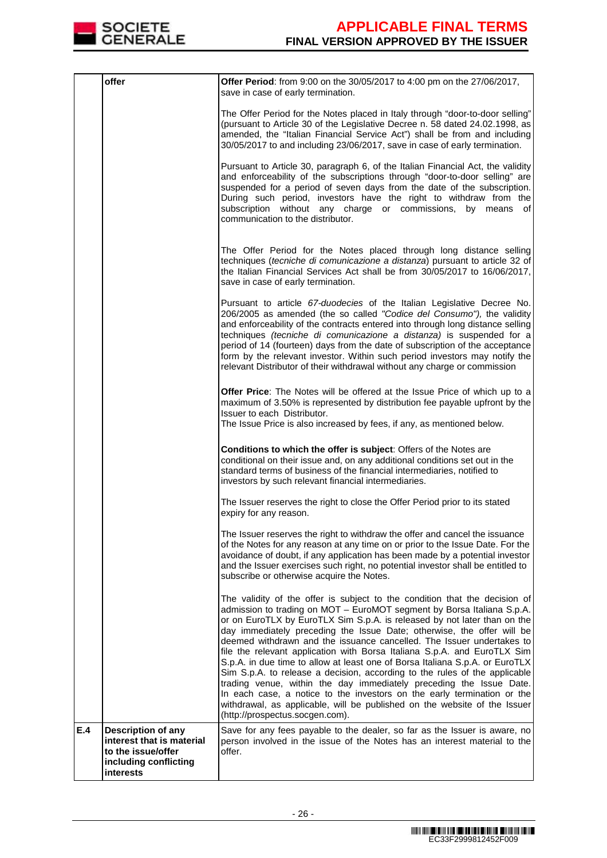

|     | offer                                                                                                              | Offer Period: from 9:00 on the 30/05/2017 to 4:00 pm on the 27/06/2017,                                                                                                                                                                                                                                                                                                                                                                                                                                                                                                                                                                                                                                                                                                                                                                                                                         |
|-----|--------------------------------------------------------------------------------------------------------------------|-------------------------------------------------------------------------------------------------------------------------------------------------------------------------------------------------------------------------------------------------------------------------------------------------------------------------------------------------------------------------------------------------------------------------------------------------------------------------------------------------------------------------------------------------------------------------------------------------------------------------------------------------------------------------------------------------------------------------------------------------------------------------------------------------------------------------------------------------------------------------------------------------|
|     |                                                                                                                    | save in case of early termination.                                                                                                                                                                                                                                                                                                                                                                                                                                                                                                                                                                                                                                                                                                                                                                                                                                                              |
|     |                                                                                                                    | The Offer Period for the Notes placed in Italy through "door-to-door selling"<br>(pursuant to Article 30 of the Legislative Decree n. 58 dated 24.02.1998, as<br>amended, the "Italian Financial Service Act") shall be from and including<br>30/05/2017 to and including 23/06/2017, save in case of early termination.                                                                                                                                                                                                                                                                                                                                                                                                                                                                                                                                                                        |
|     |                                                                                                                    | Pursuant to Article 30, paragraph 6, of the Italian Financial Act, the validity<br>and enforceability of the subscriptions through "door-to-door selling" are<br>suspended for a period of seven days from the date of the subscription.<br>During such period, investors have the right to withdraw from the<br>subscription without any charge or commissions, by means<br>of<br>communication to the distributor.                                                                                                                                                                                                                                                                                                                                                                                                                                                                            |
|     |                                                                                                                    | The Offer Period for the Notes placed through long distance selling<br>techniques (tecniche di comunicazione a distanza) pursuant to article 32 of<br>the Italian Financial Services Act shall be from 30/05/2017 to 16/06/2017,<br>save in case of early termination.                                                                                                                                                                                                                                                                                                                                                                                                                                                                                                                                                                                                                          |
|     |                                                                                                                    | Pursuant to article 67-duodecies of the Italian Legislative Decree No.<br>206/2005 as amended (the so called "Codice del Consumo"), the validity<br>and enforceability of the contracts entered into through long distance selling<br>techniques (tecniche di comunicazione a distanza) is suspended for a<br>period of 14 (fourteen) days from the date of subscription of the acceptance<br>form by the relevant investor. Within such period investors may notify the<br>relevant Distributor of their withdrawal without any charge or commission                                                                                                                                                                                                                                                                                                                                           |
|     |                                                                                                                    | <b>Offer Price:</b> The Notes will be offered at the Issue Price of which up to a<br>maximum of 3.50% is represented by distribution fee payable upfront by the<br>Issuer to each Distributor.<br>The Issue Price is also increased by fees, if any, as mentioned below.                                                                                                                                                                                                                                                                                                                                                                                                                                                                                                                                                                                                                        |
|     |                                                                                                                    | Conditions to which the offer is subject: Offers of the Notes are<br>conditional on their issue and, on any additional conditions set out in the<br>standard terms of business of the financial intermediaries, notified to<br>investors by such relevant financial intermediaries.                                                                                                                                                                                                                                                                                                                                                                                                                                                                                                                                                                                                             |
|     |                                                                                                                    | The Issuer reserves the right to close the Offer Period prior to its stated<br>expiry for any reason.                                                                                                                                                                                                                                                                                                                                                                                                                                                                                                                                                                                                                                                                                                                                                                                           |
|     |                                                                                                                    | The Issuer reserves the right to withdraw the offer and cancel the issuance<br>of the Notes for any reason at any time on or prior to the Issue Date. For the<br>avoidance of doubt, if any application has been made by a potential investor<br>and the Issuer exercises such right, no potential investor shall be entitled to<br>subscribe or otherwise acquire the Notes.                                                                                                                                                                                                                                                                                                                                                                                                                                                                                                                   |
|     |                                                                                                                    | The validity of the offer is subject to the condition that the decision of<br>admission to trading on MOT - EuroMOT segment by Borsa Italiana S.p.A.<br>or on EuroTLX by EuroTLX Sim S.p.A. is released by not later than on the<br>day immediately preceding the Issue Date; otherwise, the offer will be<br>deemed withdrawn and the issuance cancelled. The Issuer undertakes to<br>file the relevant application with Borsa Italiana S.p.A. and EuroTLX Sim<br>S.p.A. in due time to allow at least one of Borsa Italiana S.p.A. or EuroTLX<br>Sim S.p.A. to release a decision, according to the rules of the applicable<br>trading venue, within the day immediately preceding the Issue Date.<br>In each case, a notice to the investors on the early termination or the<br>withdrawal, as applicable, will be published on the website of the Issuer<br>(http://prospectus.socgen.com). |
| E.4 | <b>Description of any</b><br>interest that is material<br>to the issue/offer<br>including conflicting<br>interests | Save for any fees payable to the dealer, so far as the Issuer is aware, no<br>person involved in the issue of the Notes has an interest material to the<br>offer.                                                                                                                                                                                                                                                                                                                                                                                                                                                                                                                                                                                                                                                                                                                               |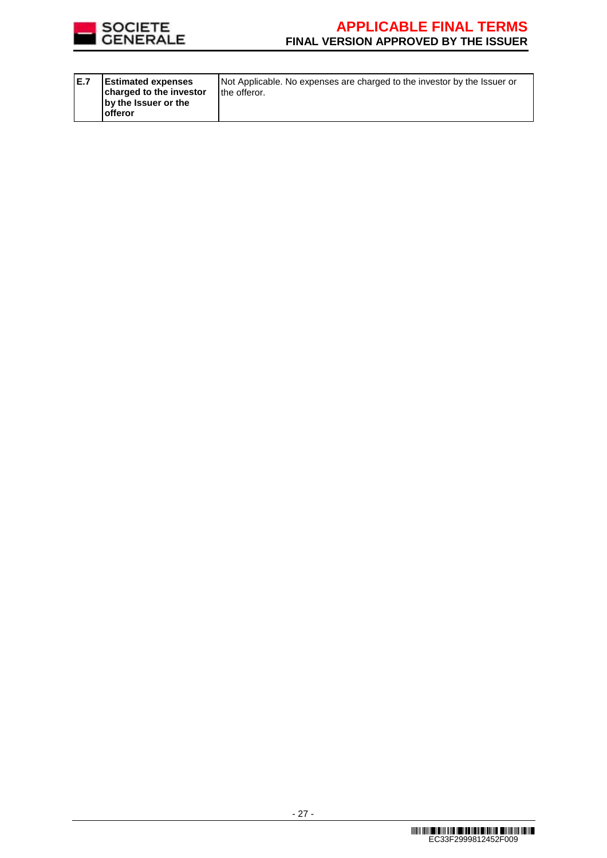

| E.7 | <b>Estimated expenses</b><br>charged to the investor<br>by the Issuer or the<br><b>offeror</b> | Not Applicable. No expenses are charged to the investor by the Issuer or<br>the offeror. |
|-----|------------------------------------------------------------------------------------------------|------------------------------------------------------------------------------------------|
|-----|------------------------------------------------------------------------------------------------|------------------------------------------------------------------------------------------|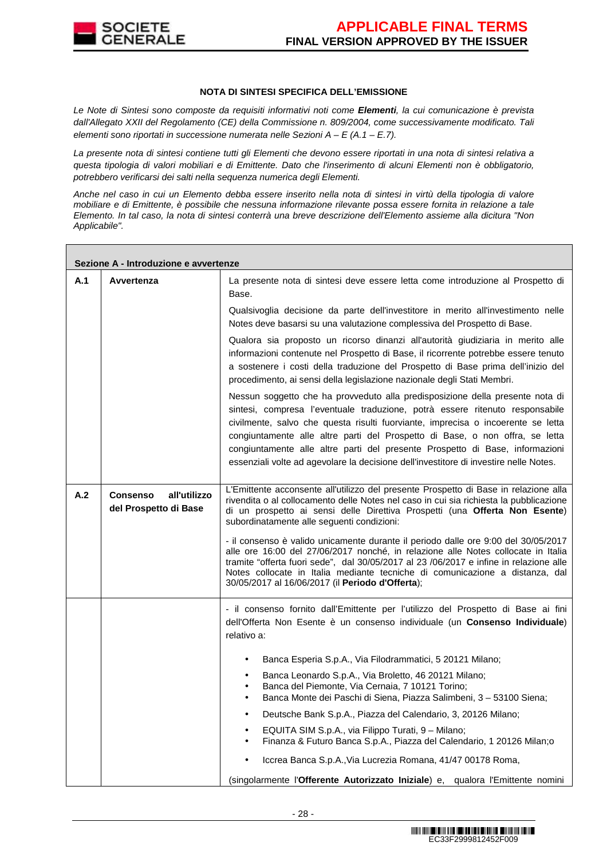

### **NOTA DI SINTESI SPECIFICA DELL'EMISSIONE**

Le Note di Sintesi sono composte da requisiti informativi noti come **Elementi**, la cui comunicazione è prevista dall'Allegato XXII del Regolamento (CE) della Commissione n. 809/2004, come successivamente modificato. Tali elementi sono riportati in successione numerata nelle Sezioni  $A - E(A.1 - E.7)$ .

La presente nota di sintesi contiene tutti gli Elementi che devono essere riportati in una nota di sintesi relativa a questa tipologia di valori mobiliari e di Emittente. Dato che l'inserimento di alcuni Elementi non è obbligatorio, potrebbero verificarsi dei salti nella sequenza numerica degli Elementi.

Anche nel caso in cui un Elemento debba essere inserito nella nota di sintesi in virtù della tipologia di valore mobiliare e di Emittente, è possibile che nessuna informazione rilevante possa essere fornita in relazione a tale Elemento. In tal caso, la nota di sintesi conterrà una breve descrizione dell'Elemento assieme alla dicitura "Non Applicabile".

|     | Sezione A - Introduzione e avvertenze                    |                                                                                                                                                                                                                                                                                                                                                                                                                                                                                                            |  |  |  |
|-----|----------------------------------------------------------|------------------------------------------------------------------------------------------------------------------------------------------------------------------------------------------------------------------------------------------------------------------------------------------------------------------------------------------------------------------------------------------------------------------------------------------------------------------------------------------------------------|--|--|--|
| A.1 | Avvertenza                                               | La presente nota di sintesi deve essere letta come introduzione al Prospetto di<br>Base.                                                                                                                                                                                                                                                                                                                                                                                                                   |  |  |  |
|     |                                                          | Qualsivoglia decisione da parte dell'investitore in merito all'investimento nelle<br>Notes deve basarsi su una valutazione complessiva del Prospetto di Base.                                                                                                                                                                                                                                                                                                                                              |  |  |  |
|     |                                                          | Qualora sia proposto un ricorso dinanzi all'autorità giudiziaria in merito alle<br>informazioni contenute nel Prospetto di Base, il ricorrente potrebbe essere tenuto<br>a sostenere i costi della traduzione del Prospetto di Base prima dell'inizio del<br>procedimento, ai sensi della legislazione nazionale degli Stati Membri.                                                                                                                                                                       |  |  |  |
|     |                                                          | Nessun soggetto che ha provveduto alla predisposizione della presente nota di<br>sintesi, compresa l'eventuale traduzione, potrà essere ritenuto responsabile<br>civilmente, salvo che questa risulti fuorviante, imprecisa o incoerente se letta<br>congiuntamente alle altre parti del Prospetto di Base, o non offra, se letta<br>congiuntamente alle altre parti del presente Prospetto di Base, informazioni<br>essenziali volte ad agevolare la decisione dell'investitore di investire nelle Notes. |  |  |  |
| A.2 | <b>Consenso</b><br>all'utilizzo<br>del Prospetto di Base | L'Emittente acconsente all'utilizzo del presente Prospetto di Base in relazione alla<br>rivendita o al collocamento delle Notes nel caso in cui sia richiesta la pubblicazione<br>di un prospetto ai sensi delle Direttiva Prospetti (una Offerta Non Esente)<br>subordinatamente alle seguenti condizioni:                                                                                                                                                                                                |  |  |  |
|     |                                                          | - il consenso è valido unicamente durante il periodo dalle ore 9:00 del 30/05/2017<br>alle ore 16:00 del 27/06/2017 nonché, in relazione alle Notes collocate in Italia<br>tramite "offerta fuori sede", dal 30/05/2017 al 23 /06/2017 e infine in relazione alle<br>Notes collocate in Italia mediante tecniche di comunicazione a distanza, dal<br>30/05/2017 al 16/06/2017 (il Periodo d'Offerta);                                                                                                      |  |  |  |
|     |                                                          | - il consenso fornito dall'Emittente per l'utilizzo del Prospetto di Base ai fini<br>dell'Offerta Non Esente è un consenso individuale (un Consenso Individuale)<br>relativo a:                                                                                                                                                                                                                                                                                                                            |  |  |  |
|     |                                                          | Banca Esperia S.p.A., Via Filodrammatici, 5 20121 Milano;<br>$\bullet$                                                                                                                                                                                                                                                                                                                                                                                                                                     |  |  |  |
|     |                                                          | Banca Leonardo S.p.A., Via Broletto, 46 20121 Milano;<br>$\bullet$<br>Banca del Piemonte, Via Cernaia, 7 10121 Torino;<br>Banca Monte dei Paschi di Siena, Piazza Salimbeni, 3 - 53100 Siena;<br>$\bullet$                                                                                                                                                                                                                                                                                                 |  |  |  |
|     |                                                          | Deutsche Bank S.p.A., Piazza del Calendario, 3, 20126 Milano;<br>$\bullet$                                                                                                                                                                                                                                                                                                                                                                                                                                 |  |  |  |
|     |                                                          | EQUITA SIM S.p.A., via Filippo Turati, 9 - Milano;<br>Finanza & Futuro Banca S.p.A., Piazza del Calendario, 1 20126 Milan;o<br>$\bullet$                                                                                                                                                                                                                                                                                                                                                                   |  |  |  |
|     |                                                          | Iccrea Banca S.p.A., Via Lucrezia Romana, 41/47 00178 Roma,                                                                                                                                                                                                                                                                                                                                                                                                                                                |  |  |  |
|     |                                                          | (singolarmente l'Offerente Autorizzato Iniziale) e, qualora l'Emittente nomini                                                                                                                                                                                                                                                                                                                                                                                                                             |  |  |  |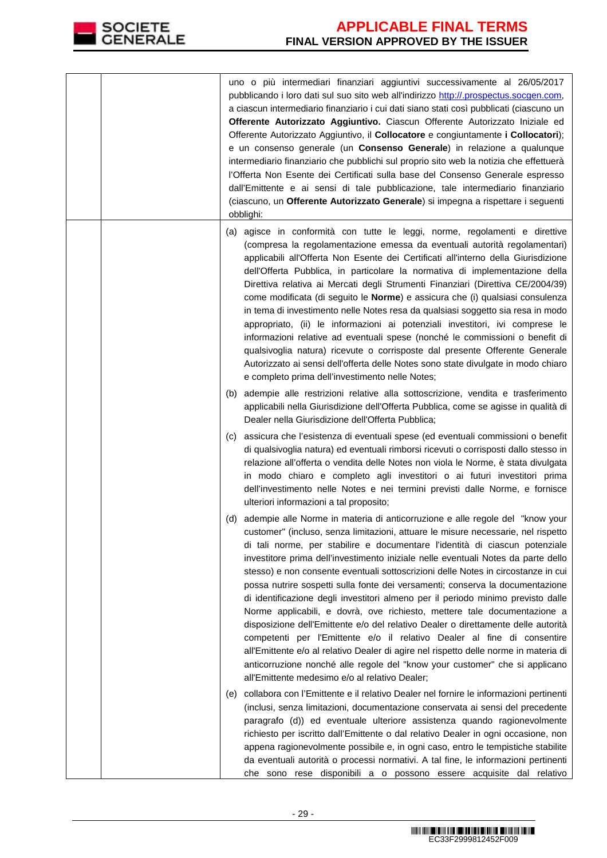

|  |     | uno o più intermediari finanziari aggiuntivi successivamente al 26/05/2017<br>pubblicando i loro dati sul suo sito web all'indirizzo http://.prospectus.socgen.com,<br>a ciascun intermediario finanziario i cui dati siano stati così pubblicati (ciascuno un<br>Offerente Autorizzato Aggiuntivo. Ciascun Offerente Autorizzato Iniziale ed<br>Offerente Autorizzato Aggiuntivo, il Collocatore e congiuntamente i Collocatori);<br>e un consenso generale (un Consenso Generale) in relazione a qualunque<br>intermediario finanziario che pubblichi sul proprio sito web la notizia che effettuerà<br>l'Offerta Non Esente dei Certificati sulla base del Consenso Generale espresso<br>dall'Emittente e ai sensi di tale pubblicazione, tale intermediario finanziario<br>(ciascuno, un Offerente Autorizzato Generale) si impegna a rispettare i seguenti<br>obblighi:                                                                                                                                                                                                                                                                             |
|--|-----|----------------------------------------------------------------------------------------------------------------------------------------------------------------------------------------------------------------------------------------------------------------------------------------------------------------------------------------------------------------------------------------------------------------------------------------------------------------------------------------------------------------------------------------------------------------------------------------------------------------------------------------------------------------------------------------------------------------------------------------------------------------------------------------------------------------------------------------------------------------------------------------------------------------------------------------------------------------------------------------------------------------------------------------------------------------------------------------------------------------------------------------------------------|
|  |     | (a) agisce in conformità con tutte le leggi, norme, regolamenti e direttive<br>(compresa la regolamentazione emessa da eventuali autorità regolamentari)<br>applicabili all'Offerta Non Esente dei Certificati all'interno della Giurisdizione<br>dell'Offerta Pubblica, in particolare la normativa di implementazione della<br>Direttiva relativa ai Mercati degli Strumenti Finanziari (Direttiva CE/2004/39)<br>come modificata (di seguito le Norme) e assicura che (i) qualsiasi consulenza<br>in tema di investimento nelle Notes resa da qualsiasi soggetto sia resa in modo<br>appropriato, (ii) le informazioni ai potenziali investitori, ivi comprese le<br>informazioni relative ad eventuali spese (nonché le commissioni o benefit di<br>qualsivoglia natura) ricevute o corrisposte dal presente Offerente Generale<br>Autorizzato ai sensi dell'offerta delle Notes sono state divulgate in modo chiaro<br>e completo prima dell'investimento nelle Notes;<br>(b) adempie alle restrizioni relative alla sottoscrizione, vendita e trasferimento<br>applicabili nella Giurisdizione dell'Offerta Pubblica, come se agisse in qualità di |
|  |     | Dealer nella Giurisdizione dell'Offerta Pubblica;<br>(c) assicura che l'esistenza di eventuali spese (ed eventuali commissioni o benefit<br>di qualsivoglia natura) ed eventuali rimborsi ricevuti o corrisposti dallo stesso in<br>relazione all'offerta o vendita delle Notes non viola le Norme, è stata divulgata<br>in modo chiaro e completo agli investitori o ai futuri investitori prima<br>dell'investimento nelle Notes e nei termini previsti dalle Norme, e fornisce<br>ulteriori informazioni a tal proposito;                                                                                                                                                                                                                                                                                                                                                                                                                                                                                                                                                                                                                             |
|  |     | (d) adempie alle Norme in materia di anticorruzione e alle regole del "know your<br>customer" (incluso, senza limitazioni, attuare le misure necessarie, nel rispetto<br>di tali norme, per stabilire e documentare l'identità di ciascun potenziale<br>investitore prima dell'investimento iniziale nelle eventuali Notes da parte dello<br>stesso) e non consente eventuali sottoscrizioni delle Notes in circostanze in cui<br>possa nutrire sospetti sulla fonte dei versamenti; conserva la documentazione<br>di identificazione degli investitori almeno per il periodo minimo previsto dalle<br>Norme applicabili, e dovrà, ove richiesto, mettere tale documentazione a<br>disposizione dell'Emittente e/o del relativo Dealer o direttamente delle autorità<br>competenti per l'Emittente e/o il relativo Dealer al fine di consentire<br>all'Emittente e/o al relativo Dealer di agire nel rispetto delle norme in materia di<br>anticorruzione nonché alle regole del "know your customer" che si applicano<br>all'Emittente medesimo e/o al relativo Dealer;                                                                                 |
|  | (e) | collabora con l'Emittente e il relativo Dealer nel fornire le informazioni pertinenti<br>(inclusi, senza limitazioni, documentazione conservata ai sensi del precedente<br>paragrafo (d)) ed eventuale ulteriore assistenza quando ragionevolmente<br>richiesto per iscritto dall'Emittente o dal relativo Dealer in ogni occasione, non<br>appena ragionevolmente possibile e, in ogni caso, entro le tempistiche stabilite<br>da eventuali autorità o processi normativi. A tal fine, le informazioni pertinenti<br>che sono rese disponibili a o possono essere acquisite dal relativo                                                                                                                                                                                                                                                                                                                                                                                                                                                                                                                                                                |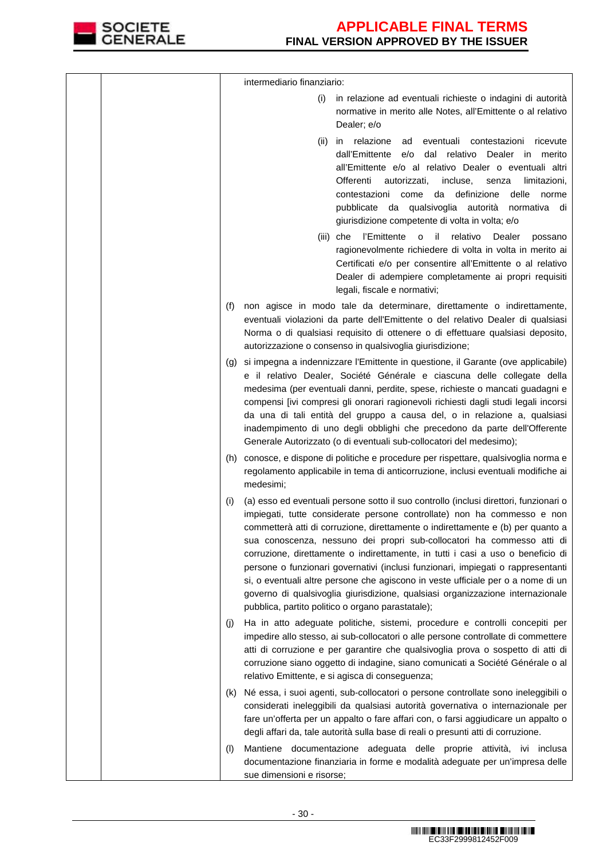

|                             | intermediario finanziario:                                                                                                                                                                                                                                                                                                                                                                                                                                                                                                                                                                                                                                                                                                      |
|-----------------------------|---------------------------------------------------------------------------------------------------------------------------------------------------------------------------------------------------------------------------------------------------------------------------------------------------------------------------------------------------------------------------------------------------------------------------------------------------------------------------------------------------------------------------------------------------------------------------------------------------------------------------------------------------------------------------------------------------------------------------------|
|                             | in relazione ad eventuali richieste o indagini di autorità<br>(i)<br>normative in merito alle Notes, all'Emittente o al relativo<br>Dealer; e/o                                                                                                                                                                                                                                                                                                                                                                                                                                                                                                                                                                                 |
|                             | in relazione<br>eventuali contestazioni<br>(ii)<br>ad<br>ricevute<br>dal relativo Dealer in merito<br>dall'Emittente<br>e/o<br>all'Emittente e/o al relativo Dealer o eventuali altri<br>Offerenti<br>autorizzati,<br>incluse,<br>senza<br>limitazioni,<br>contestazioni come da definizione<br>delle<br>norme<br>pubblicate da qualsivoglia autorità normativa di<br>giurisdizione competente di volta in volta; e/o                                                                                                                                                                                                                                                                                                           |
|                             | l'Emittente<br>- il<br>relativo<br>Dealer<br>(iii) che<br>$\circ$<br>possano<br>ragionevolmente richiedere di volta in volta in merito ai<br>Certificati e/o per consentire all'Emittente o al relativo<br>Dealer di adempiere completamente ai propri requisiti<br>legali, fiscale e normativi;                                                                                                                                                                                                                                                                                                                                                                                                                                |
| (f)                         | non agisce in modo tale da determinare, direttamente o indirettamente,<br>eventuali violazioni da parte dell'Emittente o del relativo Dealer di qualsiasi<br>Norma o di qualsiasi requisito di ottenere o di effettuare qualsiasi deposito,<br>autorizzazione o consenso in qualsivoglia giurisdizione;                                                                                                                                                                                                                                                                                                                                                                                                                         |
| $\left( \mathbf{q} \right)$ | si impegna a indennizzare l'Emittente in questione, il Garante (ove applicabile)<br>e il relativo Dealer, Société Générale e ciascuna delle collegate della<br>medesima (per eventuali danni, perdite, spese, richieste o mancati guadagni e<br>compensi [ivi compresi gli onorari ragionevoli richiesti dagli studi legali incorsi<br>da una di tali entità del gruppo a causa del, o in relazione a, qualsiasi<br>inadempimento di uno degli obblighi che precedono da parte dell'Offerente<br>Generale Autorizzato (o di eventuali sub-collocatori del medesimo);                                                                                                                                                            |
|                             | (h) conosce, e dispone di politiche e procedure per rispettare, qualsivoglia norma e<br>regolamento applicabile in tema di anticorruzione, inclusi eventuali modifiche ai<br>medesimi;                                                                                                                                                                                                                                                                                                                                                                                                                                                                                                                                          |
| (i)                         | (a) esso ed eventuali persone sotto il suo controllo (inclusi direttori, funzionari o<br>impiegati, tutte considerate persone controllate) non ha commesso e non<br>commetterà atti di corruzione, direttamente o indirettamente e (b) per quanto a<br>sua conoscenza, nessuno dei propri sub-collocatori ha commesso atti di<br>corruzione, direttamente o indirettamente, in tutti i casi a uso o beneficio di<br>persone o funzionari governativi (inclusi funzionari, impiegati o rappresentanti<br>si, o eventuali altre persone che agiscono in veste ufficiale per o a nome di un<br>governo di qualsivoglia giurisdizione, qualsiasi organizzazione internazionale<br>pubblica, partito politico o organo parastatale); |
| (i)                         | Ha in atto adeguate politiche, sistemi, procedure e controlli concepiti per<br>impedire allo stesso, ai sub-collocatori o alle persone controllate di commettere<br>atti di corruzione e per garantire che qualsivoglia prova o sospetto di atti di<br>corruzione siano oggetto di indagine, siano comunicati a Société Générale o al<br>relativo Emittente, e si agisca di conseguenza;                                                                                                                                                                                                                                                                                                                                        |
| (k)                         | Né essa, i suoi agenti, sub-collocatori o persone controllate sono ineleggibili o<br>considerati ineleggibili da qualsiasi autorità governativa o internazionale per<br>fare un'offerta per un appalto o fare affari con, o farsi aggiudicare un appalto o<br>degli affari da, tale autorità sulla base di reali o presunti atti di corruzione.                                                                                                                                                                                                                                                                                                                                                                                 |
| (1)                         | Mantiene documentazione adeguata delle proprie attività, ivi inclusa<br>documentazione finanziaria in forme e modalità adeguate per un'impresa delle<br>sue dimensioni e risorse;                                                                                                                                                                                                                                                                                                                                                                                                                                                                                                                                               |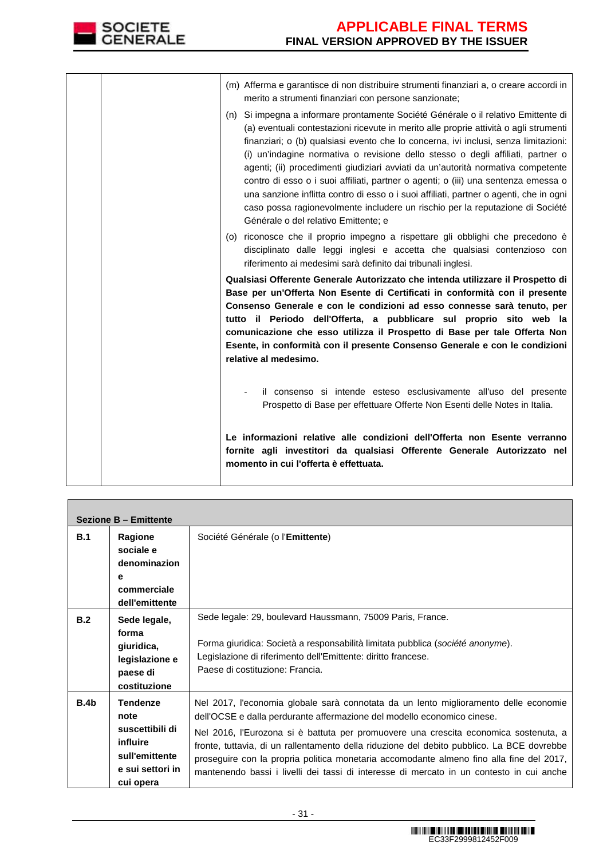

|  | (n) | (m) Afferma e garantisce di non distribuire strumenti finanziari a, o creare accordi in<br>merito a strumenti finanziari con persone sanzionate;<br>Si impegna a informare prontamente Société Générale o il relativo Emittente di<br>(a) eventuali contestazioni ricevute in merito alle proprie attività o agli strumenti<br>finanziari; o (b) qualsiasi evento che lo concerna, ivi inclusi, senza limitazioni:<br>(i) un'indagine normativa o revisione dello stesso o degli affiliati, partner o<br>agenti; (ii) procedimenti giudiziari avviati da un'autorità normativa competente<br>contro di esso o i suoi affiliati, partner o agenti; o (iii) una sentenza emessa o<br>una sanzione inflitta contro di esso o i suoi affiliati, partner o agenti, che in ogni<br>caso possa ragionevolmente includere un rischio per la reputazione di Société<br>Générale o del relativo Emittente; e |
|--|-----|----------------------------------------------------------------------------------------------------------------------------------------------------------------------------------------------------------------------------------------------------------------------------------------------------------------------------------------------------------------------------------------------------------------------------------------------------------------------------------------------------------------------------------------------------------------------------------------------------------------------------------------------------------------------------------------------------------------------------------------------------------------------------------------------------------------------------------------------------------------------------------------------------|
|  |     | (o) riconosce che il proprio impegno a rispettare gli obblighi che precedono è<br>disciplinato dalle leggi inglesi e accetta che qualsiasi contenzioso con<br>riferimento ai medesimi sarà definito dai tribunali inglesi.                                                                                                                                                                                                                                                                                                                                                                                                                                                                                                                                                                                                                                                                         |
|  |     | Qualsiasi Offerente Generale Autorizzato che intenda utilizzare il Prospetto di<br>Base per un'Offerta Non Esente di Certificati in conformità con il presente<br>Consenso Generale e con le condizioni ad esso connesse sarà tenuto, per<br>tutto il Periodo dell'Offerta, a pubblicare sul proprio sito web la<br>comunicazione che esso utilizza il Prospetto di Base per tale Offerta Non<br>Esente, in conformità con il presente Consenso Generale e con le condizioni<br>relative al medesimo.                                                                                                                                                                                                                                                                                                                                                                                              |
|  |     | il consenso si intende esteso esclusivamente all'uso del presente<br>Prospetto di Base per effettuare Offerte Non Esenti delle Notes in Italia.                                                                                                                                                                                                                                                                                                                                                                                                                                                                                                                                                                                                                                                                                                                                                    |
|  |     | Le informazioni relative alle condizioni dell'Offerta non Esente verranno<br>fornite agli investitori da qualsiasi Offerente Generale Autorizzato nel<br>momento in cui l'offerta è effettuata.                                                                                                                                                                                                                                                                                                                                                                                                                                                                                                                                                                                                                                                                                                    |

|      | <b>Sezione B - Emittente</b>                                                                              |                                                                                                                                                                                                                                                                                                                                                                                                                                                                                                                                               |
|------|-----------------------------------------------------------------------------------------------------------|-----------------------------------------------------------------------------------------------------------------------------------------------------------------------------------------------------------------------------------------------------------------------------------------------------------------------------------------------------------------------------------------------------------------------------------------------------------------------------------------------------------------------------------------------|
| B.1  | Ragione<br>sociale e<br>denominazion<br>е<br>commerciale<br>dell'emittente                                | Société Générale (o l'Emittente)                                                                                                                                                                                                                                                                                                                                                                                                                                                                                                              |
| B.2  | Sede legale,<br>forma<br>giuridica,<br>legislazione e<br>paese di<br>costituzione                         | Sede legale: 29, boulevard Haussmann, 75009 Paris, France.<br>Forma giuridica: Società a responsabilità limitata pubblica (société anonyme).<br>Legislazione di riferimento dell'Emittente: diritto francese.<br>Paese di costituzione: Francia.                                                                                                                                                                                                                                                                                              |
| B.4b | <b>Tendenze</b><br>note<br>suscettibili di<br>influire<br>sull'emittente<br>e sui settori in<br>cui opera | Nel 2017, l'economia globale sarà connotata da un lento miglioramento delle economie<br>dell'OCSE e dalla perdurante affermazione del modello economico cinese.<br>Nel 2016, l'Eurozona si è battuta per promuovere una crescita economica sostenuta, a<br>fronte, tuttavia, di un rallentamento della riduzione del debito pubblico. La BCE dovrebbe<br>proseguire con la propria politica monetaria accomodante almeno fino alla fine del 2017,<br>mantenendo bassi i livelli dei tassi di interesse di mercato in un contesto in cui anche |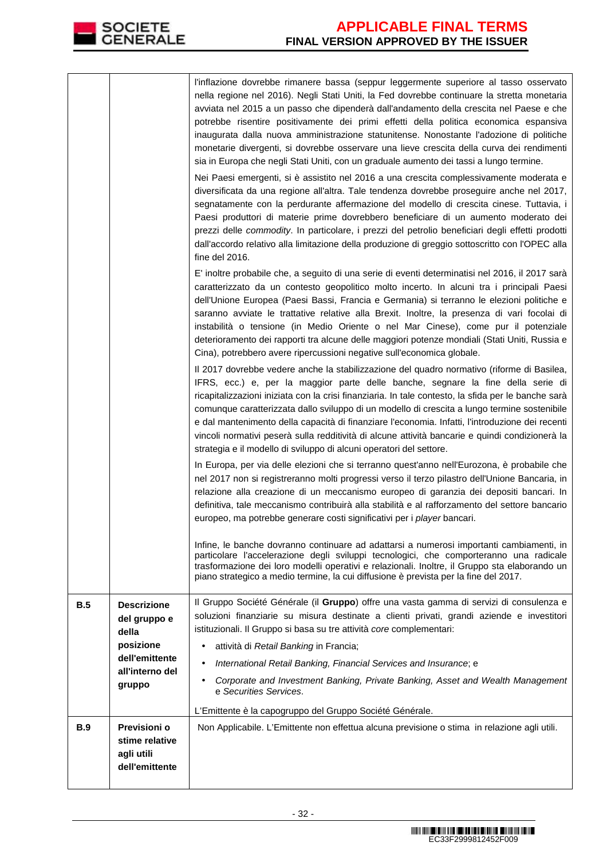

|     |                                                          | l'inflazione dovrebbe rimanere bassa (seppur leggermente superiore al tasso osservato                                                                                                                                                                                                                                                                                                                                                                                                                                                                                                                                                                                                                                                                                                                                                                 |
|-----|----------------------------------------------------------|-------------------------------------------------------------------------------------------------------------------------------------------------------------------------------------------------------------------------------------------------------------------------------------------------------------------------------------------------------------------------------------------------------------------------------------------------------------------------------------------------------------------------------------------------------------------------------------------------------------------------------------------------------------------------------------------------------------------------------------------------------------------------------------------------------------------------------------------------------|
|     |                                                          | nella regione nel 2016). Negli Stati Uniti, la Fed dovrebbe continuare la stretta monetaria<br>avviata nel 2015 a un passo che dipenderà dall'andamento della crescita nel Paese e che<br>potrebbe risentire positivamente dei primi effetti della politica economica espansiva<br>inaugurata dalla nuova amministrazione statunitense. Nonostante l'adozione di politiche<br>monetarie divergenti, si dovrebbe osservare una lieve crescita della curva dei rendimenti<br>sia in Europa che negli Stati Uniti, con un graduale aumento dei tassi a lungo termine.<br>Nei Paesi emergenti, si è assistito nel 2016 a una crescita complessivamente moderata e<br>diversificata da una regione all'altra. Tale tendenza dovrebbe proseguire anche nel 2017,<br>segnatamente con la perdurante affermazione del modello di crescita cinese. Tuttavia, i |
|     |                                                          | Paesi produttori di materie prime dovrebbero beneficiare di un aumento moderato dei<br>prezzi delle commodity. In particolare, i prezzi del petrolio beneficiari degli effetti prodotti<br>dall'accordo relativo alla limitazione della produzione di greggio sottoscritto con l'OPEC alla<br>fine del 2016.                                                                                                                                                                                                                                                                                                                                                                                                                                                                                                                                          |
|     |                                                          | E' inoltre probabile che, a seguito di una serie di eventi determinatisi nel 2016, il 2017 sarà<br>caratterizzato da un contesto geopolitico molto incerto. In alcuni tra i principali Paesi<br>dell'Unione Europea (Paesi Bassi, Francia e Germania) si terranno le elezioni politiche e<br>saranno avviate le trattative relative alla Brexit. Inoltre, la presenza di vari focolai di<br>instabilità o tensione (in Medio Oriente o nel Mar Cinese), come pur il potenziale<br>deterioramento dei rapporti tra alcune delle maggiori potenze mondiali (Stati Uniti, Russia e<br>Cina), potrebbero avere ripercussioni negative sull'economica globale.                                                                                                                                                                                             |
|     |                                                          | Il 2017 dovrebbe vedere anche la stabilizzazione del quadro normativo (riforme di Basilea,<br>IFRS, ecc.) e, per la maggior parte delle banche, segnare la fine della serie di<br>ricapitalizzazioni iniziata con la crisi finanziaria. In tale contesto, la sfida per le banche sarà<br>comunque caratterizzata dallo sviluppo di un modello di crescita a lungo termine sostenibile<br>e dal mantenimento della capacità di finanziare l'economia. Infatti, l'introduzione dei recenti<br>vincoli normativi peserà sulla redditività di alcune attività bancarie e quindi condizionerà la<br>strategia e il modello di sviluppo di alcuni operatori del settore.                                                                                                                                                                                    |
|     |                                                          | In Europa, per via delle elezioni che si terranno quest'anno nell'Eurozona, è probabile che<br>nel 2017 non si registreranno molti progressi verso il terzo pilastro dell'Unione Bancaria, in<br>relazione alla creazione di un meccanismo europeo di garanzia dei depositi bancari. In<br>definitiva, tale meccanismo contribuirà alla stabilità e al rafforzamento del settore bancario<br>europeo, ma potrebbe generare costi significativi per i player bancari.                                                                                                                                                                                                                                                                                                                                                                                  |
|     |                                                          | Infine, le banche dovranno continuare ad adattarsi a numerosi importanti cambiamenti, in<br>particolare l'accelerazione degli sviluppi tecnologici, che comporteranno una radicale<br>trasformazione dei loro modelli operativi e relazionali. Inoltre, il Gruppo sta elaborando un<br>piano strategico a medio termine, la cui diffusione è prevista per la fine del 2017.                                                                                                                                                                                                                                                                                                                                                                                                                                                                           |
| B.5 | <b>Descrizione</b><br>del gruppo e<br>della<br>posizione | Il Gruppo Société Générale (il Gruppo) offre una vasta gamma di servizi di consulenza e<br>soluzioni finanziarie su misura destinate a clienti privati, grandi aziende e investitori<br>istituzionali. Il Gruppo si basa su tre attività core complementari:<br>attività di Retail Banking in Francia;                                                                                                                                                                                                                                                                                                                                                                                                                                                                                                                                                |
|     | dell'emittente<br>all'interno del<br>gruppo              | International Retail Banking, Financial Services and Insurance; e<br>Corporate and Investment Banking, Private Banking, Asset and Wealth Management<br>e Securities Services.                                                                                                                                                                                                                                                                                                                                                                                                                                                                                                                                                                                                                                                                         |
| B.9 | Previsioni o                                             | L'Emittente è la capogruppo del Gruppo Société Générale.<br>Non Applicabile. L'Emittente non effettua alcuna previsione o stima in relazione agli utili.                                                                                                                                                                                                                                                                                                                                                                                                                                                                                                                                                                                                                                                                                              |
|     | stime relative<br>agli utili<br>dell'emittente           |                                                                                                                                                                                                                                                                                                                                                                                                                                                                                                                                                                                                                                                                                                                                                                                                                                                       |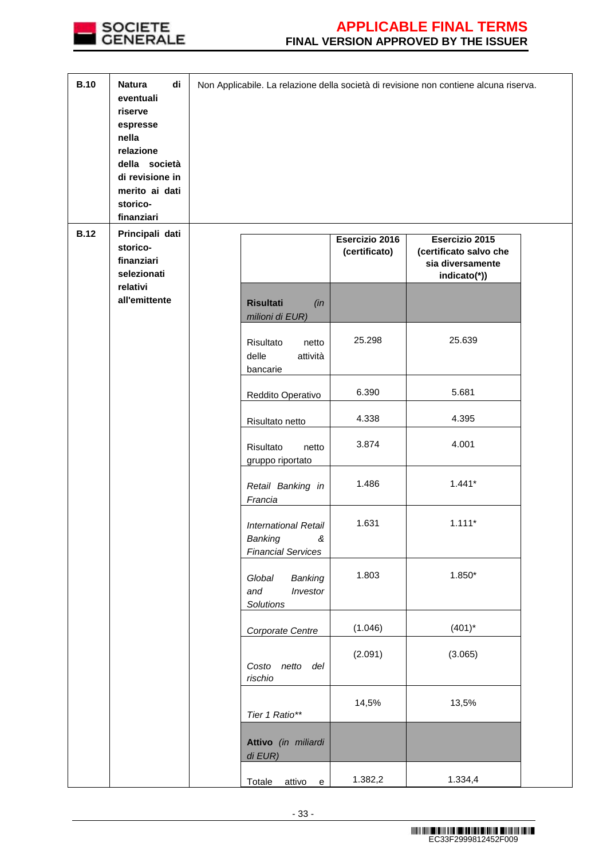

| <b>B.10</b> | <b>Natura</b><br>di<br>eventuali<br>riserve<br>espresse<br>nella<br>relazione<br>della società<br>di revisione in<br>merito ai dati<br>storico-<br>finanziari |                                                                          |                                 | Non Applicabile. La relazione della società di revisione non contiene alcuna riserva. |  |
|-------------|---------------------------------------------------------------------------------------------------------------------------------------------------------------|--------------------------------------------------------------------------|---------------------------------|---------------------------------------------------------------------------------------|--|
| <b>B.12</b> | Principali dati<br>storico-<br>finanziari<br>selezionati<br>relativi                                                                                          |                                                                          | Esercizio 2016<br>(certificato) | Esercizio 2015<br>(certificato salvo che<br>sia diversamente<br>indicato(*))          |  |
|             | all'emittente                                                                                                                                                 | <b>Risultati</b><br>(in<br>milioni di EUR)                               |                                 |                                                                                       |  |
|             |                                                                                                                                                               | Risultato<br>netto<br>delle<br>attività<br>bancarie                      | 25.298                          | 25.639                                                                                |  |
|             |                                                                                                                                                               | Reddito Operativo                                                        | 6.390                           | 5.681                                                                                 |  |
|             |                                                                                                                                                               | Risultato netto                                                          | 4.338                           | 4.395                                                                                 |  |
|             |                                                                                                                                                               | Risultato<br>netto<br>gruppo riportato                                   | 3.874                           | 4.001                                                                                 |  |
|             |                                                                                                                                                               | Retail Banking in<br>Francia                                             | 1.486                           | $1.441*$                                                                              |  |
|             |                                                                                                                                                               | <b>International Retail</b><br>Banking<br>&<br><b>Financial Services</b> | 1.631                           | $1.111*$                                                                              |  |
|             |                                                                                                                                                               | Global<br>Banking<br>and<br>Investor<br>Solutions                        | 1.803                           | $1.850*$                                                                              |  |
|             |                                                                                                                                                               | Corporate Centre                                                         | (1.046)                         | $(401)^*$                                                                             |  |
|             |                                                                                                                                                               | Costo netto del<br>rischio                                               | (2.091)                         | (3.065)                                                                               |  |
|             |                                                                                                                                                               | Tier 1 Ratio**                                                           | 14,5%                           | 13,5%                                                                                 |  |
|             |                                                                                                                                                               | Attivo (in miliardi<br>di EUR)                                           |                                 |                                                                                       |  |
|             |                                                                                                                                                               | Totale<br>attivo<br>${\bf e}$                                            | 1.382,2                         | 1.334,4                                                                               |  |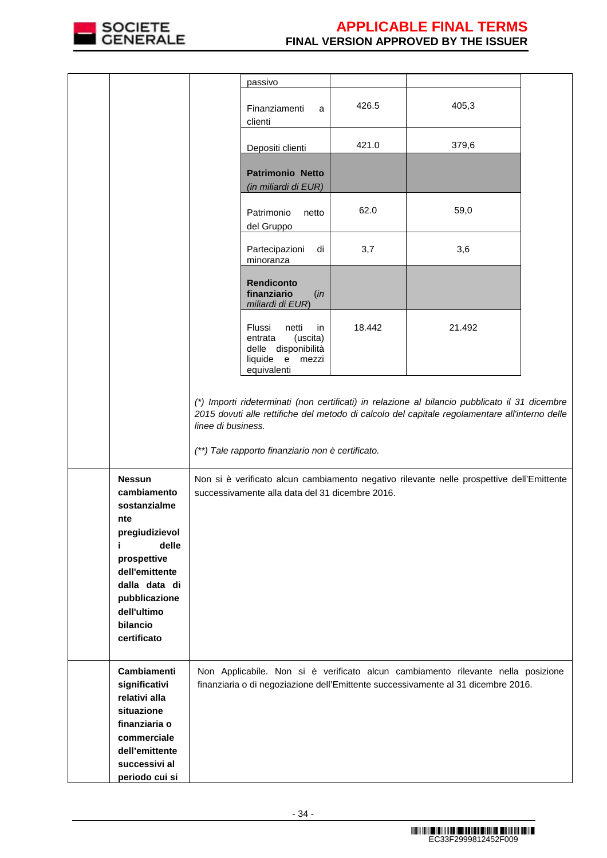

|                                                                       |                    | passivo                                                                                                  |        |                                                                                                                                                                                                  |  |
|-----------------------------------------------------------------------|--------------------|----------------------------------------------------------------------------------------------------------|--------|--------------------------------------------------------------------------------------------------------------------------------------------------------------------------------------------------|--|
|                                                                       |                    | Finanziamenti<br>a<br>clienti                                                                            | 426.5  | 405,3                                                                                                                                                                                            |  |
|                                                                       |                    | Depositi clienti                                                                                         | 421.0  | 379,6                                                                                                                                                                                            |  |
|                                                                       |                    | <b>Patrimonio Netto</b><br>(in miliardi di EUR)                                                          |        |                                                                                                                                                                                                  |  |
|                                                                       |                    | Patrimonio<br>netto<br>del Gruppo                                                                        | 62.0   | 59,0                                                                                                                                                                                             |  |
|                                                                       |                    | Partecipazioni<br>di<br>minoranza                                                                        | 3,7    | 3,6                                                                                                                                                                                              |  |
|                                                                       |                    | <b>Rendiconto</b><br>finanziario<br>(in<br>miliardi di EUR)                                              |        |                                                                                                                                                                                                  |  |
|                                                                       |                    | Flussi<br>netti<br>in<br>entrata<br>(uscita)<br>delle disponibilità<br>liquide e<br>mezzi<br>equivalenti | 18.442 | 21.492                                                                                                                                                                                           |  |
|                                                                       | linee di business. | (**) Tale rapporto finanziario non è certificato.                                                        |        | (*) Importi rideterminati (non certificati) in relazione al bilancio pubblicato il 31 dicembre<br>2015 dovuti alle rettifiche del metodo di calcolo del capitale regolamentare all'interno delle |  |
| <b>Nessun</b><br>cambiamento<br>sostanzialme<br>nte<br>pregiudizievol |                    | successivamente alla data del 31 dicembre 2016.                                                          |        | Non si è verificato alcun cambiamento negativo rilevante nelle prospettive dell'Emittente                                                                                                        |  |
| delle<br>prospettive<br>dell'emittente<br>dalla data di               |                    |                                                                                                          |        |                                                                                                                                                                                                  |  |
| pubblicazione<br>dell'ultimo<br>bilancio<br>certificato               |                    |                                                                                                          |        |                                                                                                                                                                                                  |  |
| Cambiamenti<br>significativi<br>relativi alla<br>situazione           |                    |                                                                                                          |        | Non Applicabile. Non si è verificato alcun cambiamento rilevante nella posizione<br>finanziaria o di negoziazione dell'Emittente successivamente al 31 dicembre 2016.                            |  |
| finanziaria o<br>commerciale<br>dell'emittente                        |                    |                                                                                                          |        |                                                                                                                                                                                                  |  |
| successivi al<br>periodo cui si                                       |                    |                                                                                                          |        |                                                                                                                                                                                                  |  |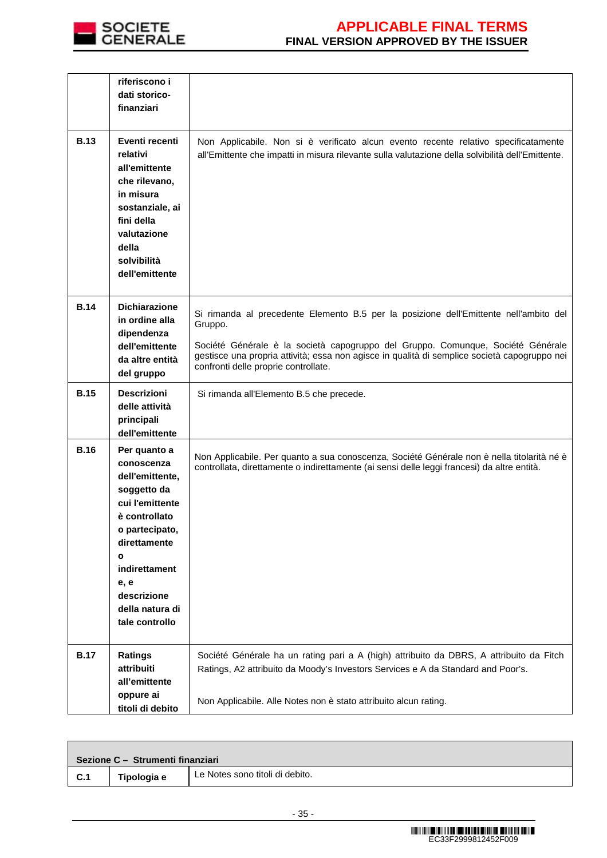

|             | riferiscono i<br>dati storico-<br>finanziari                                                                                                                                                                                    |                                                                                                                                                                                                                                                                                                                             |
|-------------|---------------------------------------------------------------------------------------------------------------------------------------------------------------------------------------------------------------------------------|-----------------------------------------------------------------------------------------------------------------------------------------------------------------------------------------------------------------------------------------------------------------------------------------------------------------------------|
| <b>B.13</b> | Eventi recenti<br>relativi<br>all'emittente<br>che rilevano,<br>in misura<br>sostanziale, ai<br>fini della<br>valutazione<br>della<br>solvibilità<br>dell'emittente                                                             | Non Applicabile. Non si è verificato alcun evento recente relativo specificatamente<br>all'Emittente che impatti in misura rilevante sulla valutazione della solvibilità dell'Emittente.                                                                                                                                    |
| <b>B.14</b> | <b>Dichiarazione</b><br>in ordine alla<br>dipendenza<br>dell'emittente<br>da altre entità<br>del gruppo                                                                                                                         | Si rimanda al precedente Elemento B.5 per la posizione dell'Emittente nell'ambito del<br>Gruppo.<br>Société Générale è la società capogruppo del Gruppo. Comunque, Société Générale<br>gestisce una propria attività; essa non agisce in qualità di semplice società capogruppo nei<br>confronti delle proprie controllate. |
| <b>B.15</b> | <b>Descrizioni</b><br>delle attività<br>principali<br>dell'emittente                                                                                                                                                            | Si rimanda all'Elemento B.5 che precede.                                                                                                                                                                                                                                                                                    |
| <b>B.16</b> | Per quanto a<br>conoscenza<br>dell'emittente,<br>soggetto da<br>cui l'emittente<br>è controllato<br>o partecipato,<br>direttamente<br>$\mathbf{o}$<br>indirettament<br>e, e<br>descrizione<br>della natura di<br>tale controllo | Non Applicabile. Per quanto a sua conoscenza, Société Générale non è nella titolarità né è<br>controllata, direttamente o indirettamente (ai sensi delle leggi francesi) da altre entità.                                                                                                                                   |
| <b>B.17</b> | Ratings<br>attribuiti<br>all'emittente                                                                                                                                                                                          | Société Générale ha un rating pari a A (high) attribuito da DBRS, A attribuito da Fitch<br>Ratings, A2 attribuito da Moody's Investors Services e A da Standard and Poor's.                                                                                                                                                 |
|             | oppure ai<br>titoli di debito                                                                                                                                                                                                   | Non Applicabile. Alle Notes non è stato attribuito alcun rating.                                                                                                                                                                                                                                                            |

| Sezione C - Strumenti finanziari |             |                                 |  |  |
|----------------------------------|-------------|---------------------------------|--|--|
| C.1                              | Tipologia e | Le Notes sono titoli di debito. |  |  |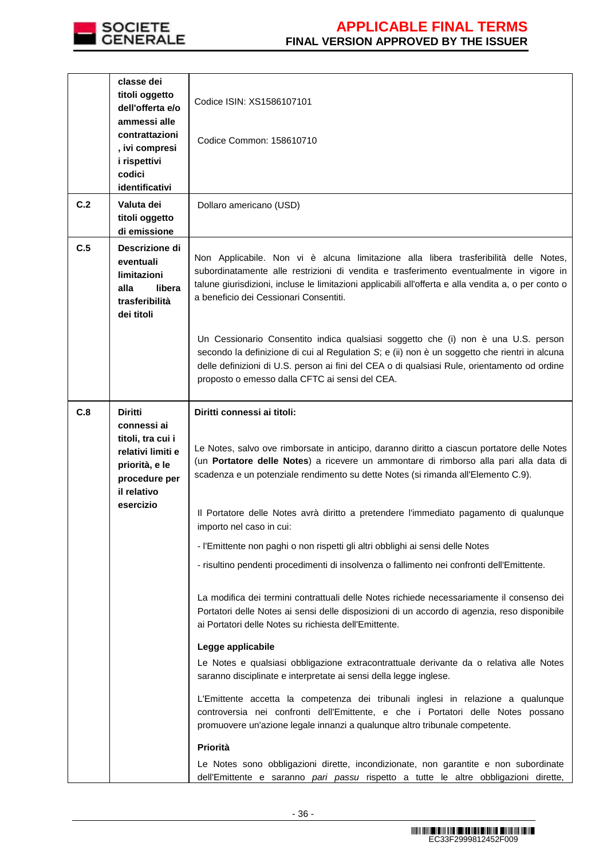

|     | classe dei<br>titoli oggetto<br>dell'offerta e/o<br>ammessi alle<br>contrattazioni<br>, ivi compresi<br>i rispettivi<br>codici<br>identificativi | Codice ISIN: XS1586107101<br>Codice Common: 158610710                                                                                                                                                                                                                                                                                |
|-----|--------------------------------------------------------------------------------------------------------------------------------------------------|--------------------------------------------------------------------------------------------------------------------------------------------------------------------------------------------------------------------------------------------------------------------------------------------------------------------------------------|
| C.2 | Valuta dei<br>titoli oggetto<br>di emissione                                                                                                     | Dollaro americano (USD)                                                                                                                                                                                                                                                                                                              |
| C.5 | Descrizione di<br>eventuali<br>limitazioni<br>alla<br>libera<br>trasferibilità<br>dei titoli                                                     | Non Applicabile. Non vi è alcuna limitazione alla libera trasferibilità delle Notes,<br>subordinatamente alle restrizioni di vendita e trasferimento eventualmente in vigore in<br>talune giurisdizioni, incluse le limitazioni applicabili all'offerta e alla vendita a, o per conto o<br>a beneficio dei Cessionari Consentiti.    |
|     |                                                                                                                                                  | Un Cessionario Consentito indica qualsiasi soggetto che (i) non è una U.S. person<br>secondo la definizione di cui al Regulation S; e (ii) non è un soggetto che rientri in alcuna<br>delle definizioni di U.S. person ai fini del CEA o di qualsiasi Rule, orientamento od ordine<br>proposto o emesso dalla CFTC ai sensi del CEA. |
| C.8 | <b>Diritti</b><br>connessi ai<br>titoli, tra cui i<br>relativi limiti e<br>priorità, e le<br>procedure per<br>il relativo                        | Diritti connessi ai titoli:<br>Le Notes, salvo ove rimborsate in anticipo, daranno diritto a ciascun portatore delle Notes<br>(un Portatore delle Notes) a ricevere un ammontare di rimborso alla pari alla data di<br>scadenza e un potenziale rendimento su dette Notes (si rimanda all'Elemento C.9).                             |
|     | esercizio                                                                                                                                        | Il Portatore delle Notes avrà diritto a pretendere l'immediato pagamento di qualunque<br>importo nel caso in cui:                                                                                                                                                                                                                    |
|     |                                                                                                                                                  | - l'Emittente non paghi o non rispetti gli altri obblighi ai sensi delle Notes                                                                                                                                                                                                                                                       |
|     |                                                                                                                                                  | - risultino pendenti procedimenti di insolvenza o fallimento nei confronti dell'Emittente.                                                                                                                                                                                                                                           |
|     |                                                                                                                                                  | La modifica dei termini contrattuali delle Notes richiede necessariamente il consenso dei<br>Portatori delle Notes ai sensi delle disposizioni di un accordo di agenzia, reso disponibile<br>ai Portatori delle Notes su richiesta dell'Emittente.                                                                                   |
|     |                                                                                                                                                  | Legge applicabile                                                                                                                                                                                                                                                                                                                    |
|     |                                                                                                                                                  | Le Notes e qualsiasi obbligazione extracontrattuale derivante da o relativa alle Notes<br>saranno disciplinate e interpretate ai sensi della legge inglese.                                                                                                                                                                          |
|     |                                                                                                                                                  | L'Emittente accetta la competenza dei tribunali inglesi in relazione a qualunque<br>controversia nei confronti dell'Emittente, e che i Portatori delle Notes possano<br>promuovere un'azione legale innanzi a qualunque altro tribunale competente.                                                                                  |
|     |                                                                                                                                                  | Priorità                                                                                                                                                                                                                                                                                                                             |
|     |                                                                                                                                                  | Le Notes sono obbligazioni dirette, incondizionate, non garantite e non subordinate<br>dell'Emittente e saranno pari passu rispetto a tutte le altre obbligazioni dirette,                                                                                                                                                           |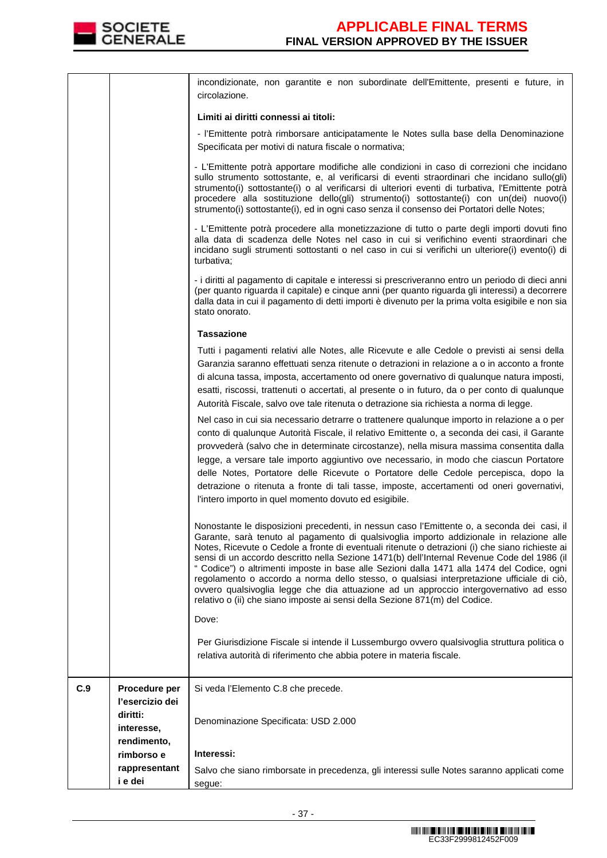

|     | interesse,<br>rendimento,<br>rimborso e<br>rappresentant<br>i e dei | Interessi:<br>Salvo che siano rimborsate in precedenza, gli interessi sulle Notes saranno applicati come<br>segue:                                                                                                                                                                                                                                                                                                                                                                                                                                                                                                                                                                                                                                          |
|-----|---------------------------------------------------------------------|-------------------------------------------------------------------------------------------------------------------------------------------------------------------------------------------------------------------------------------------------------------------------------------------------------------------------------------------------------------------------------------------------------------------------------------------------------------------------------------------------------------------------------------------------------------------------------------------------------------------------------------------------------------------------------------------------------------------------------------------------------------|
| C.9 | Procedure per<br>l'esercizio dei<br>diritti:                        | Si veda l'Elemento C.8 che precede.<br>Denominazione Specificata: USD 2.000                                                                                                                                                                                                                                                                                                                                                                                                                                                                                                                                                                                                                                                                                 |
|     |                                                                     | Per Giurisdizione Fiscale si intende il Lussemburgo ovvero qualsivoglia struttura politica o<br>relativa autorità di riferimento che abbia potere in materia fiscale.                                                                                                                                                                                                                                                                                                                                                                                                                                                                                                                                                                                       |
|     |                                                                     | Dove:                                                                                                                                                                                                                                                                                                                                                                                                                                                                                                                                                                                                                                                                                                                                                       |
|     |                                                                     | Nonostante le disposizioni precedenti, in nessun caso l'Emittente o, a seconda dei casi, il<br>Garante, sarà tenuto al pagamento di qualsivoglia importo addizionale in relazione alle<br>Notes, Ricevute o Cedole a fronte di eventuali ritenute o detrazioni (i) che siano richieste ai<br>sensi di un accordo descritto nella Sezione 1471(b) dell'Internal Revenue Code del 1986 (il<br>" Codice") o altrimenti imposte in base alle Sezioni dalla 1471 alla 1474 del Codice, ogni<br>regolamento o accordo a norma dello stesso, o qualsiasi interpretazione ufficiale di ciò,<br>ovvero qualsivoglia legge che dia attuazione ad un approccio intergovernativo ad esso<br>relativo o (ii) che siano imposte ai sensi della Sezione 871(m) del Codice. |
|     |                                                                     | Nel caso in cui sia necessario detrarre o trattenere qualunque importo in relazione a o per<br>conto di qualunque Autorità Fiscale, il relativo Emittente o, a seconda dei casi, il Garante<br>provvederà (salvo che in determinate circostanze), nella misura massima consentita dalla<br>legge, a versare tale importo aggiuntivo ove necessario, in modo che ciascun Portatore<br>delle Notes, Portatore delle Ricevute o Portatore delle Cedole percepisca, dopo la<br>detrazione o ritenuta a fronte di tali tasse, imposte, accertamenti od oneri governativi,<br>l'intero importo in quel momento dovuto ed esigibile.                                                                                                                               |
|     |                                                                     | <b>Tassazione</b><br>Tutti i pagamenti relativi alle Notes, alle Ricevute e alle Cedole o previsti ai sensi della<br>Garanzia saranno effettuati senza ritenute o detrazioni in relazione a o in acconto a fronte<br>di alcuna tassa, imposta, accertamento od onere governativo di qualunque natura imposti,<br>esatti, riscossi, trattenuti o accertati, al presente o in futuro, da o per conto di qualunque<br>Autorità Fiscale, salvo ove tale ritenuta o detrazione sia richiesta a norma di legge.                                                                                                                                                                                                                                                   |
|     |                                                                     | - i diritti al pagamento di capitale e interessi si prescriveranno entro un periodo di dieci anni<br>(per quanto riguarda il capitale) e cinque anni (per quanto riguarda gli interessi) a decorrere<br>dalla data in cui il pagamento di detti importi è divenuto per la prima volta esigibile e non sia<br>stato onorato.                                                                                                                                                                                                                                                                                                                                                                                                                                 |
|     |                                                                     | - L'Emittente potrà procedere alla monetizzazione di tutto o parte degli importi dovuti fino<br>alla data di scadenza delle Notes nel caso in cui si verifichino eventi straordinari che<br>incidano sugli strumenti sottostanti o nel caso in cui si verifichi un ulteriore(i) evento(i) di<br>turbativa;                                                                                                                                                                                                                                                                                                                                                                                                                                                  |
|     |                                                                     | - L'Emittente potrà apportare modifiche alle condizioni in caso di correzioni che incidano<br>sullo strumento sottostante, e, al verificarsi di eventi straordinari che incidano sullo(gli)<br>strumento(i) sottostante(i) o al verificarsi di ulteriori eventi di turbativa, l'Emittente potrà<br>procedere alla sostituzione dello(gli) strumento(i) sottostante(i) con un(dei) nuovo(i)<br>strumento(i) sottostante(i), ed in ogni caso senza il consenso dei Portatori delle Notes;                                                                                                                                                                                                                                                                     |
|     |                                                                     | Limiti ai diritti connessi ai titoli:<br>- l'Emittente potrà rimborsare anticipatamente le Notes sulla base della Denominazione<br>Specificata per motivi di natura fiscale o normativa;                                                                                                                                                                                                                                                                                                                                                                                                                                                                                                                                                                    |
|     |                                                                     | circolazione.                                                                                                                                                                                                                                                                                                                                                                                                                                                                                                                                                                                                                                                                                                                                               |
|     |                                                                     | incondizionate, non garantite e non subordinate dell'Emittente, presenti e future, in                                                                                                                                                                                                                                                                                                                                                                                                                                                                                                                                                                                                                                                                       |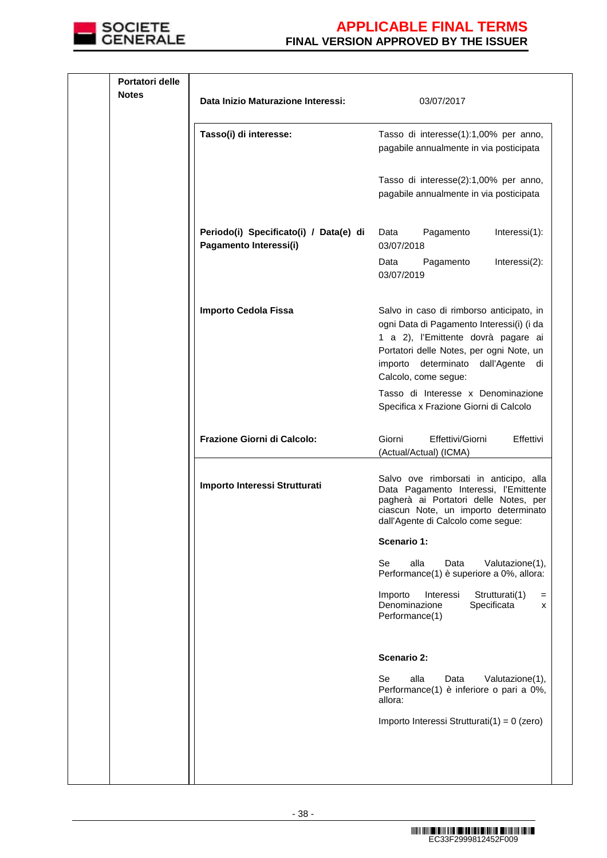

| Portatori delle<br><b>Notes</b> | Data Inizio Maturazione Interessi:                               | 03/07/2017                                                                                                                                                                                                                                |
|---------------------------------|------------------------------------------------------------------|-------------------------------------------------------------------------------------------------------------------------------------------------------------------------------------------------------------------------------------------|
|                                 |                                                                  |                                                                                                                                                                                                                                           |
|                                 | Tasso(i) di interesse:                                           | Tasso di interesse(1):1,00% per anno,<br>pagabile annualmente in via posticipata                                                                                                                                                          |
|                                 |                                                                  | Tasso di interesse(2):1,00% per anno,<br>pagabile annualmente in via posticipata                                                                                                                                                          |
|                                 | Periodo(i) Specificato(i) / Data(e) di<br>Pagamento Interessi(i) | Pagamento<br>Interessi(1):<br>Data<br>03/07/2018                                                                                                                                                                                          |
|                                 |                                                                  | Data<br>Pagamento<br>Interessi(2):<br>03/07/2019                                                                                                                                                                                          |
|                                 | <b>Importo Cedola Fissa</b>                                      | Salvo in caso di rimborso anticipato, in<br>ogni Data di Pagamento Interessi(i) (i da<br>1 a 2), l'Emittente dovrà pagare ai<br>Portatori delle Notes, per ogni Note, un<br>determinato dall'Agente di<br>importo<br>Calcolo, come segue: |
|                                 |                                                                  | Tasso di Interesse x Denominazione<br>Specifica x Frazione Giorni di Calcolo                                                                                                                                                              |
|                                 | Frazione Giorni di Calcolo:                                      | Giorni<br>Effettivi/Giorni<br>Effettivi<br>(Actual/Actual) (ICMA)                                                                                                                                                                         |
|                                 | Importo Interessi Strutturati                                    | Salvo ove rimborsati in anticipo, alla<br>Data Pagamento Interessi, l'Emittente<br>pagherà ai Portatori delle Notes, per<br>ciascun Note, un importo determinato<br>dall'Agente di Calcolo come segue:                                    |
|                                 |                                                                  | Scenario 1:                                                                                                                                                                                                                               |
|                                 |                                                                  | Se<br>alla<br>Data<br>Valutazione(1),<br>Performance(1) è superiore a 0%, allora:                                                                                                                                                         |
|                                 |                                                                  | Strutturati(1)<br>Importo<br>Interessi<br>$=$<br>Denominazione<br>Specificata<br>x<br>Performance(1)                                                                                                                                      |
|                                 |                                                                  | Scenario 2:                                                                                                                                                                                                                               |
|                                 |                                                                  | Se<br>alla<br>Valutazione(1),<br>Data<br>Performance(1) è inferiore o pari a 0%,<br>allora:                                                                                                                                               |
|                                 |                                                                  | Importo Interessi Strutturati(1) = 0 (zero)                                                                                                                                                                                               |
|                                 |                                                                  |                                                                                                                                                                                                                                           |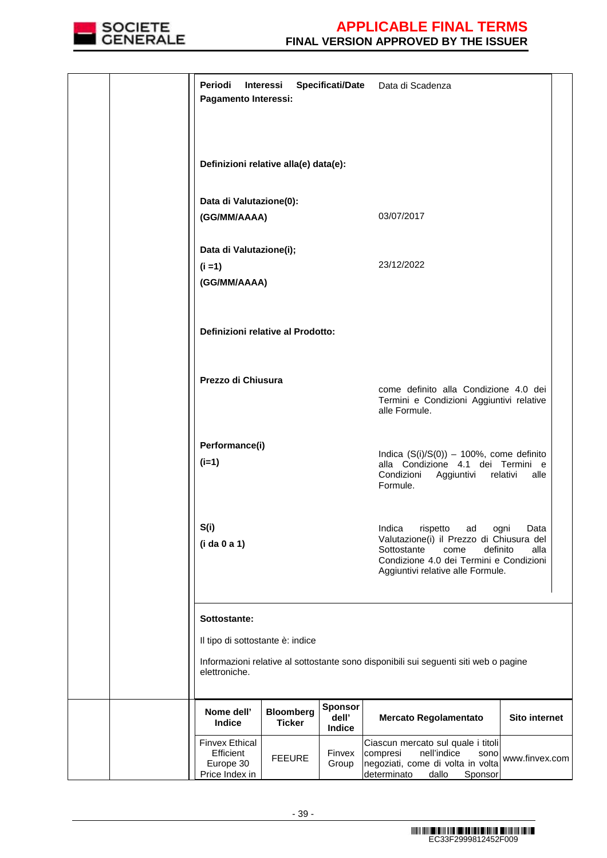

| Periodi<br>Pagamento Interessi:                                   | Interessi                             | <b>Specificati/Date</b>           | Data di Scadenza                                                                                                                                                                          |                |
|-------------------------------------------------------------------|---------------------------------------|-----------------------------------|-------------------------------------------------------------------------------------------------------------------------------------------------------------------------------------------|----------------|
|                                                                   | Definizioni relative alla(e) data(e): |                                   |                                                                                                                                                                                           |                |
| Data di Valutazione(0):<br>(GG/MM/AAAA)                           |                                       |                                   | 03/07/2017                                                                                                                                                                                |                |
| Data di Valutazione(i);<br>$(i = 1)$<br>(GG/MM/AAAA)              |                                       |                                   | 23/12/2022                                                                                                                                                                                |                |
| Definizioni relative al Prodotto:                                 |                                       |                                   |                                                                                                                                                                                           |                |
| Prezzo di Chiusura                                                |                                       |                                   | come definito alla Condizione 4.0 dei<br>Termini e Condizioni Aggiuntivi relative<br>alle Formule.                                                                                        |                |
| Performance(i)<br>$(i=1)$                                         |                                       |                                   | Indica $(S(i)/S(0)) - 100\%$ , come definito<br>alla Condizione 4.1 dei Termini e<br>Condizioni Aggiuntivi relativi<br>Formule.                                                           | alle           |
| S(i)<br>(i da 0 a 1)                                              |                                       |                                   | Indica<br>rispetto ad ogni<br>Valutazione(i) il Prezzo di Chiusura del<br>definito<br>Sottostante<br>come<br>Condizione 4.0 dei Termini e Condizioni<br>Aggiuntivi relative alle Formule. | Data<br>alla   |
| Sottostante:<br>Il tipo di sottostante è: indice<br>elettroniche. |                                       |                                   | Informazioni relative al sottostante sono disponibili sui seguenti siti web o pagine                                                                                                      |                |
| Nome dell'<br>Indice                                              | <b>Bloomberg</b><br><b>Ticker</b>     | <b>Sponsor</b><br>dell'<br>Indice | <b>Mercato Regolamentato</b>                                                                                                                                                              | Sito internet  |
| <b>Finvex Ethical</b><br>Efficient<br>Europe 30<br>Price Index in | <b>FEEURE</b>                         | Finvex<br>Group                   | Ciascun mercato sul quale i titoli<br>nell'indice<br>compresi<br>sono<br>negoziati, come di volta in volta<br>determinato<br>dallo<br>Sponsor                                             | www.finvex.com |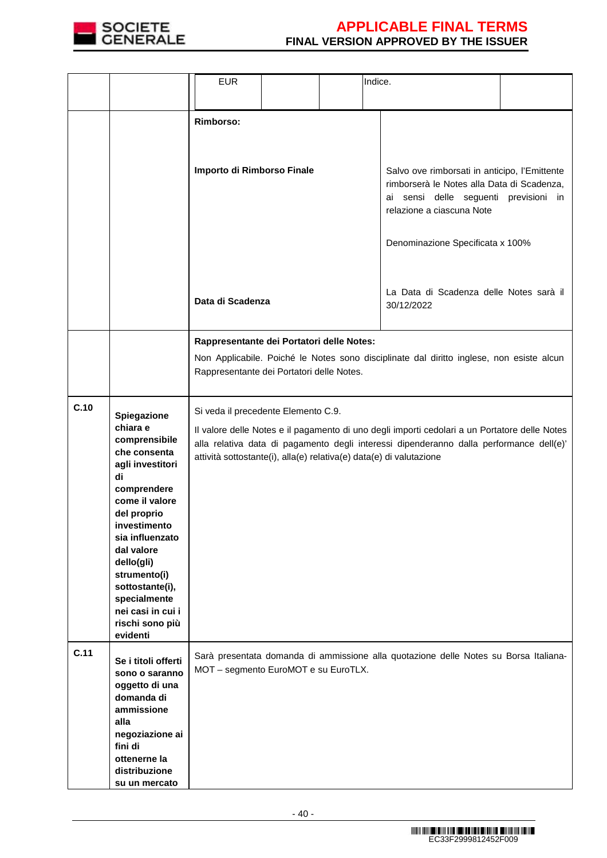

|      |                                                                                                                                                                                                                                                                                                          | <b>EUR</b>                                                                                                                                                                                                                                                                                             |  |                                                                                                                                                                                                                                                  | Indice.                                                                                  |  |
|------|----------------------------------------------------------------------------------------------------------------------------------------------------------------------------------------------------------------------------------------------------------------------------------------------------------|--------------------------------------------------------------------------------------------------------------------------------------------------------------------------------------------------------------------------------------------------------------------------------------------------------|--|--------------------------------------------------------------------------------------------------------------------------------------------------------------------------------------------------------------------------------------------------|------------------------------------------------------------------------------------------|--|
|      |                                                                                                                                                                                                                                                                                                          | <b>Rimborso:</b>                                                                                                                                                                                                                                                                                       |  |                                                                                                                                                                                                                                                  |                                                                                          |  |
|      |                                                                                                                                                                                                                                                                                                          | Importo di Rimborso Finale                                                                                                                                                                                                                                                                             |  | Salvo ove rimborsati in anticipo, l'Emittente<br>rimborserà le Notes alla Data di Scadenza,<br>ai sensi delle seguenti previsioni in<br>relazione a ciascuna Note<br>Denominazione Specificata x 100%<br>La Data di Scadenza delle Notes sarà il |                                                                                          |  |
|      |                                                                                                                                                                                                                                                                                                          | Data di Scadenza                                                                                                                                                                                                                                                                                       |  |                                                                                                                                                                                                                                                  | 30/12/2022                                                                               |  |
|      |                                                                                                                                                                                                                                                                                                          | Rappresentante dei Portatori delle Notes:                                                                                                                                                                                                                                                              |  |                                                                                                                                                                                                                                                  |                                                                                          |  |
|      |                                                                                                                                                                                                                                                                                                          | Rappresentante dei Portatori delle Notes.                                                                                                                                                                                                                                                              |  |                                                                                                                                                                                                                                                  | Non Applicabile. Poiché le Notes sono disciplinate dal diritto inglese, non esiste alcun |  |
| C.10 | Spiegazione<br>chiara e<br>comprensibile<br>che consenta<br>agli investitori<br>di<br>comprendere<br>come il valore<br>del proprio<br>investimento<br>sia influenzato<br>dal valore<br>dello(gli)<br>strumento(i)<br>sottostante(i),<br>specialmente<br>nei casi in cui i<br>rischi sono più<br>evidenti | Si veda il precedente Elemento C.9.<br>Il valore delle Notes e il pagamento di uno degli importi cedolari a un Portatore delle Notes<br>alla relativa data di pagamento degli interessi dipenderanno dalla performance dell(e)'<br>attività sottostante(i), alla(e) relativa(e) data(e) di valutazione |  |                                                                                                                                                                                                                                                  |                                                                                          |  |
| C.11 | Se i titoli offerti<br>sono o saranno<br>oggetto di una<br>domanda di<br>ammissione<br>alla<br>negoziazione ai<br>fini di<br>ottenerne la<br>distribuzione<br>su un mercato                                                                                                                              | MOT - segmento EuroMOT e su EuroTLX.                                                                                                                                                                                                                                                                   |  |                                                                                                                                                                                                                                                  | Sarà presentata domanda di ammissione alla quotazione delle Notes su Borsa Italiana-     |  |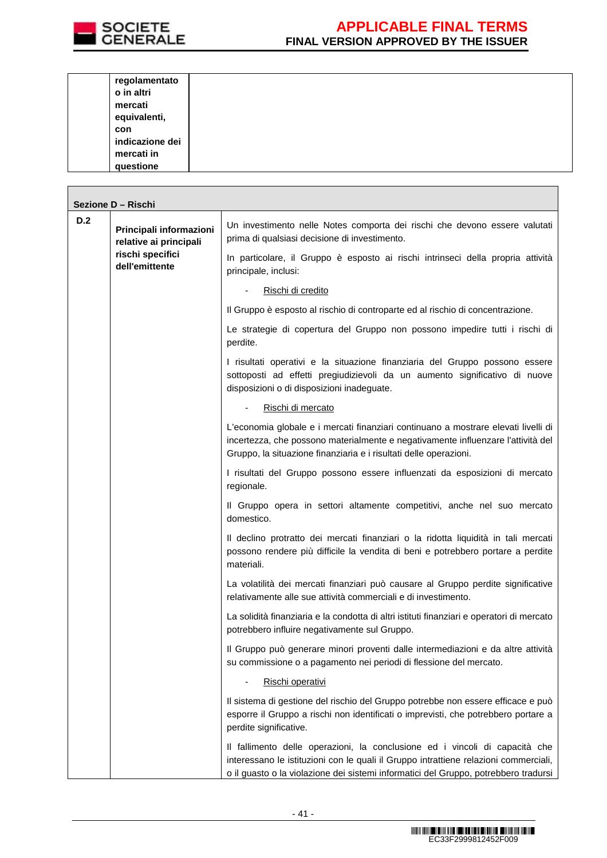

**The Company** 

| regolamentato   |  |  |
|-----------------|--|--|
| o in altri      |  |  |
| mercati         |  |  |
| equivalenti,    |  |  |
| con             |  |  |
| indicazione dei |  |  |
| mercati in      |  |  |
| questione       |  |  |

| Sezione D - Rischi |                                                                                         |                                                                                                                                                                                                                                                            |  |
|--------------------|-----------------------------------------------------------------------------------------|------------------------------------------------------------------------------------------------------------------------------------------------------------------------------------------------------------------------------------------------------------|--|
| D.2                | Principali informazioni<br>relative ai principali<br>rischi specifici<br>dell'emittente | Un investimento nelle Notes comporta dei rischi che devono essere valutati<br>prima di qualsiasi decisione di investimento.                                                                                                                                |  |
|                    |                                                                                         | In particolare, il Gruppo è esposto ai rischi intrinseci della propria attività<br>principale, inclusi:                                                                                                                                                    |  |
|                    |                                                                                         | Rischi di credito                                                                                                                                                                                                                                          |  |
|                    |                                                                                         | Il Gruppo è esposto al rischio di controparte ed al rischio di concentrazione.                                                                                                                                                                             |  |
|                    |                                                                                         | Le strategie di copertura del Gruppo non possono impedire tutti i rischi di<br>perdite.                                                                                                                                                                    |  |
|                    |                                                                                         | I risultati operativi e la situazione finanziaria del Gruppo possono essere<br>sottoposti ad effetti pregiudizievoli da un aumento significativo di nuove<br>disposizioni o di disposizioni inadeguate.                                                    |  |
|                    |                                                                                         | Rischi di mercato                                                                                                                                                                                                                                          |  |
|                    |                                                                                         | L'economia globale e i mercati finanziari continuano a mostrare elevati livelli di<br>incertezza, che possono materialmente e negativamente influenzare l'attività del<br>Gruppo, la situazione finanziaria e i risultati delle operazioni.                |  |
|                    |                                                                                         | I risultati del Gruppo possono essere influenzati da esposizioni di mercato<br>regionale.                                                                                                                                                                  |  |
|                    |                                                                                         | Il Gruppo opera in settori altamente competitivi, anche nel suo mercato<br>domestico.                                                                                                                                                                      |  |
|                    |                                                                                         | Il declino protratto dei mercati finanziari o la ridotta liquidità in tali mercati<br>possono rendere più difficile la vendita di beni e potrebbero portare a perdite<br>materiali.                                                                        |  |
|                    |                                                                                         | La volatilità dei mercati finanziari può causare al Gruppo perdite significative<br>relativamente alle sue attività commerciali e di investimento.                                                                                                         |  |
|                    |                                                                                         | La solidità finanziaria e la condotta di altri istituti finanziari e operatori di mercato<br>potrebbero influire negativamente sul Gruppo.                                                                                                                 |  |
|                    |                                                                                         | Il Gruppo può generare minori proventi dalle intermediazioni e da altre attività<br>su commissione o a pagamento nei periodi di flessione del mercato.                                                                                                     |  |
|                    |                                                                                         | Rischi operativi                                                                                                                                                                                                                                           |  |
|                    |                                                                                         | Il sistema di gestione del rischio del Gruppo potrebbe non essere efficace e può<br>esporre il Gruppo a rischi non identificati o imprevisti, che potrebbero portare a<br>perdite significative.                                                           |  |
|                    |                                                                                         | Il fallimento delle operazioni, la conclusione ed i vincoli di capacità che<br>interessano le istituzioni con le quali il Gruppo intrattiene relazioni commerciali,<br>o il guasto o la violazione dei sistemi informatici del Gruppo, potrebbero tradursi |  |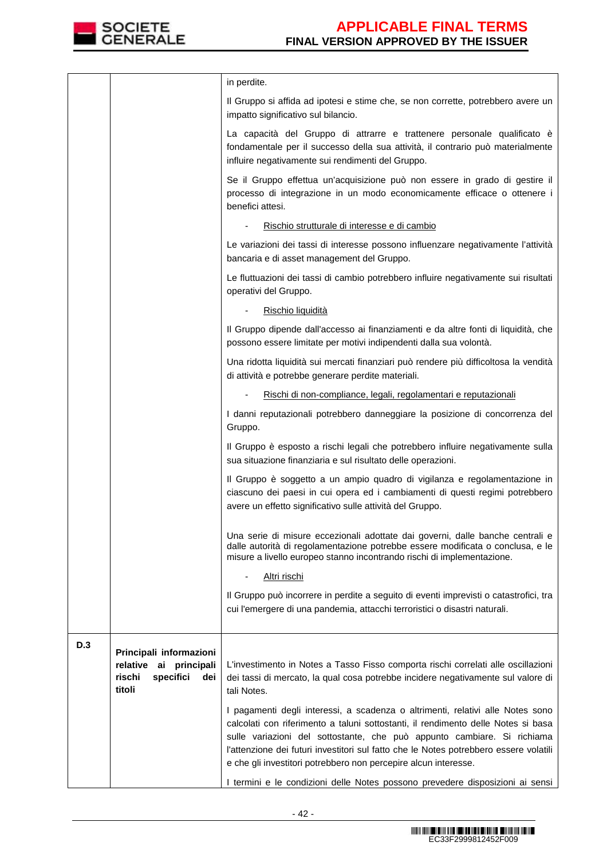

|     |                                                                                                 | in perdite.                                                                                                                                                                                                                                                                                                                                                                                                |
|-----|-------------------------------------------------------------------------------------------------|------------------------------------------------------------------------------------------------------------------------------------------------------------------------------------------------------------------------------------------------------------------------------------------------------------------------------------------------------------------------------------------------------------|
|     |                                                                                                 | Il Gruppo si affida ad ipotesi e stime che, se non corrette, potrebbero avere un<br>impatto significativo sul bilancio.                                                                                                                                                                                                                                                                                    |
|     |                                                                                                 | La capacità del Gruppo di attrarre e trattenere personale qualificato è<br>fondamentale per il successo della sua attività, il contrario può materialmente<br>influire negativamente sui rendimenti del Gruppo.                                                                                                                                                                                            |
|     |                                                                                                 | Se il Gruppo effettua un'acquisizione può non essere in grado di gestire il<br>processo di integrazione in un modo economicamente efficace o ottenere i<br>benefici attesi.                                                                                                                                                                                                                                |
|     |                                                                                                 | Rischio strutturale di interesse e di cambio                                                                                                                                                                                                                                                                                                                                                               |
|     |                                                                                                 | Le variazioni dei tassi di interesse possono influenzare negativamente l'attività<br>bancaria e di asset management del Gruppo.                                                                                                                                                                                                                                                                            |
|     |                                                                                                 | Le fluttuazioni dei tassi di cambio potrebbero influire negativamente sui risultati<br>operativi del Gruppo.                                                                                                                                                                                                                                                                                               |
|     |                                                                                                 | Rischio liquidità                                                                                                                                                                                                                                                                                                                                                                                          |
|     |                                                                                                 | Il Gruppo dipende dall'accesso ai finanziamenti e da altre fonti di liquidità, che<br>possono essere limitate per motivi indipendenti dalla sua volontà.                                                                                                                                                                                                                                                   |
|     |                                                                                                 | Una ridotta liquidità sui mercati finanziari può rendere più difficoltosa la vendità<br>di attività e potrebbe generare perdite materiali.                                                                                                                                                                                                                                                                 |
|     |                                                                                                 | Rischi di non-compliance, legali, regolamentari e reputazionali                                                                                                                                                                                                                                                                                                                                            |
|     |                                                                                                 | I danni reputazionali potrebbero danneggiare la posizione di concorrenza del<br>Gruppo.                                                                                                                                                                                                                                                                                                                    |
|     |                                                                                                 | Il Gruppo è esposto a rischi legali che potrebbero influire negativamente sulla<br>sua situazione finanziaria e sul risultato delle operazioni.                                                                                                                                                                                                                                                            |
|     |                                                                                                 | Il Gruppo è soggetto a un ampio quadro di vigilanza e regolamentazione in<br>ciascuno dei paesi in cui opera ed i cambiamenti di questi regimi potrebbero<br>avere un effetto significativo sulle attività del Gruppo.                                                                                                                                                                                     |
|     |                                                                                                 | Una serie di misure eccezionali adottate dai governi, dalle banche centrali e<br>dalle autorità di regolamentazione potrebbe essere modificata o conclusa, e le<br>misure a livello europeo stanno incontrando rischi di implementazione.                                                                                                                                                                  |
|     |                                                                                                 | <u>Altri rischi</u>                                                                                                                                                                                                                                                                                                                                                                                        |
|     |                                                                                                 | Il Gruppo può incorrere in perdite a seguito di eventi imprevisti o catastrofici, tra<br>cui l'emergere di una pandemia, attacchi terroristici o disastri naturali.                                                                                                                                                                                                                                        |
| D.3 |                                                                                                 |                                                                                                                                                                                                                                                                                                                                                                                                            |
|     | Principali informazioni<br>relative<br>ai<br>principali<br>specifici<br>rischi<br>dei<br>titoli | L'investimento in Notes a Tasso Fisso comporta rischi correlati alle oscillazioni<br>dei tassi di mercato, la qual cosa potrebbe incidere negativamente sul valore di<br>tali Notes.                                                                                                                                                                                                                       |
|     |                                                                                                 | I pagamenti degli interessi, a scadenza o altrimenti, relativi alle Notes sono<br>calcolati con riferimento a taluni sottostanti, il rendimento delle Notes si basa<br>sulle variazioni del sottostante, che può appunto cambiare. Si richiama<br>l'attenzione dei futuri investitori sul fatto che le Notes potrebbero essere volatili<br>e che gli investitori potrebbero non percepire alcun interesse. |
|     |                                                                                                 | I termini e le condizioni delle Notes possono prevedere disposizioni ai sensi                                                                                                                                                                                                                                                                                                                              |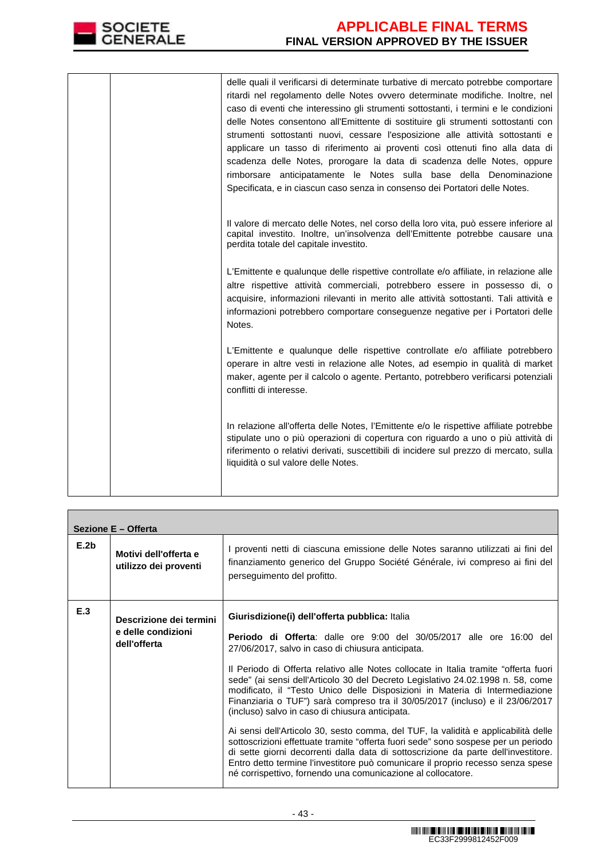

|  | delle quali il verificarsi di determinate turbative di mercato potrebbe comportare<br>ritardi nel regolamento delle Notes ovvero determinate modifiche. Inoltre, nel<br>caso di eventi che interessino gli strumenti sottostanti, i termini e le condizioni<br>delle Notes consentono all'Emittente di sostituire gli strumenti sottostanti con<br>strumenti sottostanti nuovi, cessare l'esposizione alle attività sottostanti e<br>applicare un tasso di riferimento ai proventi così ottenuti fino alla data di<br>scadenza delle Notes, prorogare la data di scadenza delle Notes, oppure<br>rimborsare anticipatamente le Notes sulla base della Denominazione<br>Specificata, e in ciascun caso senza in consenso dei Portatori delle Notes. |
|--|----------------------------------------------------------------------------------------------------------------------------------------------------------------------------------------------------------------------------------------------------------------------------------------------------------------------------------------------------------------------------------------------------------------------------------------------------------------------------------------------------------------------------------------------------------------------------------------------------------------------------------------------------------------------------------------------------------------------------------------------------|
|  | Il valore di mercato delle Notes, nel corso della loro vita, può essere inferiore al<br>capital investito. Inoltre, un'insolvenza dell'Emittente potrebbe causare una<br>perdita totale del capitale investito.                                                                                                                                                                                                                                                                                                                                                                                                                                                                                                                                    |
|  | L'Emittente e qualunque delle rispettive controllate e/o affiliate, in relazione alle<br>altre rispettive attività commerciali, potrebbero essere in possesso di, o<br>acquisire, informazioni rilevanti in merito alle attività sottostanti. Tali attività e<br>informazioni potrebbero comportare conseguenze negative per i Portatori delle<br>Notes.                                                                                                                                                                                                                                                                                                                                                                                           |
|  | L'Emittente e qualunque delle rispettive controllate e/o affiliate potrebbero<br>operare in altre vesti in relazione alle Notes, ad esempio in qualità di market<br>maker, agente per il calcolo o agente. Pertanto, potrebbero verificarsi potenziali<br>conflitti di interesse.                                                                                                                                                                                                                                                                                                                                                                                                                                                                  |
|  | In relazione all'offerta delle Notes, l'Emittente e/o le rispettive affiliate potrebbe<br>stipulate uno o più operazioni di copertura con riguardo a uno o più attività di<br>riferimento o relativi derivati, suscettibili di incidere sul prezzo di mercato, sulla<br>liquidità o sul valore delle Notes.                                                                                                                                                                                                                                                                                                                                                                                                                                        |

| Sezione E - Offerta                                                  |                                                                                                                                                                                                                                                                                                                                                                                                                                                                                                                                                                                                                                                                                                                                                                                                                                                                                                                                                                                                 |  |  |
|----------------------------------------------------------------------|-------------------------------------------------------------------------------------------------------------------------------------------------------------------------------------------------------------------------------------------------------------------------------------------------------------------------------------------------------------------------------------------------------------------------------------------------------------------------------------------------------------------------------------------------------------------------------------------------------------------------------------------------------------------------------------------------------------------------------------------------------------------------------------------------------------------------------------------------------------------------------------------------------------------------------------------------------------------------------------------------|--|--|
| E.2 <sub>b</sub><br>Motivi dell'offerta e<br>utilizzo dei proventi   | I proventi netti di ciascuna emissione delle Notes saranno utilizzati ai fini del<br>finanziamento generico del Gruppo Société Générale, ivi compreso ai fini del<br>perseguimento del profitto.                                                                                                                                                                                                                                                                                                                                                                                                                                                                                                                                                                                                                                                                                                                                                                                                |  |  |
| E.3<br>Descrizione dei termini<br>e delle condizioni<br>dell'offerta | Giurisdizione(i) dell'offerta pubblica: Italia<br>Periodo di Offerta: dalle ore 9:00 del 30/05/2017 alle ore 16:00 del<br>27/06/2017, salvo in caso di chiusura anticipata.<br>Il Periodo di Offerta relativo alle Notes collocate in Italia tramite "offerta fuori<br>sede" (ai sensi dell'Articolo 30 del Decreto Legislativo 24.02.1998 n. 58, come<br>modificato, il "Testo Unico delle Disposizioni in Materia di Intermediazione<br>Finanziaria o TUF") sarà compreso tra il 30/05/2017 (incluso) e il 23/06/2017<br>(incluso) salvo in caso di chiusura anticipata.<br>Ai sensi dell'Articolo 30, sesto comma, del TUF, la validità e applicabilità delle<br>sottoscrizioni effettuate tramite "offerta fuori sede" sono sospese per un periodo<br>di sette giorni decorrenti dalla data di sottoscrizione da parte dell'investitore.<br>Entro detto termine l'investitore può comunicare il proprio recesso senza spese<br>né corrispettivo, fornendo una comunicazione al collocatore. |  |  |